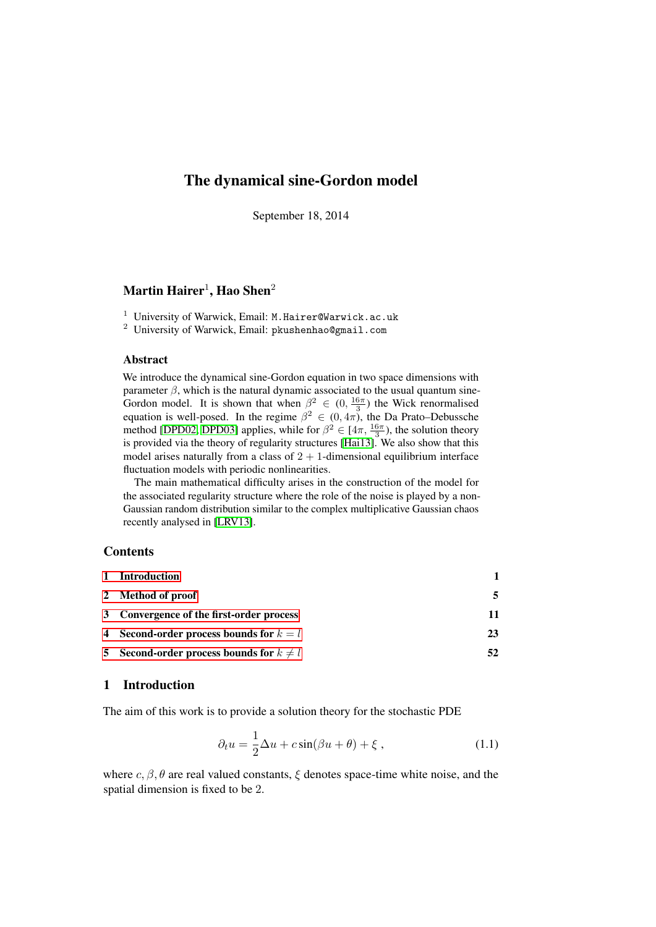# The dynamical sine-Gordon model

September 18, 2014

# $\mathbf{Martin\, Hairer^{1}, Hao\, Shen^{2}}$

<sup>1</sup> University of Warwick, Email: M. Hairer@Warwick.ac.uk

<sup>2</sup> University of Warwick, Email: pkushenhao@gmail.com

### Abstract

We introduce the dynamical sine-Gordon equation in two space dimensions with parameter  $\beta$ , which is the natural dynamic associated to the usual quantum sine-Gordon model. It is shown that when  $\beta^2 \in (0, \frac{16\pi}{3})$  the Wick renormalised equation is well-posed. In the regime  $\beta^2 \in (0, 4\pi)$ , the Da Prato–Debussche method [\[DPD02,](#page-62-0) [DPD03\]](#page-62-1) applies, while for  $\beta^2 \in [4\pi, \frac{16\pi}{3})$ , the solution theory is provided via the theory of regularity structures [\[Hai13\]](#page-62-2). We also show that this model arises naturally from a class of  $2 + 1$ -dimensional equilibrium interface fluctuation models with periodic nonlinearities.

The main mathematical difficulty arises in the construction of the model for the associated regularity structure where the role of the noise is played by a non-Gaussian random distribution similar to the complex multiplicative Gaussian chaos recently analysed in [\[LRV13\]](#page-62-3).

# **Contents**

| 1 Introduction                               |    |
|----------------------------------------------|----|
| 2 Method of proof                            | 5  |
| 3 Convergence of the first-order process     | 11 |
| 4 Second-order process bounds for $k = l$    | 23 |
| 5 Second-order process bounds for $k \neq l$ | 52 |

# <span id="page-0-0"></span>1 Introduction

The aim of this work is to provide a solution theory for the stochastic PDE

<span id="page-0-1"></span>
$$
\partial_t u = \frac{1}{2}\Delta u + c\sin(\beta u + \theta) + \xi , \qquad (1.1)
$$

where  $c, \beta, \theta$  are real valued constants,  $\xi$  denotes space-time white noise, and the spatial dimension is fixed to be 2.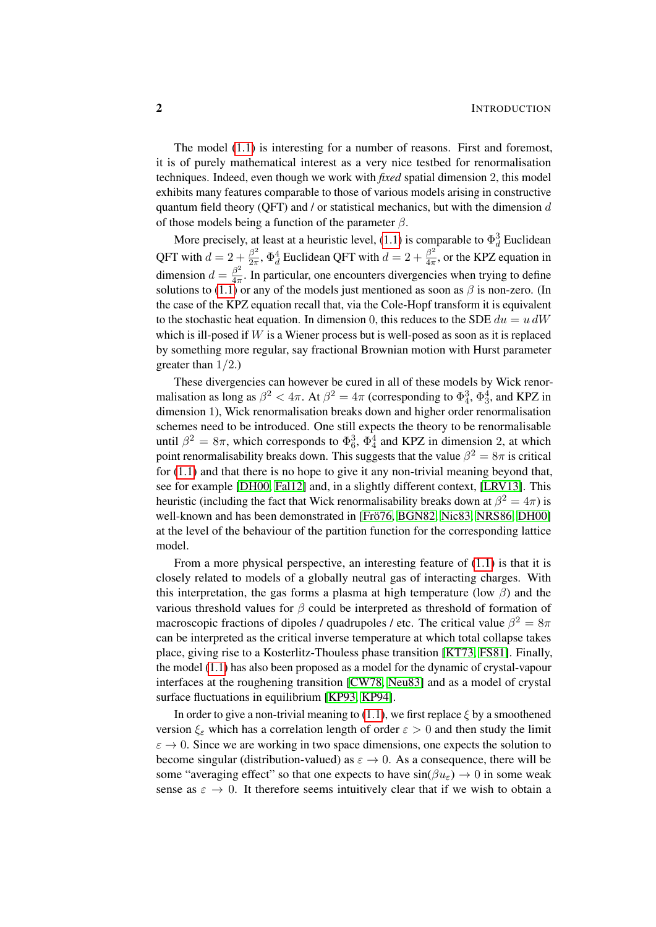The model [\(1.1\)](#page-0-1) is interesting for a number of reasons. First and foremost, it is of purely mathematical interest as a very nice testbed for renormalisation techniques. Indeed, even though we work with *fixed* spatial dimension 2, this model exhibits many features comparable to those of various models arising in constructive quantum field theory (QFT) and  $\ell$  or statistical mechanics, but with the dimension  $d$ of those models being a function of the parameter  $\beta$ .

More precisely, at least at a heuristic level, [\(1.1\)](#page-0-1) is comparable to  $\Phi_d^3$  Euclidean QFT with  $d=2+\frac{\beta^2}{2\pi}$  $\frac{\beta^2}{2\pi}$ ,  $\Phi_d^4$  Euclidean QFT with  $d=2+\frac{\beta^2}{4\pi}$  $\frac{\beta^2}{4\pi}$ , or the KPZ equation in dimension  $d = \frac{\beta^2}{4\pi}$  $\frac{\beta}{4\pi}$ . In particular, one encounters divergencies when trying to define solutions to [\(1.1\)](#page-0-1) or any of the models just mentioned as soon as  $\beta$  is non-zero. (In the case of the KPZ equation recall that, via the Cole-Hopf transform it is equivalent to the stochastic heat equation. In dimension 0, this reduces to the SDE  $du = u dW$ which is ill-posed if  $W$  is a Wiener process but is well-posed as soon as it is replaced by something more regular, say fractional Brownian motion with Hurst parameter greater than  $1/2$ .)

These divergencies can however be cured in all of these models by Wick renormalisation as long as  $\beta^2 < 4\pi$ . At  $\beta^2 = 4\pi$  (corresponding to  $\Phi_4^3$ ,  $\Phi_3^4$ , and KPZ in dimension 1), Wick renormalisation breaks down and higher order renormalisation schemes need to be introduced. One still expects the theory to be renormalisable until  $\beta^2 = 8\pi$ , which corresponds to  $\Phi_6^3$ ,  $\Phi_4^4$  and KPZ in dimension 2, at which point renormalisability breaks down. This suggests that the value  $\beta^2 = 8\pi$  is critical for [\(1.1\)](#page-0-1) and that there is no hope to give it any non-trivial meaning beyond that, see for example [\[DH00,](#page-61-0) [Fal12\]](#page-62-4) and, in a slightly different context, [\[LRV13\]](#page-62-3). This heuristic (including the fact that Wick renormalisability breaks down at  $\beta^2 = 4\pi$ ) is well-known and has been demonstrated in [Frö76, [BGN82,](#page-61-1) [Nic83,](#page-62-6) [NRS86,](#page-62-7) [DH00\]](#page-61-0) at the level of the behaviour of the partition function for the corresponding lattice model.

From a more physical perspective, an interesting feature of [\(1.1\)](#page-0-1) is that it is closely related to models of a globally neutral gas of interacting charges. With this interpretation, the gas forms a plasma at high temperature (low  $\beta$ ) and the various threshold values for  $\beta$  could be interpreted as threshold of formation of macroscopic fractions of dipoles / quadrupoles / etc. The critical value  $\beta^2 = 8\pi$ can be interpreted as the critical inverse temperature at which total collapse takes place, giving rise to a Kosterlitz-Thouless phase transition [\[KT73,](#page-62-8) [FS81\]](#page-62-9). Finally, the model [\(1.1\)](#page-0-1) has also been proposed as a model for the dynamic of crystal-vapour interfaces at the roughening transition [\[CW78,](#page-61-2) [Neu83\]](#page-62-10) and as a model of crystal surface fluctuations in equilibrium [\[KP93,](#page-62-11) [KP94\]](#page-62-12).

In order to give a non-trivial meaning to [\(1.1\)](#page-0-1), we first replace  $\xi$  by a smoothened version  $\xi_{\varepsilon}$  which has a correlation length of order  $\varepsilon > 0$  and then study the limit  $\varepsilon \to 0$ . Since we are working in two space dimensions, one expects the solution to become singular (distribution-valued) as  $\varepsilon \to 0$ . As a consequence, there will be some "averaging effect" so that one expects to have  $sin(\beta u_{\epsilon}) \rightarrow 0$  in some weak sense as  $\varepsilon \to 0$ . It therefore seems intuitively clear that if we wish to obtain a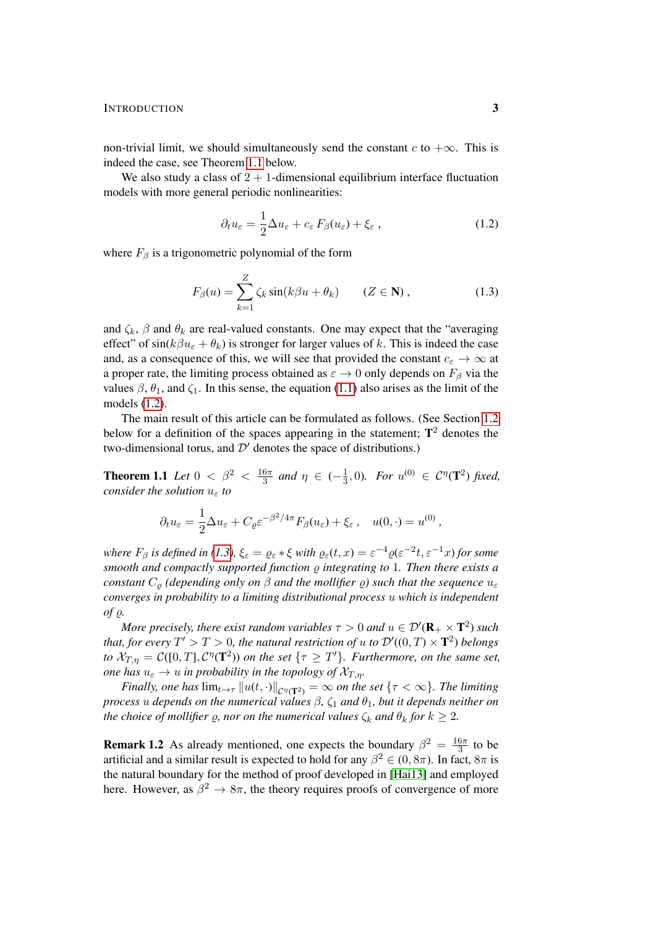#### INTRODUCTION 3

non-trivial limit, we should simultaneously send the constant c to  $+\infty$ . This is indeed the case, see Theorem [1.1](#page-2-0) below.

We also study a class of  $2 + 1$ -dimensional equilibrium interface fluctuation models with more general periodic nonlinearities:

<span id="page-2-2"></span><span id="page-2-1"></span>
$$
\partial_t u_{\varepsilon} = \frac{1}{2} \Delta u_{\varepsilon} + c_{\varepsilon} F_{\beta}(u_{\varepsilon}) + \xi_{\varepsilon} , \qquad (1.2)
$$

where  $F_\beta$  is a trigonometric polynomial of the form

$$
F_{\beta}(u) = \sum_{k=1}^{Z} \zeta_k \sin(k\beta u + \theta_k) \qquad (Z \in \mathbf{N}), \qquad (1.3)
$$

and  $\zeta_k$ ,  $\beta$  and  $\theta_k$  are real-valued constants. One may expect that the "averaging" effect" of  $sin(k\beta u_{\epsilon} + \theta_k)$  is stronger for larger values of k. This is indeed the case and, as a consequence of this, we will see that provided the constant  $c_{\varepsilon} \to \infty$  at a proper rate, the limiting process obtained as  $\varepsilon \to 0$  only depends on  $F_\beta$  via the values  $\beta$ ,  $\theta_1$ , and  $\zeta_1$ . In this sense, the equation [\(1.1\)](#page-0-1) also arises as the limit of the models [\(1.2\)](#page-2-1).

The main result of this article can be formulated as follows. (See Section [1.2](#page-4-1) below for a definition of the spaces appearing in the statement;  $T^2$  denotes the two-dimensional torus, and  $\mathcal{D}'$  denotes the space of distributions.)

**Theorem 1.1** *Let*  $0 < \beta^2 < \frac{16\pi}{3}$  $rac{6\pi}{3}$  and  $\eta \in (-\frac{1}{3})$  $\frac{1}{3}$ , 0). For  $u^{(0)} \in C^{\eta}(\mathbf{T}^2)$  fixed, *consider the solution*  $u_{\varepsilon}$  *to* 

<span id="page-2-0"></span>
$$
\partial_t u_{\varepsilon} = \frac{1}{2} \Delta u_{\varepsilon} + C_{\varrho} \varepsilon^{-\beta^2/4\pi} F_{\beta}(u_{\varepsilon}) + \xi_{\varepsilon} , \quad u(0, \cdot) = u^{(0)} ,
$$

*where*  $F_\beta$  *is defined in* [\(1.3\)](#page-2-2),  $\xi_\varepsilon = \varrho_\varepsilon * \xi$  *with*  $\varrho_\varepsilon(t,x) = \varepsilon^{-4} \varrho(\varepsilon^{-2}t, \varepsilon^{-1}x)$  for some *smooth and compactly supported function*  $\rho$  *integrating to* 1*. Then there exists a constant*  $C_{\rho}$  *(depending only on*  $\beta$  *and the mollifier*  $\varrho$ *) such that the sequence*  $u_{\varepsilon}$ *converges in probability to a limiting distributional process* u *which is independent*  $\int$ *of*  $\rho$ *.* 

More precisely, there exist random variables  $\tau > 0$  and  $u \in \mathcal{D}'(\mathbf{R}_+ \times \mathbf{T}^2)$  such that, for every  $T' > T > 0$ , the natural restriction of  $u$  to  $\mathcal{D}'((0,T) \times \mathbf{T}^2)$  belongs *to*  $\mathcal{X}_{T,\eta} = \mathcal{C}([0,T], \mathcal{C}^{\eta}(\mathbf{T}^2))$  *on the set*  $\{\tau \geq T'\}$ *. Furthermore, on the same set, one has*  $u_{\varepsilon} \to u$  *in probability in the topology of*  $\mathcal{X}_{T,\eta}$ *.* 

*Finally, one has*  $\lim_{t\to\tau}||u(t,\cdot)||_{\mathcal{C}^{\eta}(\mathbf{T}^2)} = \infty$  *on the set*  $\{\tau < \infty\}$ *. The limiting process u depends on the numerical values*  $\beta$ ,  $\zeta_1$  *and*  $\theta_1$ *, but it depends neither on the choice of mollifier*  $\rho$ , *nor on the numerical values*  $\zeta_k$  *and*  $\theta_k$  *for*  $k \geq 2$ *.* 

**Remark 1.2** As already mentioned, one expects the boundary  $\beta^2 = \frac{16\pi}{3}$  $rac{6\pi}{3}$  to be artificial and a similar result is expected to hold for any  $\beta^2 \in (0, 8\pi)$ . In fact,  $8\pi$  is the natural boundary for the method of proof developed in [\[Hai13\]](#page-62-2) and employed here. However, as  $\beta^2 \to 8\pi$ , the theory requires proofs of convergence of more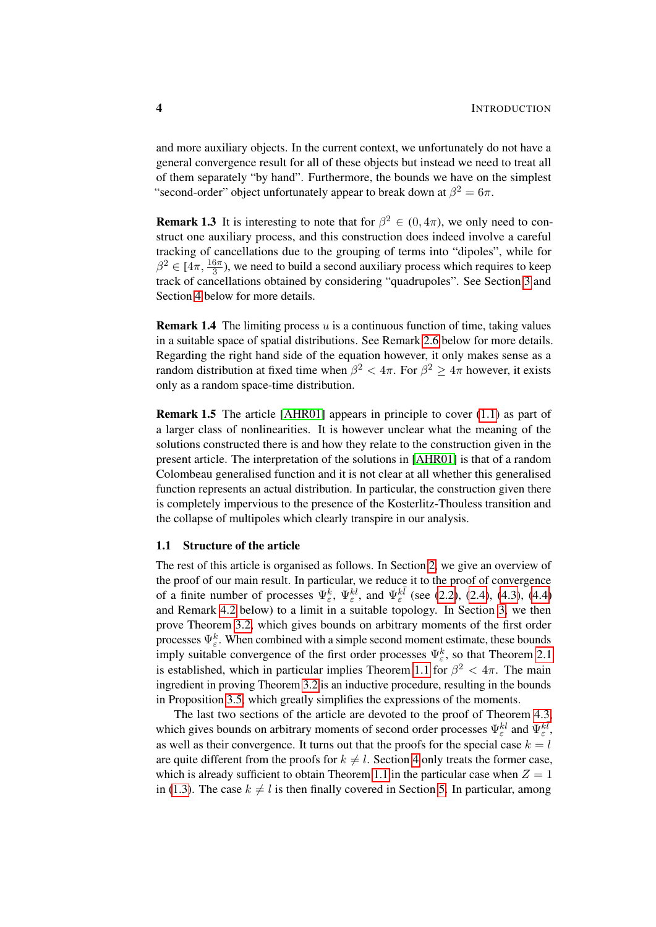and more auxiliary objects. In the current context, we unfortunately do not have a general convergence result for all of these objects but instead we need to treat all of them separately "by hand". Furthermore, the bounds we have on the simplest "second-order" object unfortunately appear to break down at  $\beta^2 = 6\pi$ .

**Remark 1.3** It is interesting to note that for  $\beta^2 \in (0, 4\pi)$ , we only need to construct one auxiliary process, and this construction does indeed involve a careful tracking of cancellations due to the grouping of terms into "dipoles", while for  $\beta^2 \in [4\pi, \frac{16\pi}{3})$ , we need to build a second auxiliary process which requires to keep track of cancellations obtained by considering "quadrupoles". See Section [3](#page-10-0) and Section [4](#page-22-0) below for more details.

**Remark 1.4** The limiting process  $u$  is a continuous function of time, taking values in a suitable space of spatial distributions. See Remark [2.6](#page-9-0) below for more details. Regarding the right hand side of the equation however, it only makes sense as a random distribution at fixed time when  $\beta^2 < 4\pi$ . For  $\beta^2 \geq 4\pi$  however, it exists only as a random space-time distribution.

Remark 1.5 The article [\[AHR01\]](#page-61-3) appears in principle to cover [\(1.1\)](#page-0-1) as part of a larger class of nonlinearities. It is however unclear what the meaning of the solutions constructed there is and how they relate to the construction given in the present article. The interpretation of the solutions in [\[AHR01\]](#page-61-3) is that of a random Colombeau generalised function and it is not clear at all whether this generalised function represents an actual distribution. In particular, the construction given there is completely impervious to the presence of the Kosterlitz-Thouless transition and the collapse of multipoles which clearly transpire in our analysis.

#### 1.1 Structure of the article

The rest of this article is organised as follows. In Section [2,](#page-4-0) we give an overview of the proof of our main result. In particular, we reduce it to the proof of convergence of a finite number of processes  $\Psi_{\varepsilon}^{k}$ ,  $\Psi_{\varepsilon}^{kl}$ , and  $\Psi_{\varepsilon}^{k\bar{l}}$  (see [\(2.2\)](#page-4-2), [\(2.4\)](#page-6-0), [\(4.3\)](#page-22-1), [\(4.4\)](#page-23-0) and Remark [4.2](#page-24-0) below) to a limit in a suitable topology. In Section [3,](#page-10-0) we then prove Theorem [3.2,](#page-10-1) which gives bounds on arbitrary moments of the first order processes  $\Psi_{\varepsilon}^{k}$ . When combined with a simple second moment estimate, these bounds imply suitable convergence of the first order processes  $\Psi_{\varepsilon}^{k}$ , so that Theorem [2.1](#page-5-0) is established, which in particular implies Theorem [1.1](#page-2-0) for  $\beta^2 < 4\pi$ . The main ingredient in proving Theorem [3.2](#page-10-1) is an inductive procedure, resulting in the bounds in Proposition [3.5,](#page-16-0) which greatly simplifies the expressions of the moments.

The last two sections of the article are devoted to the proof of Theorem [4.3,](#page-24-1) which gives bounds on arbitrary moments of second order processes  $\Psi_{\varepsilon}^{kl}$  and  $\Psi_{\varepsilon}^{k\bar{l}}$ , as well as their convergence. It turns out that the proofs for the special case  $k = l$ are quite different from the proofs for  $k \neq l$ . Section [4](#page-22-0) only treats the former case, which is already sufficient to obtain Theorem [1.1](#page-2-0) in the particular case when  $Z = 1$ in [\(1.3\)](#page-2-2). The case  $k \neq l$  is then finally covered in Section [5.](#page-51-0) In particular, among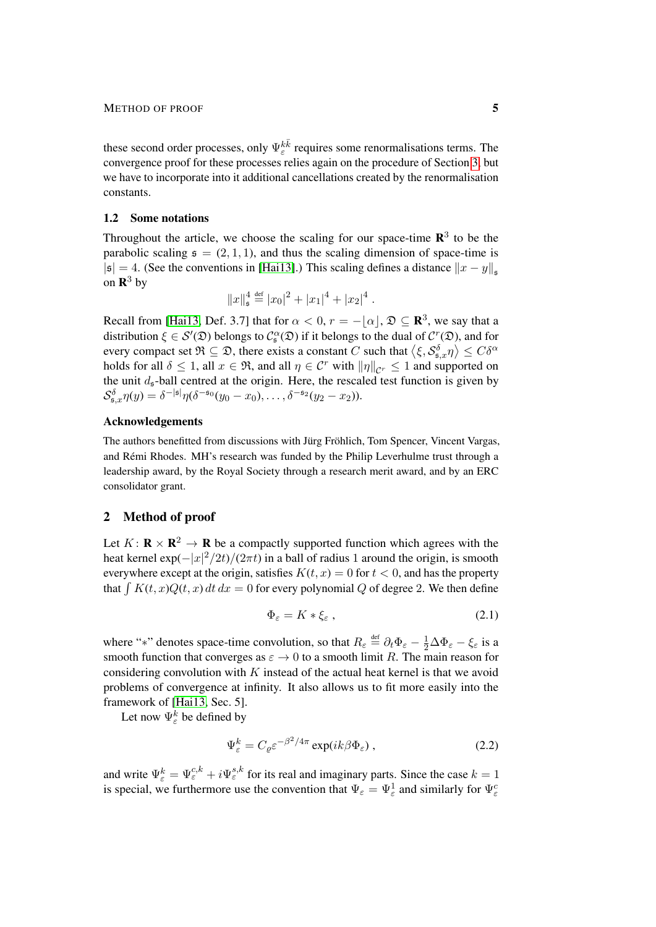these second order processes, only  $\Psi_{\varepsilon}^{k\bar{k}}$  requires some renormalisations terms. The convergence proof for these processes relies again on the procedure of Section [3,](#page-10-0) but we have to incorporate into it additional cancellations created by the renormalisation constants.

## <span id="page-4-1"></span>1.2 Some notations

Throughout the article, we choose the scaling for our space-time  $\mathbb{R}^3$  to be the parabolic scaling  $s = (2, 1, 1)$ , and thus the scaling dimension of space-time is  $|\mathfrak{s}| = 4$ . (See the conventions in [\[Hai13\]](#page-62-2).) This scaling defines a distance  $||x - y||_{\mathfrak{s}}$ on  $\mathbf{R}^3$  by

$$
||x||_{\mathfrak{s}}^4 \stackrel{\text{def}}{=} |x_0|^2 + |x_1|^4 + |x_2|^4.
$$

Recall from [\[Hai13,](#page-62-2) Def. 3.7] that for  $\alpha < 0$ ,  $r = -|\alpha|$ ,  $\mathfrak{D} \subseteq \mathbb{R}^3$ , we say that a distribution  $\xi \in \mathcal{S}'(\mathfrak{D})$  belongs to  $\mathcal{C}_{\mathfrak{s}}^{\alpha}(\mathfrak{D})$  if it belongs to the dual of  $\mathcal{C}^r(\mathfrak{D})$ , and for every compact set  $\mathfrak{R}\subseteq \mathfrak{D},$  there exists a constant  $C$  such that  $\left\langle \xi, \mathcal{S}^{\delta}_{\mathfrak{s},x}\eta\right\rangle \leq C\delta^{\alpha}$ holds for all  $\delta \leq 1$ , all  $x \in \mathfrak{R}$ , and all  $\eta \in \mathcal{C}^r$  with  $\|\eta\|_{\mathcal{C}^r} \leq 1$  and supported on the unit  $d_s$ -ball centred at the origin. Here, the rescaled test function is given by  $\mathcal{S}_{\mathfrak{s},x}^{\delta} \eta(y) = \delta^{-|\mathfrak{s}|} \eta(\delta^{-\mathfrak{s}_0}(y_0 - x_0), \dots, \delta^{-\mathfrak{s}_2}(y_2 - x_2)).$ 

#### Acknowledgements

The authors benefitted from discussions with Jürg Fröhlich, Tom Spencer, Vincent Vargas, and Remi Rhodes. MH's research was funded by the Philip Leverhulme trust through a ´ leadership award, by the Royal Society through a research merit award, and by an ERC consolidator grant.

# <span id="page-4-0"></span>2 Method of proof

Let  $K: \mathbf{R} \times \mathbf{R}^2 \to \mathbf{R}$  be a compactly supported function which agrees with the heat kernel  $\exp(-|x|^2/2t)/(2\pi t)$  in a ball of radius 1 around the origin, is smooth everywhere except at the origin, satisfies  $K(t, x) = 0$  for  $t < 0$ , and has the property that  $\int K(t, x)Q(t, x) dt dx = 0$  for every polynomial Q of degree 2. We then define

<span id="page-4-3"></span><span id="page-4-2"></span>
$$
\Phi_{\varepsilon} = K * \xi_{\varepsilon} \,, \tag{2.1}
$$

where "\*" denotes space-time convolution, so that  $R_{\varepsilon} \stackrel{\text{def}}{=} \partial_t \Phi_{\varepsilon} - \frac{1}{2} \Delta \Phi_{\varepsilon} - \xi_{\varepsilon}$  is a smooth function that converges as  $\varepsilon \to 0$  to a smooth limit R. The main reason for considering convolution with  $K$  instead of the actual heat kernel is that we avoid problems of convergence at infinity. It also allows us to fit more easily into the framework of [\[Hai13,](#page-62-2) Sec. 5].

Let now  $\Psi_{\varepsilon}^k$  be defined by

$$
\Psi_{\varepsilon}^{k} = C_{\varrho} \varepsilon^{-\beta^{2}/4\pi} \exp(ik\beta \Phi_{\varepsilon}), \qquad (2.2)
$$

and write  $\Psi_{\varepsilon}^{k} = \Psi_{\varepsilon}^{c,k} + i\Psi_{\varepsilon}^{s,k}$  for its real and imaginary parts. Since the case  $k = 1$ is special, we furthermore use the convention that  $\Psi_{\varepsilon} = \Psi_{\varepsilon}^1$  and similarly for  $\Psi_{\varepsilon}^c$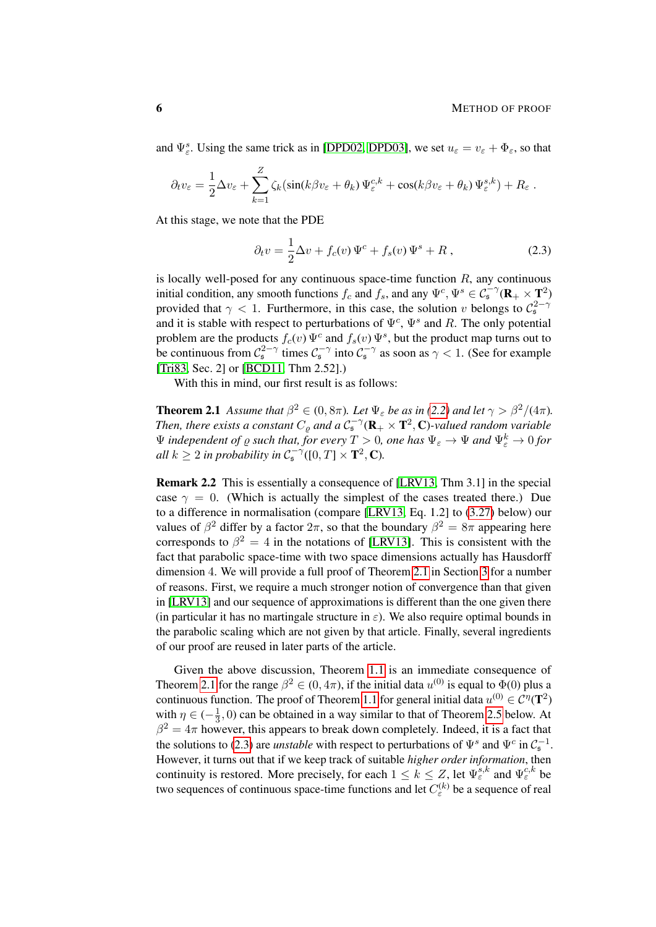and  $\Psi_{\varepsilon}^s$ . Using the same trick as in [\[DPD02,](#page-62-0) [DPD03\]](#page-62-1), we set  $u_{\varepsilon} = v_{\varepsilon} + \Phi_{\varepsilon}$ , so that

$$
\partial_t v_{\varepsilon} = \frac{1}{2} \Delta v_{\varepsilon} + \sum_{k=1}^Z \zeta_k (\sin(k\beta v_{\varepsilon} + \theta_k) \Psi_{\varepsilon}^{c,k} + \cos(k\beta v_{\varepsilon} + \theta_k) \Psi_{\varepsilon}^{s,k}) + R_{\varepsilon}.
$$

At this stage, we note that the PDE

<span id="page-5-1"></span>
$$
\partial_t v = \frac{1}{2} \Delta v + f_c(v) \Psi^c + f_s(v) \Psi^s + R \,, \tag{2.3}
$$

is locally well-posed for any continuous space-time function  $R$ , any continuous initial condition, any smooth functions  $f_c$  and  $f_s$ , and any  $\Psi^c$ ,  $\Psi^s \in C_5^{-\gamma}(\mathbf{R}_+ \times \mathbf{T}^2)$ provided that  $\gamma$  < 1. Furthermore, in this case, the solution v belongs to  $\mathcal{C}_s^{2-\gamma}$ and it is stable with respect to perturbations of  $\Psi^c$ ,  $\Psi^s$  and R. The only potential problem are the products  $f_c(v) \Psi^c$  and  $f_s(v) \Psi^s$ , but the product map turns out to be continuous from  $C_5^{2-\gamma}$  times  $C_5^{-\gamma}$  into  $C_5^{-\gamma}$  as soon as  $\gamma < 1$ . (See for example [\[Tri83,](#page-63-0) Sec. 2] or [\[BCD11,](#page-61-4) Thm 2.52].)

With this in mind, our first result is as follows:

<span id="page-5-0"></span>**Theorem 2.1** *Assume that*  $\beta^2 \in (0, 8\pi)$ *. Let*  $\Psi_{\varepsilon}$  *be as in* [\(2.2\)](#page-4-2) *and let*  $\gamma > \beta^2/(4\pi)$ *.* Then, there exists a constant  $C_{\varrho}$  and a  $\mathcal{C}_\mathfrak{s}^{-\gamma}(\mathbf{R}_+\times\mathbf{T}^2,\mathbf{C})$ -valued random variable  $\Psi$  *independent of*  $\varrho$  *such that, for every*  $T > 0$ *, one has*  $\Psi_{\varepsilon} \to \Psi$  *and*  $\Psi_{\varepsilon}^k \to 0$  *for all*  $k \geq 2$  *in probability in*  $C_5^{-\gamma}([0, T] \times \mathbf{T}^2, \mathbf{C})$ *.* 

Remark 2.2 This is essentially a consequence of [\[LRV13,](#page-62-3) Thm 3.1] in the special case  $\gamma = 0$ . (Which is actually the simplest of the cases treated there.) Due to a difference in normalisation (compare [\[LRV13,](#page-62-3) Eq. 1.2] to [\(3.27\)](#page-20-0) below) our values of  $\beta^2$  differ by a factor  $2\pi$ , so that the boundary  $\beta^2 = 8\pi$  appearing here corresponds to  $\beta^2 = 4$  in the notations of [\[LRV13\]](#page-62-3). This is consistent with the fact that parabolic space-time with two space dimensions actually has Hausdorff dimension 4. We will provide a full proof of Theorem [2.1](#page-5-0) in Section [3](#page-10-0) for a number of reasons. First, we require a much stronger notion of convergence than that given in [\[LRV13\]](#page-62-3) and our sequence of approximations is different than the one given there (in particular it has no martingale structure in  $\varepsilon$ ). We also require optimal bounds in the parabolic scaling which are not given by that article. Finally, several ingredients of our proof are reused in later parts of the article.

Given the above discussion, Theorem [1.1](#page-2-0) is an immediate consequence of Theorem [2.1](#page-5-0) for the range  $\beta^2 \in (0, 4\pi)$ , if the initial data  $u^{(0)}$  is equal to  $\Phi(0)$  plus a continuous function. The proof of Theorem [1.1](#page-2-0) for general initial data  $u^{(0)} \in C^{\eta}(\mathbf{T}^2)$ with  $\eta \in (-\frac{1}{3})$  $\frac{1}{3}$ , 0) can be obtained in a way similar to that of Theorem [2.5](#page-7-0) below. At  $\beta^2 = 4\pi$  however, this appears to break down completely. Indeed, it is a fact that the solutions to [\(2.3\)](#page-5-1) are *unstable* with respect to perturbations of  $\Psi^s$  and  $\Psi^c$  in  $C_s^{-1}$ . However, it turns out that if we keep track of suitable *higher order information*, then continuity is restored. More precisely, for each  $1 \leq k \leq Z$ , let  $\Psi_{\varepsilon}^{s,k}$  and  $\Psi_{\varepsilon}^{c,k}$  be two sequences of continuous space-time functions and let  $C_{\varepsilon}^{(k)}$  be a sequence of real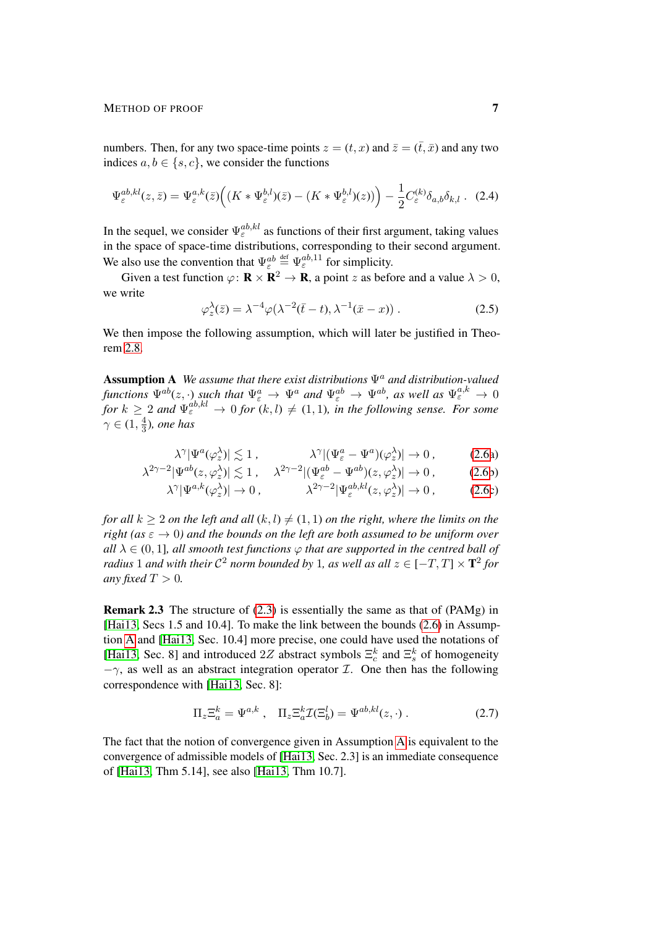#### METHOD OF PROOF 7

numbers. Then, for any two space-time points  $z = (t, x)$  and  $\overline{z} = (\overline{t}, \overline{x})$  and any two indices  $a, b \in \{s, c\}$ , we consider the functions

$$
\Psi_{\varepsilon}^{ab,kl}(z,\bar{z}) = \Psi_{\varepsilon}^{a,k}(\bar{z}) \Big( (K \ast \Psi_{\varepsilon}^{b,l})(\bar{z}) - (K \ast \Psi_{\varepsilon}^{b,l})(z) \Big) \Big) - \frac{1}{2} C_{\varepsilon}^{(k)} \delta_{a,b} \delta_{k,l} \quad (2.4)
$$

In the sequel, we consider  $\Psi_{\varepsilon}^{ab,kl}$  as functions of their first argument, taking values in the space of space-time distributions, corresponding to their second argument. We also use the convention that  $\Psi_{\varepsilon}^{ab} \stackrel{\text{def}}{=} \Psi_{\varepsilon}^{ab,11}$  for simplicity.

Given a test function  $\varphi \colon \mathbf{R} \times \mathbf{R}^2 \to \mathbf{R}$ , a point z as before and a value  $\lambda > 0$ , we write

<span id="page-6-0"></span>
$$
\varphi_z^{\lambda}(\bar{z}) = \lambda^{-4} \varphi(\lambda^{-2}(\bar{t}-t), \lambda^{-1}(\bar{x}-x)) . \tag{2.5}
$$

We then impose the following assumption, which will later be justified in Theorem [2.8.](#page-9-1)

<span id="page-6-2"></span>Assumption A *We assume that there exist distributions*  $Ψ<sup>a</sup>$  *and distribution-valued functions*  $\Psi^{ab}(z,\cdot)$  *such that*  $\Psi^a_\varepsilon \to \Psi^a$  and  $\Psi^{ab}_\varepsilon \to \Psi^{ab}$ *, as well as*  $\Psi^{a,k}_\varepsilon \to 0$ *for*  $k \geq 2$  and  $\Psi_{\varepsilon}^{ab,kl} \to 0$  *for*  $(k, l) \neq (1, 1)$ *, in the following sense. For some*  $\gamma \in (1, \frac{4}{3})$  $\frac{4}{3}$ ), one has

<span id="page-6-1"></span>
$$
\lambda^{\gamma} |\Psi^a(\varphi_z^{\lambda})| \lesssim 1 , \qquad \lambda^{\gamma} |(\Psi^a_{\varepsilon} - \Psi^a)(\varphi_z^{\lambda})| \to 0 , \qquad (2.6a)
$$

$$
\lambda^{2\gamma - 2} |\Psi^{ab}(z, \varphi_z^{\lambda})| \lesssim 1 \,, \quad \lambda^{2\gamma - 2} |(\Psi^{ab}_{\varepsilon} - \Psi^{ab})(z, \varphi_z^{\lambda})| \to 0 \,, \tag{2.6b}
$$

$$
\lambda^{\gamma} |\Psi^{a,k}(\varphi_z^{\lambda})| \to 0, \qquad \lambda^{2\gamma - 2} |\Psi_{\varepsilon}^{ab,kl}(z,\varphi_z^{\lambda})| \to 0, \qquad (2.6c)
$$

*for all*  $k \geq 2$  *on the left and all*  $(k, l) \neq (1, 1)$  *on the right, where the limits on the right (as*  $\epsilon \rightarrow 0$ ) and the bounds on the left are both assumed to be uniform over  $all \lambda \in (0, 1]$ *, all smooth test functions*  $\varphi$  *that are supported in the centred ball of radius* 1 and with their  $\mathcal{C}^2$  norm bounded by 1, as well as all  $z \in [-T, T] \times \mathbf{T}^2$  for *any fixed*  $T > 0$ *.* 

<span id="page-6-3"></span>Remark 2.3 The structure of [\(2.3\)](#page-5-1) is essentially the same as that of (PAMg) in [\[Hai13,](#page-62-2) Secs 1.5 and 10.4]. To make the link between the bounds [\(2.6\)](#page-6-1) in Assumption [A](#page-6-2) and [\[Hai13,](#page-62-2) Sec. 10.4] more precise, one could have used the notations of [\[Hai13,](#page-62-2) Sec. 8] and introduced 2Z abstract symbols  $\Xi_c^k$  and  $\Xi_s^k$  of homogeneity  $-\gamma$ , as well as an abstract integration operator *I*. One then has the following correspondence with [\[Hai13,](#page-62-2) Sec. 8]:

<span id="page-6-4"></span>
$$
\Pi_z \Xi_a^k = \Psi^{a,k} , \quad \Pi_z \Xi_a^k \mathcal{I}(\Xi_b^l) = \Psi^{ab,kl}(z, \cdot) . \tag{2.7}
$$

<span id="page-6-5"></span>The fact that the notion of convergence given in Assumption [A](#page-6-2) is equivalent to the convergence of admissible models of [\[Hai13,](#page-62-2) Sec. 2.3] is an immediate consequence of [\[Hai13,](#page-62-2) Thm 5.14], see also [\[Hai13,](#page-62-2) Thm 10.7].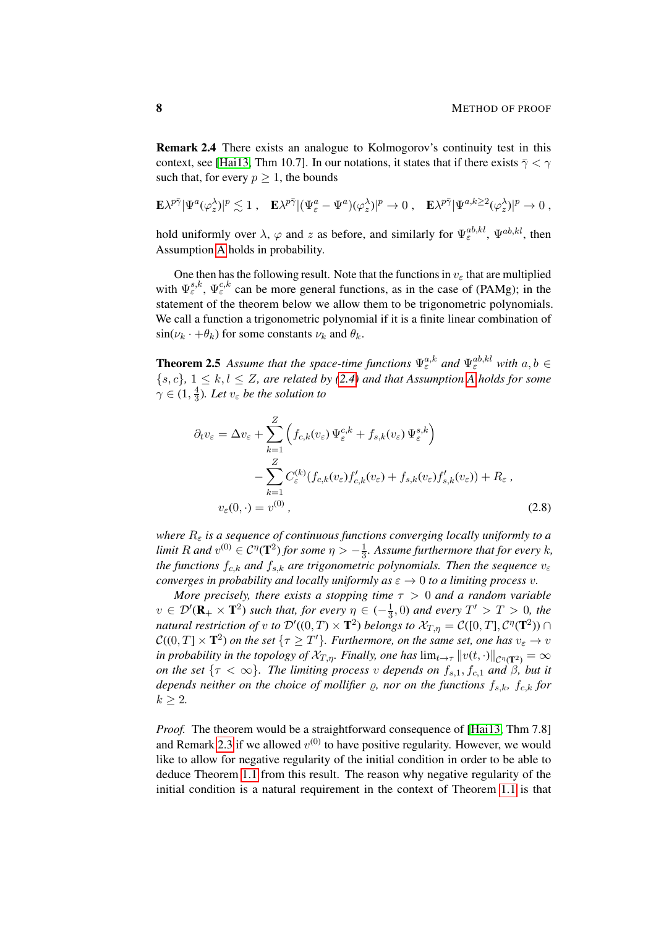Remark 2.4 There exists an analogue to Kolmogorov's continuity test in this context, see [\[Hai13,](#page-62-2) Thm 10.7]. In our notations, it states that if there exists  $\bar{\gamma} < \gamma$ such that, for every  $p \geq 1$ , the bounds

$$
\mathbf{E} \lambda^{p\bar{\gamma}} |\Psi^a(\varphi_z^{\lambda})|^p \lesssim 1 \; , \quad \mathbf{E} \lambda^{p\bar{\gamma}} |(\Psi^a_\varepsilon - \Psi^a)(\varphi_z^{\lambda})|^p \to 0 \; , \quad \mathbf{E} \lambda^{p\bar{\gamma}} |\Psi^{a,k\geq 2}(\varphi_z^{\lambda})|^p \to 0 \; ,
$$

hold uniformly over  $\lambda$ ,  $\varphi$  and z as before, and similarly for  $\Psi_{\varepsilon}^{ab,kl}$ ,  $\Psi^{ab,kl}$ , then Assumption [A](#page-6-2) holds in probability.

One then has the following result. Note that the functions in  $v_{\varepsilon}$  that are multiplied with  $\Psi_{\varepsilon}^{s,k}$ ,  $\Psi_{\varepsilon}^{c,k}$  can be more general functions, as in the case of (PAMg); in the statement of the theorem below we allow them to be trigonometric polynomials. We call a function a trigonometric polynomial if it is a finite linear combination of  $\sin(\nu_k \cdot + \theta_k)$  for some constants  $\nu_k$  and  $\theta_k$ .

<span id="page-7-0"></span>**Theorem 2.5** Assume that the space-time functions  $\Psi_{\varepsilon}^{a,k}$  and  $\Psi_{\varepsilon}^{ab,kl}$  with  $a, b \in$  ${s, c}$ ,  $1 \leq k, l \leq Z$ , are related by [\(2.4\)](#page-6-0) and that [A](#page-6-2)ssumption A holds for some  $\gamma \in (1, \frac{4}{3})$  $\frac{4}{3}$ ). Let  $v_{\varepsilon}$  be the solution to

<span id="page-7-1"></span>
$$
\partial_t v_{\varepsilon} = \Delta v_{\varepsilon} + \sum_{k=1}^Z \left( f_{c,k}(v_{\varepsilon}) \Psi_{\varepsilon}^{c,k} + f_{s,k}(v_{\varepsilon}) \Psi_{\varepsilon}^{s,k} \right)
$$

$$
- \sum_{k=1}^Z C_{\varepsilon}^{(k)} (f_{c,k}(v_{\varepsilon}) f'_{c,k}(v_{\varepsilon}) + f_{s,k}(v_{\varepsilon}) f'_{s,k}(v_{\varepsilon})) + R_{\varepsilon} ,
$$

$$
v_{\varepsilon}(0, \cdot) = v^{(0)} ,
$$
(2.8)

*where*  $R_{\varepsilon}$  *is a sequence of continuous functions converging locally uniformly to a limit* R and  $v^{(0)} \in C^{\eta}(\mathbf{T}^2)$  for some  $\eta > -\frac{1}{3}$ 3 *. Assume furthermore that for every* k*, the functions*  $f_{c,k}$  *and*  $f_{s,k}$  *are trigonometric polynomials. Then the sequence*  $v_{\varepsilon}$ *converges in probability and locally uniformly as*  $\varepsilon \to 0$  *to a limiting process v.* 

*More precisely, there exists a stopping time*  $\tau > 0$  *and a random variable*  $v \in \mathcal{D}'(\mathbf{R}_+ \times \mathbf{T}^2)$  such that, for every  $\eta \in (-\frac{1}{3})$  $\frac{1}{3}$ , 0) and every  $T' > T > 0$ , the *natural restriction of v to*  $\mathcal{D}'((0,T)\times\mathbf{T}^2)$  *belongs to*  $\mathcal{X}_{T,\eta}=\mathcal{C}([0,T],\mathcal{C}^\eta(\mathbf{T}^2))\cap$  $\mathcal{C}((0,T]\times\mathbf{T}^2)$  on the set  $\{\tau\geq T'\}$ . Furthermore, on the same set, one has  $v_{\varepsilon}\to v$ *in probability in the topology of*  $\mathcal{X}_{T,\eta}$ *. Finally, one has*  $\lim_{t\to\tau} \|v(t,\cdot)\|_{\mathcal{C}^\eta(\mathbf{T}^2)} = \infty$ *on the set*  $\{\tau < \infty\}$ *. The limiting process v depends on*  $f_{s,1}, f_{c,1}$  *and*  $\beta$ *, but it depends neither on the choice of mollifier*  $\varrho$ , nor on the functions  $f_{s,k}$ ,  $f_{c,k}$  for  $k > 2$ .

*Proof.* The theorem would be a straightforward consequence of [\[Hai13,](#page-62-2) Thm 7.8] and Remark [2.3](#page-6-3) if we allowed  $v^{(0)}$  to have positive regularity. However, we would like to allow for negative regularity of the initial condition in order to be able to deduce Theorem [1.1](#page-2-0) from this result. The reason why negative regularity of the initial condition is a natural requirement in the context of Theorem [1.1](#page-2-0) is that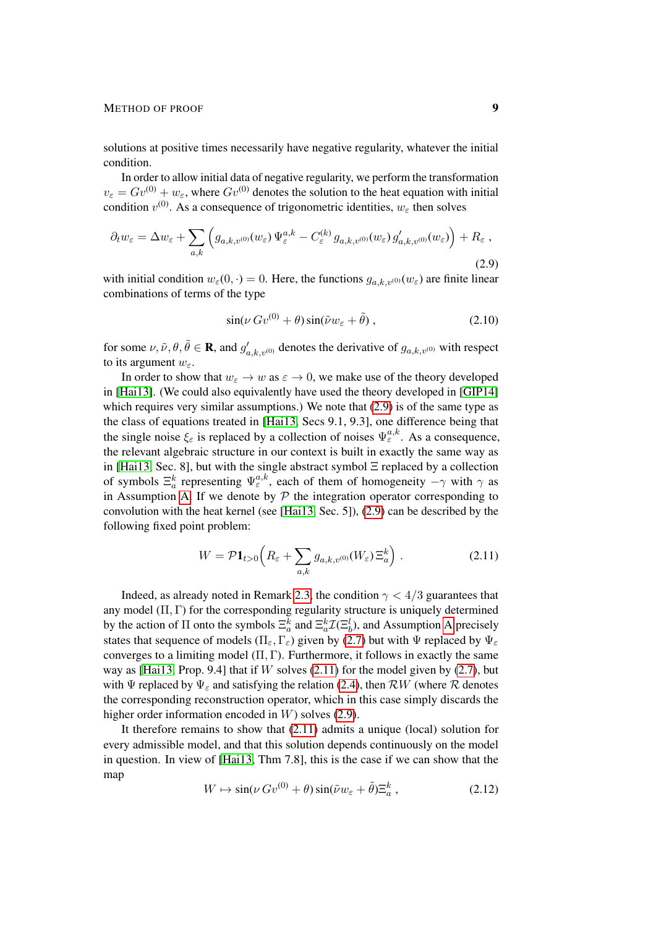#### METHOD OF PROOF 9

solutions at positive times necessarily have negative regularity, whatever the initial condition.

In order to allow initial data of negative regularity, we perform the transformation  $v_{\varepsilon} = Gv^{(0)} + w_{\varepsilon}$ , where  $Gv^{(0)}$  denotes the solution to the heat equation with initial condition  $v^{(0)}$ . As a consequence of trigonometric identities,  $w_{\varepsilon}$  then solves

$$
\partial_t w_{\varepsilon} = \Delta w_{\varepsilon} + \sum_{a,k} \left( g_{a,k,v^{(0)}}(w_{\varepsilon}) \Psi_{\varepsilon}^{a,k} - C_{\varepsilon}^{(k)} g_{a,k,v^{(0)}}(w_{\varepsilon}) g'_{a,k,v^{(0)}}(w_{\varepsilon}) \right) + R_{\varepsilon} ,
$$
\n(2.9)

with initial condition  $w_{\varepsilon}(0, \cdot) = 0$ . Here, the functions  $g_{a,k,v^{(0)}}(w_{\varepsilon})$  are finite linear combinations of terms of the type

<span id="page-8-0"></span>
$$
\sin(\nu G v^{(0)} + \theta) \sin(\tilde{\nu} w_{\varepsilon} + \tilde{\theta}), \qquad (2.10)
$$

for some  $\nu, \tilde{\nu}, \theta, \tilde{\theta} \in \mathbf{R}$ , and  $g'_{a,k,\nu^{(0)}}$  denotes the derivative of  $g_{a,k,\nu^{(0)}}$  with respect to its argument  $w_{\varepsilon}$ .

In order to show that  $w_{\varepsilon} \to w$  as  $\varepsilon \to 0$ , we make use of the theory developed in [\[Hai13\]](#page-62-2). (We could also equivalently have used the theory developed in [\[GIP14\]](#page-62-13) which requires very similar assumptions.) We note that [\(2.9\)](#page-8-0) is of the same type as the class of equations treated in [\[Hai13,](#page-62-2) Secs 9.1, 9.3], one difference being that the single noise  $\xi_{\varepsilon}$  is replaced by a collection of noises  $\Psi_{\varepsilon}^{a,k}$ . As a consequence, the relevant algebraic structure in our context is built in exactly the same way as in [\[Hai13,](#page-62-2) Sec. 8], but with the single abstract symbol Ξ replaced by a collection of symbols  $\Xi_a^k$  representing  $\Psi_{\varepsilon}^{a,k}$ , each of them of homogeneity  $-\gamma$  with  $\gamma$  as in Assumption [A.](#page-6-2) If we denote by  $P$  the integration operator corresponding to convolution with the heat kernel (see [\[Hai13,](#page-62-2) Sec. 5]), [\(2.9\)](#page-8-0) can be described by the following fixed point problem:

<span id="page-8-1"></span>
$$
W = \mathcal{P} \mathbf{1}_{t>0} \left( R_{\varepsilon} + \sum_{a,k} g_{a,k,v^{(0)}}(W_{\varepsilon}) \Xi_a^k \right) . \tag{2.11}
$$

Indeed, as already noted in Remark [2.3,](#page-6-3) the condition  $\gamma < 4/3$  guarantees that any model  $(\Pi, \Gamma)$  for the corresponding regularity structure is uniquely determined by the action of  $\Pi$  onto the symbols  $\Xi_a^k$  and  $\Xi_a^k \mathcal{I}(\Xi_b^l)$ , and [A](#page-6-2)ssumption A precisely states that sequence of models ( $\Pi_{\varepsilon}$ ,  $\Gamma_{\varepsilon}$ ) given by [\(2.7\)](#page-6-4) but with  $\Psi$  replaced by  $\Psi_{\varepsilon}$ converges to a limiting model  $(\Pi, \Gamma)$ . Furthermore, it follows in exactly the same way as [\[Hai13,](#page-62-2) Prop. 9.4] that if W solves  $(2.11)$  for the model given by  $(2.7)$ , but with Ψ replaced by  $\Psi_{\varepsilon}$  and satisfying the relation [\(2.4\)](#page-6-0), then  $\mathcal{R}W$  (where  $\mathcal R$  denotes the corresponding reconstruction operator, which in this case simply discards the higher order information encoded in W) solves [\(2.9\)](#page-8-0).

It therefore remains to show that [\(2.11\)](#page-8-1) admits a unique (local) solution for every admissible model, and that this solution depends continuously on the model in question. In view of [\[Hai13,](#page-62-2) Thm 7.8], this is the case if we can show that the map

<span id="page-8-2"></span>
$$
W \mapsto \sin(\nu G v^{(0)} + \theta) \sin(\tilde{\nu} w_{\varepsilon} + \tilde{\theta}) \Xi_a^k , \qquad (2.12)
$$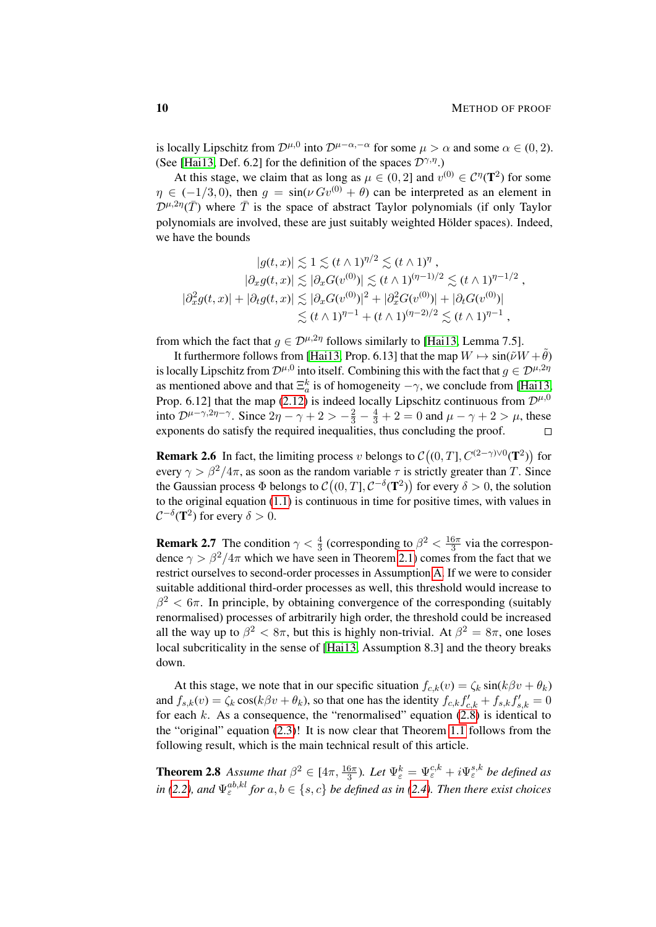is locally Lipschitz from  $\mathcal{D}^{\mu,0}$  into  $\mathcal{D}^{\mu-\alpha,-\alpha}$  for some  $\mu > \alpha$  and some  $\alpha \in (0,2)$ . (See [\[Hai13,](#page-62-2) Def. 6.2] for the definition of the spaces  $\mathcal{D}^{\gamma,\eta}$ .)

At this stage, we claim that as long as  $\mu \in (0, 2]$  and  $v^{(0)} \in C^{\eta}(\mathbf{T}^2)$  for some  $\eta \in (-1/3, 0)$ , then  $q = \sin(\nu Gv^{(0)} + \theta)$  can be interpreted as an element in  $\mathcal{D}^{\mu,2\eta}(\bar{T})$  where  $\bar{T}$  is the space of abstract Taylor polynomials (if only Taylor polynomials are involved, these are just suitably weighted Hölder spaces). Indeed, we have the bounds

$$
|g(t, x)| \lesssim 1 \lesssim (t \wedge 1)^{\eta/2} \lesssim (t \wedge 1)^{\eta},
$$
  
\n
$$
|\partial_x g(t, x)| \lesssim |\partial_x G(v^{(0)})| \lesssim (t \wedge 1)^{(\eta - 1)/2} \lesssim (t \wedge 1)^{\eta - 1/2},
$$
  
\n
$$
|\partial_x^2 g(t, x)| + |\partial_t g(t, x)| \lesssim |\partial_x G(v^{(0)})|^2 + |\partial_x^2 G(v^{(0)})| + |\partial_t G(v^{(0)})|
$$
  
\n
$$
\lesssim (t \wedge 1)^{\eta - 1} + (t \wedge 1)^{(\eta - 2)/2} \lesssim (t \wedge 1)^{\eta - 1},
$$

from which the fact that  $g \in \mathcal{D}^{\mu,2\eta}$  follows similarly to [\[Hai13,](#page-62-2) Lemma 7.5].

It furthermore follows from [\[Hai13,](#page-62-2) Prop. 6.13] that the map  $W \mapsto \sin(\tilde{\nu}W + \tilde{\theta})$ is locally Lipschitz from  $\mathcal{D}^{\mu,0}$  into itself. Combining this with the fact that  $g \in \mathcal{D}^{\mu,2\eta}$ as mentioned above and that  $\Xi_a^k$  is of homogeneity  $-\gamma$ , we conclude from [\[Hai13,](#page-62-2) Prop. 6.12] that the map [\(2.12\)](#page-8-2) is indeed locally Lipschitz continuous from  $\mathcal{D}^{\mu,0}$ into  $\mathcal{D}^{\mu-\gamma,2\eta-\gamma}$ . Since  $2\eta-\gamma+2>-\frac{2}{3}-\frac{4}{3}+2=0$  and  $\mu-\gamma+2>\mu$ , these exponents do satisfy the required inequalities, thus concluding the proof.  $\Box$ 

<span id="page-9-0"></span>**Remark 2.6** In fact, the limiting process v belongs to  $\mathcal{C}((0,T], C^{(2-\gamma)\vee 0}(T^2))$  for every  $\gamma > \beta^2/4\pi$ , as soon as the random variable  $\tau$  is strictly greater than T. Since the Gaussian process  $\Phi$  belongs to  $\mathcal{C}((0,T], \mathcal{C}^{-\delta}(\mathbf{T}^2))$  for every  $\delta > 0$ , the solution to the original equation [\(1.1\)](#page-0-1) is continuous in time for positive times, with values in  $C^{-\delta}(\mathbf{T}^2)$  for every  $\delta > 0$ .

**Remark 2.7** The condition  $\gamma < \frac{4}{3}$  (corresponding to  $\beta^2 < \frac{16\pi}{3}$  $\frac{6\pi}{3}$  via the correspondence  $\gamma > \beta^2/4\pi$  which we have seen in Theorem [2.1\)](#page-5-0) comes from the fact that we restrict ourselves to second-order processes in Assumption [A.](#page-6-2) If we were to consider suitable additional third-order processes as well, this threshold would increase to  $\beta^2 < 6\pi$ . In principle, by obtaining convergence of the corresponding (suitably renormalised) processes of arbitrarily high order, the threshold could be increased all the way up to  $\beta^2 < 8\pi$ , but this is highly non-trivial. At  $\beta^2 = 8\pi$ , one loses local subcriticality in the sense of [\[Hai13,](#page-62-2) Assumption 8.3] and the theory breaks down.

At this stage, we note that in our specific situation  $f_{c,k}(v) = \zeta_k \sin(k\beta v + \theta_k)$ and  $f_{s,k}(v) = \zeta_k \cos(k\beta v + \theta_k)$ , so that one has the identity  $f_{c,k}f'_{c,k} + f_{s,k}f'_{s,k} = 0$ for each  $k$ . As a consequence, the "renormalised" equation  $(2.8)$  is identical to the "original" equation [\(2.3\)](#page-5-1)! It is now clear that Theorem [1.1](#page-2-0) follows from the following result, which is the main technical result of this article.

<span id="page-9-1"></span>**Theorem 2.8** Assume that  $\beta^2 \in [4\pi, \frac{16\pi}{3})$ . Let  $\Psi_{\varepsilon}^k = \Psi_{\varepsilon}^{c,k} + i\Psi_{\varepsilon}^{s,k}$  be defined as *in* [\(2.2\)](#page-4-2), and  $\Psi_{\varepsilon}^{ab,kl}$  for  $a, b \in \{s, c\}$  be defined as in [\(2.4\)](#page-6-0). Then there exist choices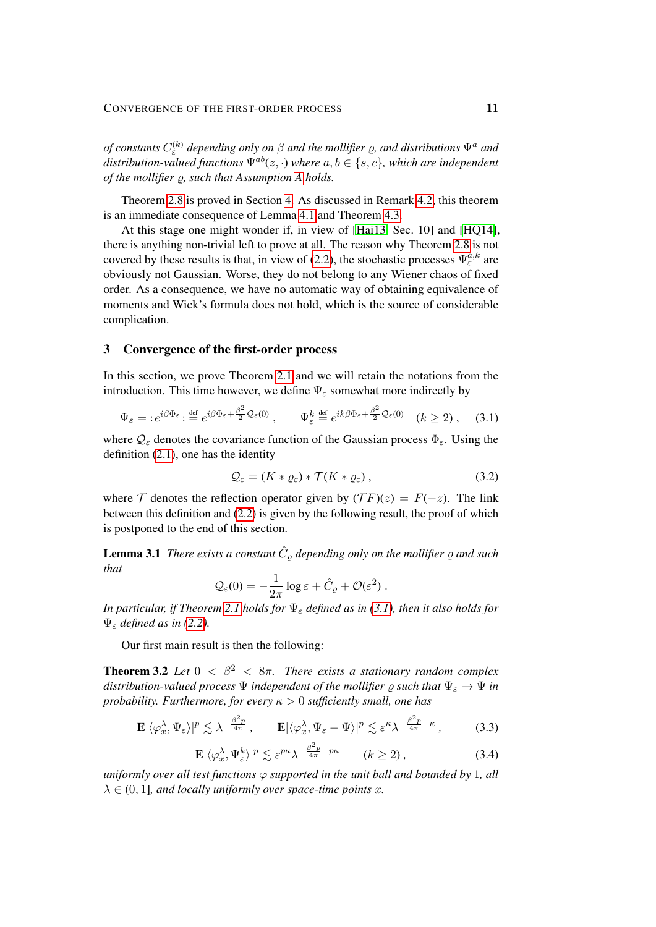*of constants*  $C_{\varepsilon}^{(k)}$  depending only on  $\beta$  and the mollifier  $\varrho$ , and distributions  $\Psi^a$  and *distribution-valued functions*  $\Psi^{ab}(z, \cdot)$  *where*  $a, b \in \{s, c\}$ *, which are independent of the mollifier*  $\rho$ , such that [A](#page-6-2)ssumption *A* holds.

Theorem [2.8](#page-9-1) is proved in Section [4.](#page-22-0) As discussed in Remark [4.2,](#page-24-0) this theorem is an immediate consequence of Lemma [4.1](#page-23-1) and Theorem [4.3.](#page-24-1)

At this stage one might wonder if, in view of [\[Hai13,](#page-62-2) Sec. 10] and [\[HQ14\]](#page-62-14), there is anything non-trivial left to prove at all. The reason why Theorem [2.8](#page-9-1) is not covered by these results is that, in view of [\(2.2\)](#page-4-2), the stochastic processes  $\Psi_{\varepsilon}^{a,k}$  are obviously not Gaussian. Worse, they do not belong to any Wiener chaos of fixed order. As a consequence, we have no automatic way of obtaining equivalence of moments and Wick's formula does not hold, which is the source of considerable complication.

## <span id="page-10-0"></span>3 Convergence of the first-order process

In this section, we prove Theorem [2.1](#page-5-0) and we will retain the notations from the introduction. This time however, we define  $\Psi_{\varepsilon}$  somewhat more indirectly by

$$
\Psi_{\varepsilon} = :e^{i\beta\Phi_{\varepsilon}}:\stackrel{\text{def}}{=} e^{i\beta\Phi_{\varepsilon} + \frac{\beta^2}{2}\mathcal{Q}_{\varepsilon}(0)}\,,\qquad \Psi_{\varepsilon}^k\stackrel{\text{def}}{=} e^{ik\beta\Phi_{\varepsilon} + \frac{\beta^2}{2}\mathcal{Q}_{\varepsilon}(0)}\quad (k\geq 2)\,,\quad (3.1)
$$

where  $\mathcal{Q}_{\varepsilon}$  denotes the covariance function of the Gaussian process  $\Phi_{\varepsilon}$ . Using the definition [\(2.1\)](#page-4-3), one has the identity

<span id="page-10-3"></span><span id="page-10-2"></span>
$$
\mathcal{Q}_{\varepsilon} = (K * \varrho_{\varepsilon}) * \mathcal{T}(K * \varrho_{\varepsilon}), \qquad (3.2)
$$

where T denotes the reflection operator given by  $(TF)(z) = F(-z)$ . The link between this definition and [\(2.2\)](#page-4-2) is given by the following result, the proof of which is postponed to the end of this section.

<span id="page-10-6"></span>**Lemma 3.1** There exists a constant  $\hat{C}_{\varrho}$  depending only on the mollifier  $\varrho$  and such *that*

$$
\mathcal{Q}_{\varepsilon}(0) = -\frac{1}{2\pi} \log \varepsilon + \hat{C}_{\varrho} + \mathcal{O}(\varepsilon^2) .
$$

*In particular, if Theorem* [2.1](#page-5-0) *holds for*  $\Psi_{\varepsilon}$  *defined as in [\(3.1\)](#page-10-2), then it also holds for* Ψ<sup>ε</sup> *defined as in [\(2.2\)](#page-4-2).*

Our first main result is then the following:

<span id="page-10-1"></span>**Theorem 3.2** *Let*  $0 < \beta^2 < 8\pi$ *. There exists a stationary random complex distribution-valued process*  $\Psi$  *independent of the mollifier*  $\rho$  *such that*  $\Psi_{\varepsilon} \to \Psi$  *in probability. Furthermore, for every* κ > 0 *sufficiently small, one has*

$$
\mathbf{E}|\langle \varphi_x^{\lambda}, \Psi_{\varepsilon} \rangle|^p \lesssim \lambda^{-\frac{\beta^2 p}{4\pi}}, \qquad \mathbf{E}|\langle \varphi_x^{\lambda}, \Psi_{\varepsilon} - \Psi \rangle|^p \lesssim \varepsilon^{\kappa} \lambda^{-\frac{\beta^2 p}{4\pi} - \kappa}, \tag{3.3}
$$

<span id="page-10-5"></span><span id="page-10-4"></span>
$$
\mathbf{E}|\langle \varphi_x^{\lambda}, \Psi_{\varepsilon}^{k} \rangle|^{p} \lesssim \varepsilon^{p\kappa} \lambda^{-\frac{\beta^{2} p}{4\pi} - p\kappa} \qquad (k \ge 2), \tag{3.4}
$$

*uniformly over all test functions*  $\varphi$  *supported in the unit ball and bounded by 1, all*  $\lambda \in (0, 1]$ *, and locally uniformly over space-time points x.*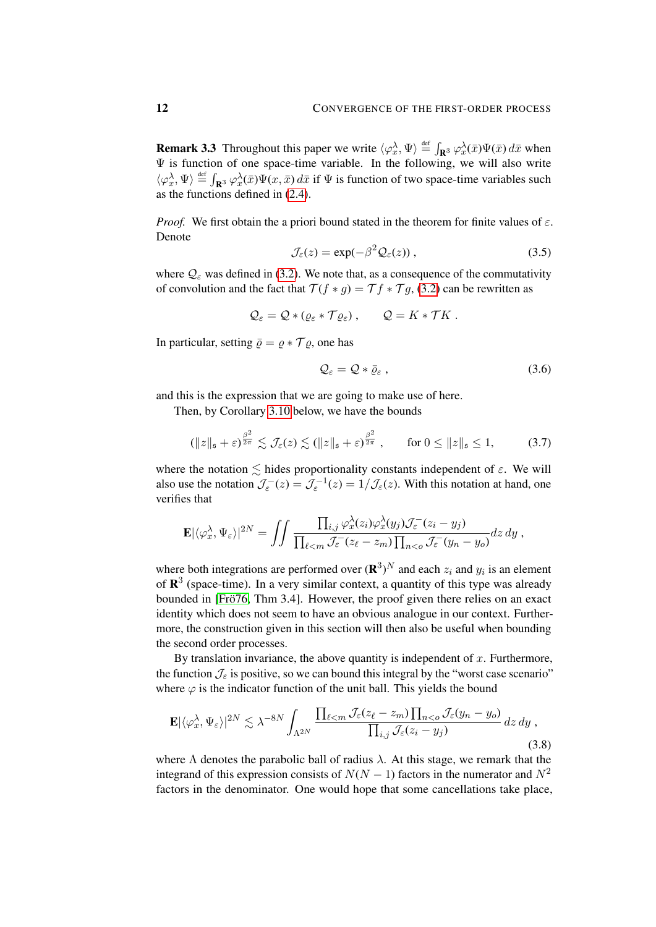**Remark 3.3** Throughout this paper we write  $\langle \varphi_x^{\lambda}, \Psi \rangle \stackrel{\text{def}}{=} \int_{\mathbf{R}^3} \varphi_x^{\lambda}(\bar{x}) \Psi(\bar{x}) d\bar{x}$  when  $\Psi$  is function of one space-time variable. In the following, we will also write  $\langle \varphi_x^{\lambda}, \Psi \rangle \stackrel{\text{def}}{=} \int_{\mathbf{R}^3} \varphi_x^{\lambda}(\bar{x}) \Psi(x, \bar{x}) d\bar{x}$  if  $\Psi$  is function of two space-time variables such as the functions defined in [\(2.4\)](#page-6-0).

*Proof.* We first obtain the a priori bound stated in the theorem for finite values of  $\varepsilon$ . Denote

<span id="page-11-0"></span>
$$
\mathcal{J}_{\varepsilon}(z) = \exp(-\beta^2 \mathcal{Q}_{\varepsilon}(z)), \qquad (3.5)
$$

where  $Q_{\varepsilon}$  was defined in [\(3.2\)](#page-10-3). We note that, as a consequence of the commutativity of convolution and the fact that  $\mathcal{T}(f * g) = \mathcal{T} f * \mathcal{T} g$ , [\(3.2\)](#page-10-3) can be rewritten as

$$
Q_{\varepsilon} = Q * ( \varrho_{\varepsilon} * T \varrho_{\varepsilon} ) , \qquad Q = K * T K .
$$

In particular, setting  $\overline{\rho} = \rho * \mathcal{T} \rho$ , one has

<span id="page-11-3"></span><span id="page-11-1"></span>
$$
\mathcal{Q}_{\varepsilon} = \mathcal{Q} * \bar{\varrho}_{\varepsilon} \,, \tag{3.6}
$$

and this is the expression that we are going to make use of here.

Then, by Corollary [3.10](#page-21-0) below, we have the bounds

$$
(\|z\|_{\mathfrak{s}} + \varepsilon)^{\frac{\beta^2}{2\pi}} \lesssim \mathcal{J}_{\varepsilon}(z) \lesssim (\|z\|_{\mathfrak{s}} + \varepsilon)^{\frac{\beta^2}{2\pi}}, \qquad \text{for } 0 \le \|z\|_{\mathfrak{s}} \le 1,
$$
 (3.7)

where the notation  $\lesssim$  hides proportionality constants independent of  $\varepsilon$ . We will also use the notation  $\mathcal{J}_{\varepsilon}^{-}(z) = \mathcal{J}_{\varepsilon}^{-1}(z) = 1/\mathcal{J}_{\varepsilon}(z)$ . With this notation at hand, one verifies that

$$
\mathbf{E}|\langle \varphi_x^{\lambda}, \Psi_{\varepsilon} \rangle|^{2N} = \iint \frac{\prod_{i,j} \varphi_x^{\lambda}(z_i) \varphi_x^{\lambda}(y_j) \mathcal{J}_{\varepsilon}^-(z_i - y_j)}{\prod_{\ell < m} \mathcal{J}_{\varepsilon}^-(z_\ell - z_m) \prod_{n < o} \mathcal{J}_{\varepsilon}^-(y_n - y_o)} dz dy,
$$

where both integrations are performed over  $(\mathbf{R}^3)^N$  and each  $z_i$  and  $y_i$  is an element of  $\mathbb{R}^3$  (space-time). In a very similar context, a quantity of this type was already bounded in [Frö76, Thm 3.4]. However, the proof given there relies on an exact identity which does not seem to have an obvious analogue in our context. Furthermore, the construction given in this section will then also be useful when bounding the second order processes.

By translation invariance, the above quantity is independent of  $x$ . Furthermore, the function  $\mathcal{J}_{\varepsilon}$  is positive, so we can bound this integral by the "worst case scenario" where  $\varphi$  is the indicator function of the unit ball. This yields the bound

<span id="page-11-2"></span>
$$
\mathbf{E}|\langle \varphi_x^{\lambda}, \Psi_{\varepsilon} \rangle|^{2N} \lesssim \lambda^{-8N} \int_{\Lambda^{2N}} \frac{\prod_{\ell \le m} \mathcal{J}_{\varepsilon}(z_{\ell} - z_m) \prod_{n < o} \mathcal{J}_{\varepsilon}(y_n - y_o)}{\prod_{i,j} \mathcal{J}_{\varepsilon}(z_i - y_j)} dz dy , \tag{3.8}
$$

where  $\Lambda$  denotes the parabolic ball of radius  $\lambda$ . At this stage, we remark that the integrand of this expression consists of  $N(N-1)$  factors in the numerator and  $N^2$ factors in the denominator. One would hope that some cancellations take place,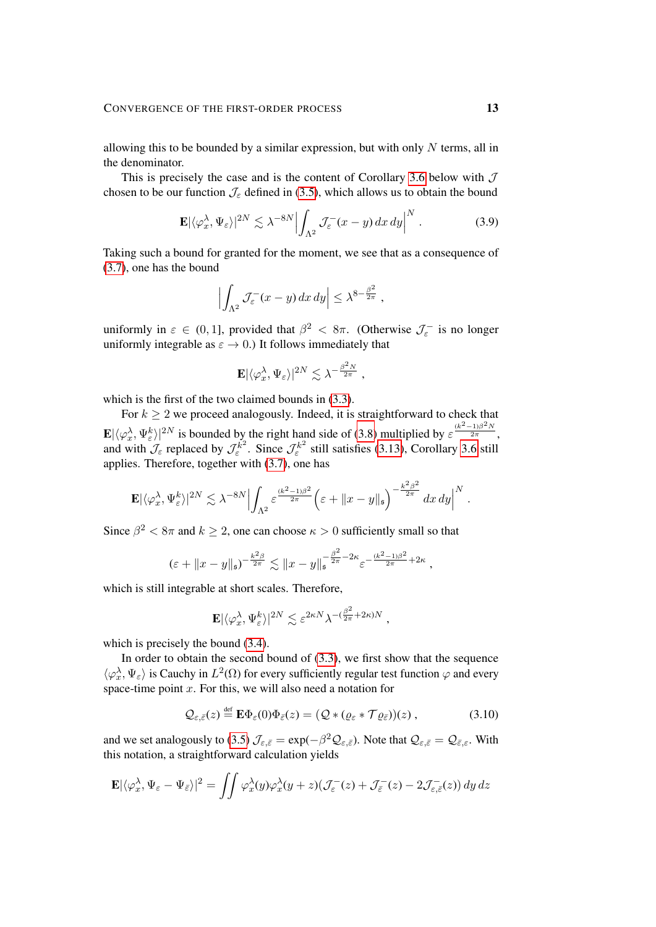allowing this to be bounded by a similar expression, but with only  $N$  terms, all in the denominator.

This is precisely the case and is the content of Corollary [3.6](#page-18-0) below with  $\mathcal J$ chosen to be our function  $\mathcal{J}_{\varepsilon}$  defined in [\(3.5\)](#page-11-0), which allows us to obtain the bound

$$
\mathbf{E}|\langle \varphi_x^{\lambda}, \Psi_{\varepsilon} \rangle|^{2N} \lesssim \lambda^{-8N} \Big| \int_{\Lambda^2} \mathcal{J}_{\varepsilon}^{-}(x-y) \, dx \, dy \Big|^N \,. \tag{3.9}
$$

Taking such a bound for granted for the moment, we see that as a consequence of [\(3.7\)](#page-11-1), one has the bound

<span id="page-12-1"></span>
$$
\left| \int_{\Lambda^2} \mathcal{J}_\varepsilon^-(x-y) \, dx \, dy \right| \leq \lambda^{8-\frac{\beta^2}{2\pi}} \,,
$$

uniformly in  $\varepsilon \in (0, 1]$ , provided that  $\beta^2 < 8\pi$ . (Otherwise  $\mathcal{J}_{\varepsilon}^-$  is no longer uniformly integrable as  $\varepsilon \to 0$ .) It follows immediately that

$$
\mathbf{E}|\langle \varphi_x^{\lambda}, \Psi_{\varepsilon} \rangle|^{2N} \lesssim \lambda^{-\frac{\beta^2 N}{2\pi}} ,
$$

which is the first of the two claimed bounds in [\(3.3\)](#page-10-4).

For  $k \geq 2$  we proceed analogously. Indeed, it is straightforward to check that  $\mathbf{E}|\langle \varphi_x^{\lambda}, \Psi_{\varepsilon}^{k}|^{2N} \rangle|^{2N}$  is bounded by the right hand side of [\(3.8\)](#page-11-2) multiplied by  $\varepsilon^{\frac{(k^2-1)\beta^2N}{2\pi}}$ , and with  $\mathcal{J}_{\varepsilon}$  replaced by  $\mathcal{J}_{\varepsilon}^{k^2}$ . Since  $\mathcal{J}_{\varepsilon}^{k^2}$  still satisfies [\(3.13\)](#page-14-0), Corollary [3.6](#page-18-0) still applies. Therefore, together with [\(3.7\)](#page-11-1), one has

$$
\mathbf{E}|\langle\varphi_x^{\lambda},\Psi_{\varepsilon}^k\rangle|^{2N}\lesssim \lambda^{-8N}\Big|\int_{\Lambda^2}\varepsilon^{\frac{(k^2-1)\beta^2}{2\pi}}\Big(\varepsilon+\|x-y\|_{\mathfrak{s}}\Big)^{-\frac{k^2\beta^2}{2\pi}}\,dx\,dy\Big|^N\;.
$$

Since  $\beta^2 < 8\pi$  and  $k \ge 2$ , one can choose  $\kappa > 0$  sufficiently small so that

$$
(\varepsilon + \|x - y\|_{\mathfrak{s}})^{-\frac{k^2\beta}{2\pi}} \lesssim \|x - y\|_{\mathfrak{s}}^{-\frac{\beta^2}{2\pi} - 2\kappa} \varepsilon^{-\frac{(k^2 - 1)\beta^2}{2\pi} + 2\kappa},
$$

which is still integrable at short scales. Therefore,

<span id="page-12-0"></span>
$$
\mathbf{E}|\langle \varphi_x^{\lambda}, \Psi_{\varepsilon}^k \rangle|^{2N} \lesssim \varepsilon^{2\kappa N} \lambda^{-(\frac{\beta^2}{2\pi} + 2\kappa)N},
$$

which is precisely the bound  $(3.4)$ .

In order to obtain the second bound of [\(3.3\)](#page-10-4), we first show that the sequence  $\langle \varphi_x^{\lambda}, \Psi_{\varepsilon} \rangle$  is Cauchy in  $L^2(\Omega)$  for every sufficiently regular test function  $\varphi$  and every space-time point  $x$ . For this, we will also need a notation for

$$
\mathcal{Q}_{\varepsilon,\bar{\varepsilon}}(z) \stackrel{\text{def}}{=} \mathbf{E} \Phi_{\varepsilon}(0) \Phi_{\bar{\varepsilon}}(z) = \left(\mathcal{Q} * (\varrho_{\varepsilon} * \mathcal{T} \varrho_{\bar{\varepsilon}})\right)(z) ,\tag{3.10}
$$

and we set analogously to [\(3.5\)](#page-11-0)  $\mathcal{J}_{\varepsilon,\bar{\varepsilon}} = \exp(-\beta^2 \mathcal{Q}_{\varepsilon,\bar{\varepsilon}})$ . Note that  $\mathcal{Q}_{\varepsilon,\bar{\varepsilon}} = \mathcal{Q}_{\bar{\varepsilon},\varepsilon}$ . With this notation, a straightforward calculation yields

$$
\mathbf{E}|\langle \varphi_x^{\lambda}, \Psi_{\varepsilon} - \Psi_{\bar{\varepsilon}} \rangle|^2 = \iint \varphi_x^{\lambda}(y) \varphi_x^{\lambda}(y+z) (\mathcal{J}_{\varepsilon}^-(z) + \mathcal{J}_{\bar{\varepsilon}}^-(z) - 2\mathcal{J}_{\varepsilon, \bar{\varepsilon}}^-(z)) \, dy \, dz
$$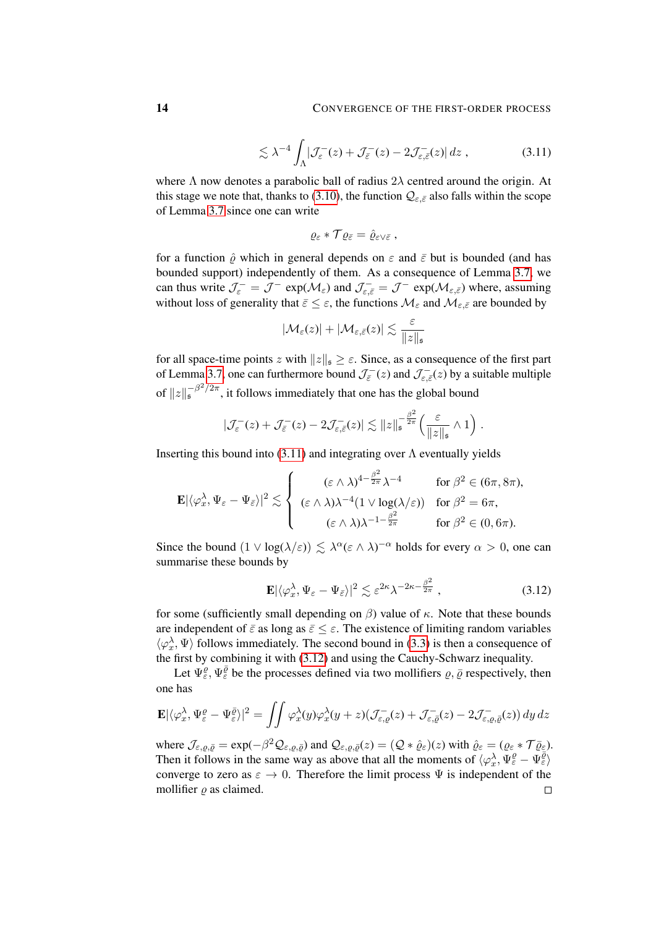$$
\lesssim \lambda^{-4} \int_{\Lambda} \left| \mathcal{J}_{\varepsilon}^{-}(z) + \mathcal{J}_{\bar{\varepsilon}}^{-}(z) - 2 \mathcal{J}_{\varepsilon, \bar{\varepsilon}}^{-}(z) \right| dz , \qquad (3.11)
$$

where  $\Lambda$  now denotes a parabolic ball of radius  $2\lambda$  centred around the origin. At this stage we note that, thanks to [\(3.10\)](#page-12-0), the function  $Q_{\varepsilon,\bar{\varepsilon}}$  also falls within the scope of Lemma [3.7](#page-19-0) since one can write

<span id="page-13-0"></span>
$$
\varrho_\varepsilon * \mathcal{T} \varrho_{\bar{\varepsilon}} = \hat{\varrho}_{\varepsilon \vee \bar{\varepsilon}} ,
$$

for a function  $\hat{\rho}$  which in general depends on  $\varepsilon$  and  $\bar{\varepsilon}$  but is bounded (and has bounded support) independently of them. As a consequence of Lemma [3.7,](#page-19-0) we can thus write  $\mathcal{J}_{\varepsilon}^- = \mathcal{J}^-$  exp $(\mathcal{M}_{\varepsilon})$  and  $\mathcal{J}_{\varepsilon,\bar{\varepsilon}}^- = \mathcal{J}^-$  exp $(\mathcal{M}_{\varepsilon,\bar{\varepsilon}})$  where, assuming without loss of generality that  $\bar{\varepsilon} \leq \varepsilon$ , the functions  $\mathcal{M}_{\varepsilon}$  and  $\mathcal{M}_{\varepsilon,\bar{\varepsilon}}$  are bounded by

$$
|\mathcal{M}_{\varepsilon}(z)| + |\mathcal{M}_{\varepsilon,\bar{\varepsilon}}(z)| \lesssim \frac{\varepsilon}{\|z\|_{\mathfrak{s}}}
$$

for all space-time points z with  $||z||_s \ge \varepsilon$ . Since, as a consequence of the first part of Lemma [3.7,](#page-19-0) one can furthermore bound  $\mathcal{J}_{\bar{\varepsilon}}(z)$  and  $\mathcal{J}_{\varepsilon,\bar{\varepsilon}}(z)$  by a suitable multiple of  $||z||_5^{-\beta^2/2\pi}$ , it follows immediately that one has the global bound

$$
|\mathcal{J}_{\varepsilon}^{-}(z) + \mathcal{J}_{\bar{\varepsilon}}^{-}(z) - 2\mathcal{J}_{\varepsilon,\bar{\varepsilon}}^{-}(z)| \lesssim ||z||_{\mathfrak{s}}^{-\frac{\beta^{2}}{2\pi}} \left(\frac{\varepsilon}{||z||_{\mathfrak{s}}} \wedge 1\right)
$$

Inserting this bound into  $(3.11)$  and integrating over  $\Lambda$  eventually yields

$$
\mathbf{E}|\langle\varphi_x^{\lambda},\Psi_{\varepsilon}-\Psi_{\bar{\varepsilon}}\rangle|^2 \lesssim \left\{ \begin{array}{cc} (\varepsilon\wedge\lambda)^{4-\frac{\beta^2}{2\pi}}\lambda^{-4} & \text{for } \beta^2\in(6\pi,8\pi),\\ (\varepsilon\wedge\lambda)\lambda^{-4}(1\vee\log(\lambda/\varepsilon)) & \text{for } \beta^2=6\pi,\\ (\varepsilon\wedge\lambda)\lambda^{-1-\frac{\beta^2}{2\pi}} & \text{for } \beta^2\in(0,6\pi). \end{array} \right.
$$

Since the bound  $(1 \vee \log(\lambda/\varepsilon)) \lesssim \lambda^{\alpha} (\varepsilon \wedge \lambda)^{-\alpha}$  holds for every  $\alpha > 0$ , one can summarise these bounds by

$$
\mathbf{E}|\langle \varphi_x^{\lambda}, \Psi_{\varepsilon} - \Psi_{\bar{\varepsilon}} \rangle|^2 \lesssim \varepsilon^{2\kappa} \lambda^{-2\kappa - \frac{\beta^2}{2\pi}}, \qquad (3.12)
$$

<span id="page-13-1"></span>.

for some (sufficiently small depending on  $\beta$ ) value of  $\kappa$ . Note that these bounds are independent of  $\bar{\varepsilon}$  as long as  $\bar{\varepsilon} \leq \varepsilon$ . The existence of limiting random variables  $\langle \varphi_x^{\lambda}, \Psi \rangle$  follows immediately. The second bound in [\(3.3\)](#page-10-4) is then a consequence of the first by combining it with [\(3.12\)](#page-13-1) and using the Cauchy-Schwarz inequality.

Let  $\Psi_{\varepsilon}^{\varrho}$ ,  $\Psi_{\varepsilon}^{\overline{\varrho}}$  be the processes defined via two mollifiers  $\varrho, \overline{\varrho}$  respectively, then one has

$$
\mathbf{E}|\langle \varphi_x^{\lambda}, \Psi_{\varepsilon}^{\varrho} - \Psi_{\varepsilon}^{\bar{\varrho}}\rangle|^2 = \iint \varphi_x^{\lambda}(y)\varphi_x^{\lambda}(y+z)(\mathcal{J}_{\varepsilon,\varrho}^{-}(z) + \mathcal{J}_{\varepsilon,\bar{\varrho}}^{-}(z) - 2\mathcal{J}_{\varepsilon,\varrho,\bar{\varrho}}^{-}(z))\,dy\,dz
$$

where  $\mathcal{J}_{\varepsilon,\varrho,\bar{\varrho}} = \exp(-\beta^2 \mathcal{Q}_{\varepsilon,\varrho,\bar{\varrho}})$  and  $\mathcal{Q}_{\varepsilon,\varrho,\bar{\varrho}}(z) = (\mathcal{Q} * \hat{\varrho}_{\varepsilon})(z)$  with  $\hat{\varrho}_{\varepsilon} = (\varrho_{\varepsilon} * \mathcal{T}\bar{\varrho}_{\varepsilon}).$ Then it follows in the same way as above that all the moments of  $\langle \varphi_x^{\lambda}, \Psi_{\varepsilon}^{\varrho} - \Psi_{\varepsilon}^{\overline{\varrho}} \rangle$ converge to zero as  $\varepsilon \to 0$ . Therefore the limit process  $\Psi$  is independent of the mollifier  $\rho$  as claimed.  $\Box$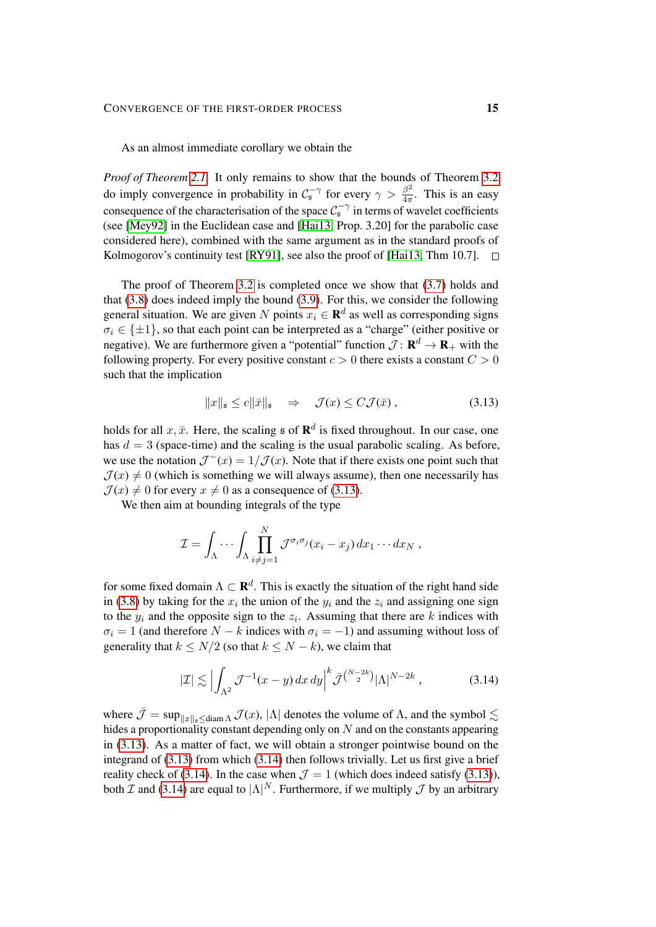As an almost immediate corollary we obtain the

*Proof of Theorem [2.1.](#page-5-0)* It only remains to show that the bounds of Theorem [3.2](#page-10-1) do imply convergence in probability in  $C_5^{-\gamma}$  for every  $\gamma > \frac{\beta^2}{4\pi}$  $rac{\beta^2}{4\pi}$ . This is an easy consequence of the characterisation of the space  $C_5^{-\gamma}$  in terms of wavelet coefficients (see [\[Mey92\]](#page-62-15) in the Euclidean case and [\[Hai13,](#page-62-2) Prop. 3.20] for the parabolic case considered here), combined with the same argument as in the standard proofs of Kolmogorov's continuity test [\[RY91\]](#page-62-16), see also the proof of [\[Hai13,](#page-62-2) Thm 10.7].  $\square$ 

The proof of Theorem [3.2](#page-10-1) is completed once we show that [\(3.7\)](#page-11-1) holds and that [\(3.8\)](#page-11-2) does indeed imply the bound [\(3.9\)](#page-12-1). For this, we consider the following general situation. We are given N points  $x_i \in \mathbf{R}^d$  as well as corresponding signs  $\sigma_i \in \{\pm 1\}$ , so that each point can be interpreted as a "charge" (either positive or negative). We are furthermore given a "potential" function  $\mathcal{J} \colon \mathbf{R}^d \to \mathbf{R}_+$  with the following property. For every positive constant  $c > 0$  there exists a constant  $C > 0$ such that the implication

<span id="page-14-0"></span>
$$
||x||_{\mathfrak{s}} \le c||\bar{x}||_{\mathfrak{s}} \quad \Rightarrow \quad \mathcal{J}(x) \le C\mathcal{J}(\bar{x})\,,\tag{3.13}
$$

holds for all  $x, \bar{x}$ . Here, the scaling  $\mathfrak s$  of  $\mathbb{R}^d$  is fixed throughout. In our case, one has  $d = 3$  (space-time) and the scaling is the usual parabolic scaling. As before, we use the notation  $\mathcal{J}^{-}(x) = 1/\mathcal{J}(x)$ . Note that if there exists one point such that  $\mathcal{J}(x) \neq 0$  (which is something we will always assume), then one necessarily has  $\mathcal{J}(x) \neq 0$  for every  $x \neq 0$  as a consequence of [\(3.13\)](#page-14-0).

We then aim at bounding integrals of the type

$$
\mathcal{I} = \int_{\Lambda} \cdots \int_{\Lambda} \prod_{i \neq j=1}^{N} \mathcal{J}^{\sigma_i \sigma_j} (x_i - x_j) \, dx_1 \cdots dx_N ,
$$

for some fixed domain  $\Lambda \subset \mathbf{R}^d$ . This is exactly the situation of the right hand side in [\(3.8\)](#page-11-2) by taking for the  $x_i$  the union of the  $y_i$  and the  $z_i$  and assigning one sign to the  $y_i$  and the opposite sign to the  $z_i$ . Assuming that there are k indices with  $\sigma_i = 1$  (and therefore  $N - k$  indices with  $\sigma_i = -1$ ) and assuming without loss of generality that  $k \le N/2$  (so that  $k \le N - k$ ), we claim that

<span id="page-14-1"></span>
$$
|\mathcal{I}| \lesssim \left| \int_{\Lambda^2} \mathcal{J}^{-1}(x - y) \, dx \, dy \right|^k \bar{\mathcal{J}}^{\left(\frac{N - 2k}{2}\right)} |\Lambda|^{N - 2k} \,, \tag{3.14}
$$

where  $\bar{\mathcal{J}} = \sup_{||x||_2 \leq \text{diam }\Lambda} \mathcal{J}(x)$ ,  $|\Lambda|$  denotes the volume of  $\Lambda$ , and the symbol  $\lesssim$ hides a proportionality constant depending only on N and on the constants appearing in [\(3.13\)](#page-14-0). As a matter of fact, we will obtain a stronger pointwise bound on the integrand of  $(3.13)$  from which  $(3.14)$  then follows trivially. Let us first give a brief reality check of [\(3.14\)](#page-14-1). In the case when  $\mathcal{J} = 1$  (which does indeed satisfy [\(3.13\)](#page-14-0)), both  $\mathcal I$  and [\(3.14\)](#page-14-1) are equal to  $|\Lambda|^N$ . Furthermore, if we multiply  $\mathcal J$  by an arbitrary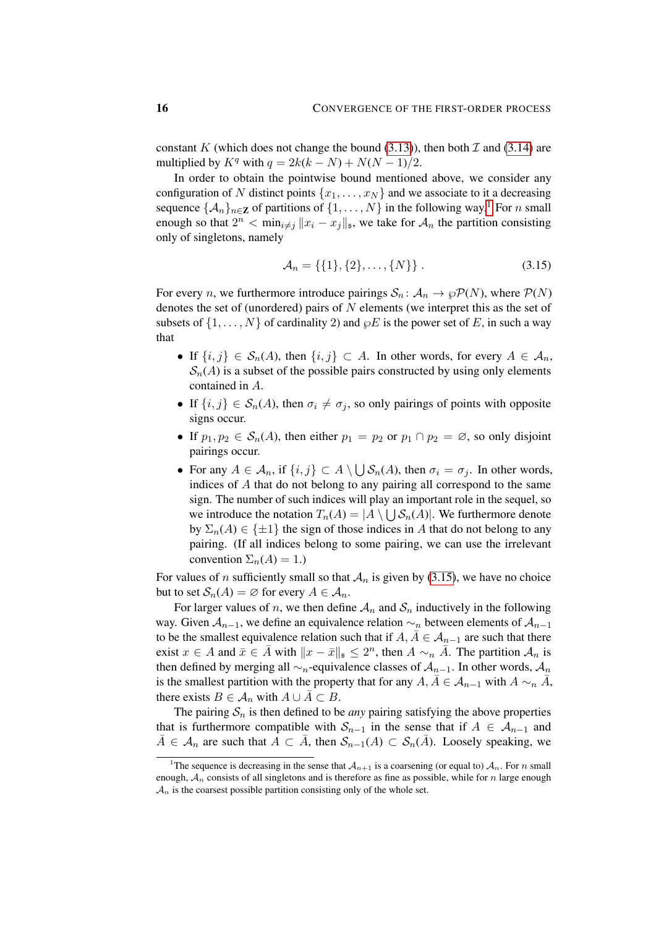constant K (which does not change the bound  $(3.13)$ ), then both  $\mathcal I$  and  $(3.14)$  are multiplied by  $K^q$  with  $q = 2k(k - N) + N(N - 1)/2$ .

In order to obtain the pointwise bound mentioned above, we consider any configuration of N distinct points  $\{x_1, \ldots, x_N\}$  and we associate to it a decreasing sequence  $\{\mathcal{A}_n\}_{n\in\mathbb{Z}}$  of partitions of  $\{1,\ldots,N\}$  $\{1,\ldots,N\}$  $\{1,\ldots,N\}$  in the following way.<sup>1</sup> For *n* small enough so that  $2^n < \min_{i \neq j} ||x_i - x_j||_{\mathfrak{s}}$ , we take for  $\mathcal{A}_n$  the partition consisting only of singletons, namely

<span id="page-15-1"></span>
$$
\mathcal{A}_n = \{ \{1\}, \{2\}, \dots, \{N\} \} . \tag{3.15}
$$

For every *n*, we furthermore introduce pairings  $S_n: A_n \to \wp \mathcal{P}(N)$ , where  $\mathcal{P}(N)$ denotes the set of (unordered) pairs of  $N$  elements (we interpret this as the set of subsets of  $\{1, \ldots, N\}$  of cardinality 2) and  $\wp E$  is the power set of E, in such a way that

- If  $\{i, j\} \in S_n(A)$ , then  $\{i, j\} \subset A$ . In other words, for every  $A \in \mathcal{A}_n$ ,  $S_n(A)$  is a subset of the possible pairs constructed by using only elements contained in A.
- If  $\{i, j\} \in S_n(A)$ , then  $\sigma_i \neq \sigma_j$ , so only pairings of points with opposite signs occur.
- If  $p_1, p_2 \in S_n(A)$ , then either  $p_1 = p_2$  or  $p_1 \cap p_2 = \emptyset$ , so only disjoint pairings occur.
- For any  $A \in \mathcal{A}_n$ , if  $\{i, j\} \subset A \setminus \bigcup \mathcal{S}_n(A)$ , then  $\sigma_i = \sigma_j$ . In other words, indices of A that do not belong to any pairing all correspond to the same sign. The number of such indices will play an important role in the sequel, so we introduce the notation  $T_n(A) = |A \setminus \bigcup S_n(A)|$ . We furthermore denote by  $\Sigma_n(A) \in \{\pm 1\}$  the sign of those indices in A that do not belong to any pairing. (If all indices belong to some pairing, we can use the irrelevant convention  $\Sigma_n(A) = 1$ .)

For values of n sufficiently small so that  $A_n$  is given by [\(3.15\)](#page-15-1), we have no choice but to set  $S_n(A) = \emptyset$  for every  $A \in \mathcal{A}_n$ .

For larger values of n, we then define  $A_n$  and  $S_n$  inductively in the following way. Given  $A_{n-1}$ , we define an equivalence relation  $\sim_n$  between elements of  $A_{n-1}$ to be the smallest equivalence relation such that if  $A, \overline{A} \in \mathcal{A}_{n-1}$  are such that there exist  $x \in A$  and  $\bar{x} \in \bar{A}$  with  $||x - \bar{x}||_{\mathfrak{s}} \leq 2^n$ , then  $A \sim_n \bar{A}$ . The partition  $\mathcal{A}_n$  is then defined by merging all  $\sim_n$ -equivalence classes of  $\mathcal{A}_{n-1}$ . In other words,  $\mathcal{A}_n$ is the smallest partition with the property that for any  $A, \overline{A} \in \mathcal{A}_{n-1}$  with  $A \sim_n \overline{A}$ , there exists  $B \in A_n$  with  $A \cup \overline{A} \subset B$ .

The pairing  $S_n$  is then defined to be *any* pairing satisfying the above properties that is furthermore compatible with  $S_{n-1}$  in the sense that if  $A \in A_{n-1}$  and  $\overline{A} \in \mathcal{A}_n$  are such that  $A \subset \overline{A}$ , then  $\mathcal{S}_{n-1}(A) \subset \mathcal{S}_n(\overline{A})$ . Loosely speaking, we

<span id="page-15-0"></span><sup>&</sup>lt;sup>1</sup>The sequence is decreasing in the sense that  $\mathcal{A}_{n+1}$  is a coarsening (or equal to)  $\mathcal{A}_n$ . For n small enough,  $A_n$  consists of all singletons and is therefore as fine as possible, while for n large enough  $A_n$  is the coarsest possible partition consisting only of the whole set.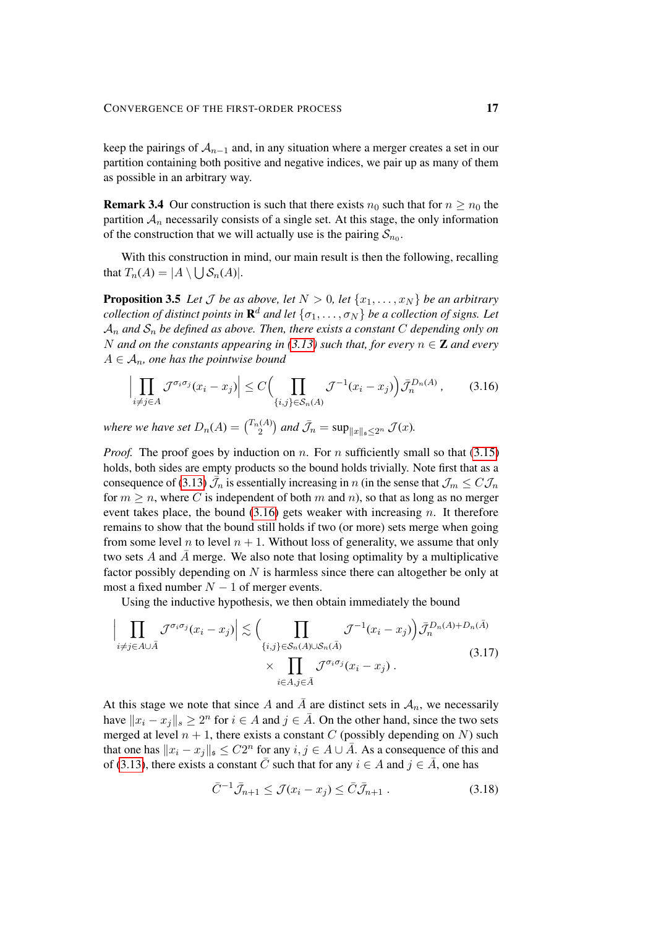keep the pairings of  $A_{n-1}$  and, in any situation where a merger creates a set in our partition containing both positive and negative indices, we pair up as many of them as possible in an arbitrary way.

**Remark 3.4** Our construction is such that there exists  $n_0$  such that for  $n \geq n_0$  the partition  $A_n$  necessarily consists of a single set. At this stage, the only information of the construction that we will actually use is the pairing  $S_{n_0}$ .

With this construction in mind, our main result is then the following, recalling that  $T_n(A) = |A \setminus \bigcup \mathcal{S}_n(A)|.$ 

<span id="page-16-0"></span>**Proposition 3.5** Let *J* be as above, let  $N > 0$ , let  $\{x_1, \ldots, x_N\}$  be an arbitrary  $\mathcal{C}$ *collection of distinct points in*  $\mathbf{R}^d$  *and let*  $\{\sigma_1,\ldots,\sigma_N\}$  *be a collection of signs. Let*  $A_n$  *and*  $S_n$  *be defined as above. Then, there exists a constant* C *depending only on* N and on the constants appearing in [\(3.13\)](#page-14-0) such that, for every  $n \in \mathbb{Z}$  and every  $A \in \mathcal{A}_n$ , one has the pointwise bound

<span id="page-16-1"></span>
$$
\left| \prod_{i \neq j \in A} \mathcal{J}^{\sigma_i \sigma_j} (x_i - x_j) \right| \leq C \Big( \prod_{\{i,j\} \in \mathcal{S}_n(A)} \mathcal{J}^{-1} (x_i - x_j) \Big) \bar{\mathcal{J}}_n^{D_n(A)} ,\qquad (3.16)
$$

where we have set  $D_n(A) = \binom{T_n(A)}{2}$  $\mathbb{Z}_2^{(A)}$ ) and  $\bar{\mathcal{J}}_n = \sup_{\|x\|_s \leq 2^n} \mathcal{J}(x)$ .

*Proof.* The proof goes by induction on n. For n sufficiently small so that  $(3.15)$ holds, both sides are empty products so the bound holds trivially. Note first that as a consequence of [\(3.13\)](#page-14-0)  $\bar{J}_n$  is essentially increasing in n (in the sense that  $\mathcal{J}_m \leq C \mathcal{J}_n$ for  $m \geq n$ , where C is independent of both m and n), so that as long as no merger event takes place, the bound  $(3.16)$  gets weaker with increasing n. It therefore remains to show that the bound still holds if two (or more) sets merge when going from some level n to level  $n + 1$ . Without loss of generality, we assume that only two sets  $A$  and  $A$  merge. We also note that losing optimality by a multiplicative factor possibly depending on N is harmless since there can altogether be only at most a fixed number  $N - 1$  of merger events.

Using the inductive hypothesis, we then obtain immediately the bound

$$
\left| \prod_{i \neq j \in A \cup \bar{A}} \mathcal{J}^{\sigma_i \sigma_j} (x_i - x_j) \right| \lesssim \Big( \prod_{\{i,j\} \in \mathcal{S}_n(A) \cup \mathcal{S}_n(\bar{A})} \mathcal{J}^{-1} (x_i - x_j) \Big) \bar{\mathcal{J}}_n^{D_n(A) + D_n(\bar{A})} \times \prod_{i \in A, j \in \bar{A}} \mathcal{J}^{\sigma_i \sigma_j} (x_i - x_j) . \tag{3.17}
$$

At this stage we note that since A and A are distinct sets in  $A_n$ , we necessarily have  $||x_i - x_j||_s \ge 2^n$  for  $i \in A$  and  $j \in \overline{A}$ . On the other hand, since the two sets merged at level  $n + 1$ , there exists a constant C (possibly depending on N) such that one has  $||x_i - x_j||_{\mathfrak{s}} \leq C2^n$  for any  $i, j \in A \cup \overline{A}$ . As a consequence of this and of [\(3.13\)](#page-14-0), there exists a constant  $\overline{C}$  such that for any  $i \in A$  and  $j \in \overline{A}$ , one has

<span id="page-16-3"></span><span id="page-16-2"></span>
$$
\bar{C}^{-1}\bar{\mathcal{J}}_{n+1} \le \mathcal{J}(x_i - x_j) \le \bar{C}\bar{\mathcal{J}}_{n+1} . \tag{3.18}
$$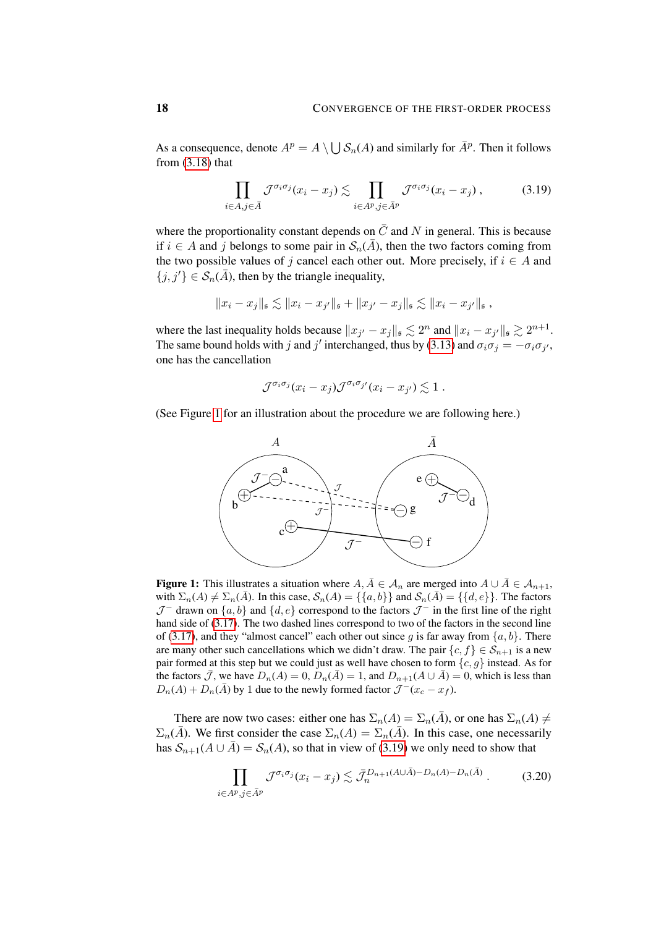As a consequence, denote  $A^p = A \setminus \bigcup S_n(A)$  and similarly for  $\overline{A}^p$ . Then it follows from  $(3.18)$  that

<span id="page-17-1"></span>
$$
\prod_{i \in A, j \in \bar{A}} \mathcal{J}^{\sigma_i \sigma_j} (x_i - x_j) \lesssim \prod_{i \in A^p, j \in \bar{A}^p} \mathcal{J}^{\sigma_i \sigma_j} (x_i - x_j) , \tag{3.19}
$$

where the proportionality constant depends on  $\overline{C}$  and N in general. This is because if  $i \in A$  and j belongs to some pair in  $\mathcal{S}_n(\overline{A})$ , then the two factors coming from the two possible values of j cancel each other out. More precisely, if  $i \in A$  and  $\{j, j'\} \in \mathcal{S}_n(\overline{A})$ , then by the triangle inequality,

$$
||x_i - x_j||_{\mathfrak{s}} \lesssim ||x_i - x_{j'}||_{\mathfrak{s}} + ||x_{j'} - x_j||_{\mathfrak{s}} \lesssim ||x_i - x_{j'}||_{\mathfrak{s}},
$$

where the last inequality holds because  $||x_{j'} - x_j||_{\mathfrak{s}} \lesssim 2^n$  and  $||x_i - x_{j'}||_{\mathfrak{s}} \gtrsim 2^{n+1}$ . The same bound holds with j and j' interchanged, thus by [\(3.13\)](#page-14-0) and  $\sigma_i \sigma_j = -\sigma_i \sigma_{j'}$ , one has the cancellation

$$
\mathcal{J}^{\sigma_i \sigma_j}(x_i - x_j) \mathcal{J}^{\sigma_i \sigma_{j'}}(x_i - x_{j'}) \lesssim 1 .
$$

<span id="page-17-0"></span>(See Figure [1](#page-17-0) for an illustration about the procedure we are following here.)



**Figure 1:** This illustrates a situation where  $A, \overline{A} \in \mathcal{A}_n$  are merged into  $A \cup \overline{A} \in \mathcal{A}_{n+1}$ , with  $\Sigma_n(A) \neq \Sigma_n(\overline{A})$ . In this case,  $\mathcal{S}_n(A) = \{\{a,b\}\}\$ and  $\mathcal{S}_n(\overline{A}) = \{\{d,e\}\}\$ . The factors  $\mathcal{J}^-$  drawn on  $\{a, b\}$  and  $\{d, e\}$  correspond to the factors  $\mathcal{J}^-$  in the first line of the right hand side of [\(3.17\)](#page-16-3). The two dashed lines correspond to two of the factors in the second line of [\(3.17\)](#page-16-3), and they "almost cancel" each other out since g is far away from  $\{a, b\}$ . There are many other such cancellations which we didn't draw. The pair  $\{c, f\} \in S_{n+1}$  is a new pair formed at this step but we could just as well have chosen to form  $\{c, g\}$  instead. As for the factors  $\bar{\mathcal{J}}$ , we have  $D_n(A) = 0$ ,  $D_n(\bar{A}) = 1$ , and  $D_{n+1}(A \cup \bar{A}) = 0$ , which is less than  $D_n(A) + D_n(\overline{A})$  by 1 due to the newly formed factor  $\mathcal{J}^-(x_c - x_f)$ .

There are now two cases: either one has  $\Sigma_n(A) = \Sigma_n(\overline{A})$ , or one has  $\Sigma_n(A) \neq$  $\Sigma_n(\overline{A})$ . We first consider the case  $\Sigma_n(A) = \Sigma_n(\overline{A})$ . In this case, one necessarily has  $S_{n+1}(A \cup \overline{A}) = S_n(A)$ , so that in view of [\(3.19\)](#page-17-1) we only need to show that

<span id="page-17-2"></span>
$$
\prod_{i \in A^p, j \in \bar{A}^p} \mathcal{J}^{\sigma_i \sigma_j} (x_i - x_j) \lesssim \bar{\mathcal{J}}_n^{D_{n+1}(A \cup \bar{A}) - D_n(A) - D_n(\bar{A})} \,. \tag{3.20}
$$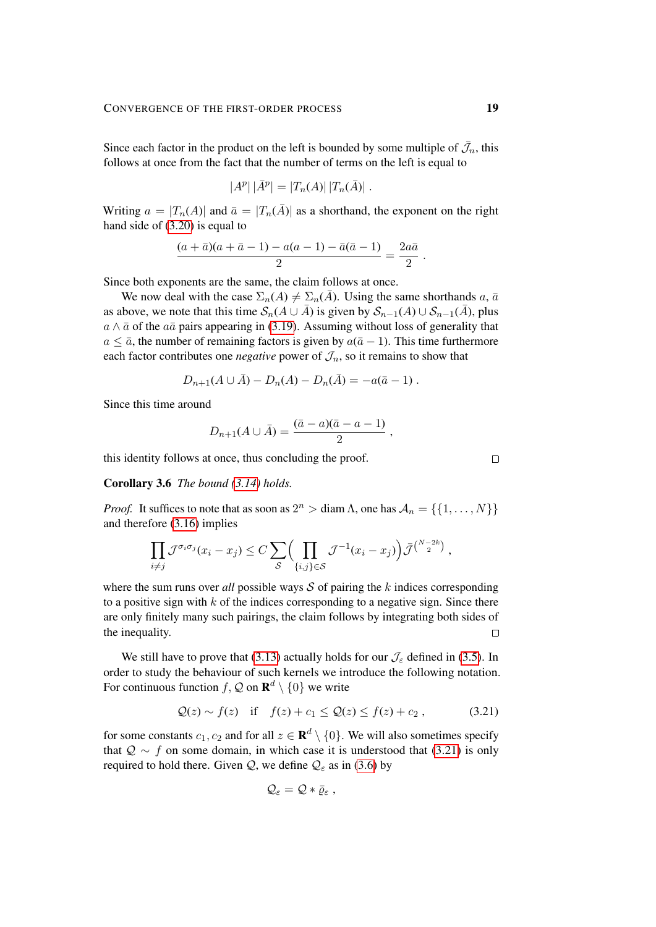Since each factor in the product on the left is bounded by some multiple of  $\bar{\mathcal{J}}_n$ , this follows at once from the fact that the number of terms on the left is equal to

$$
|A^{p}| |\bar{A}^{p}| = |T_{n}(A)| |T_{n}(\bar{A})|.
$$

Writing  $a = |T_n(A)|$  and  $\bar{a} = |T_n(\bar{A})|$  as a shorthand, the exponent on the right hand side of  $(3.20)$  is equal to

$$
\frac{(a+\bar{a})(a+\bar{a}-1) - a(a-1) - \bar{a}(\bar{a}-1)}{2} = \frac{2a\bar{a}}{2}.
$$

Since both exponents are the same, the claim follows at once.

We now deal with the case  $\Sigma_n(A) \neq \Sigma_n(\overline{A})$ . Using the same shorthands a,  $\overline{a}$ as above, we note that this time  $S_n(A \cup \overline{A})$  is given by  $S_{n-1}(A) \cup S_{n-1}(\overline{A})$ , plus  $a \wedge \bar{a}$  of the  $a\bar{a}$  pairs appearing in [\(3.19\)](#page-17-1). Assuming without loss of generality that  $a \leq \bar{a}$ , the number of remaining factors is given by  $a(\bar{a}-1)$ . This time furthermore each factor contributes one *negative* power of  $\mathcal{J}_n$ , so it remains to show that

$$
D_{n+1}(A \cup \bar{A}) - D_n(A) - D_n(\bar{A}) = -a(\bar{a} - 1) .
$$

Since this time around

$$
D_{n+1}(A \cup \bar{A}) = \frac{(\bar{a} - a)(\bar{a} - a - 1)}{2},
$$

this identity follows at once, thus concluding the proof.

<span id="page-18-0"></span>Corollary 3.6 *The bound [\(3.14\)](#page-14-1) holds.*

*Proof.* It suffices to note that as soon as  $2^n > \text{diam }\Lambda$ , one has  $\mathcal{A}_n = \{ \{1, \dots, N\} \}$ and therefore [\(3.16\)](#page-16-1) implies

$$
\prod_{i \neq j} \mathcal{J}^{\sigma_i \sigma_j} (x_i - x_j) \leq C \sum_{\mathcal{S}} \Biggl( \prod_{\{i,j\} \in \mathcal{S}} \mathcal{J}^{-1} (x_i - x_j) \Biggr) \bar{\mathcal{J}}^{\binom{N-2k}{2}},
$$

where the sum runs over *all* possible ways  $S$  of pairing the k indices corresponding to a positive sign with  $k$  of the indices corresponding to a negative sign. Since there are only finitely many such pairings, the claim follows by integrating both sides of the inequality.  $\Box$ 

We still have to prove that [\(3.13\)](#page-14-0) actually holds for our  $\mathcal{J}_{\varepsilon}$  defined in [\(3.5\)](#page-11-0). In order to study the behaviour of such kernels we introduce the following notation. For continuous function  $f, Q$  on  $\mathbf{R}^d \setminus \{0\}$  we write

$$
Q(z) \sim f(z)
$$
 if  $f(z) + c_1 \le Q(z) \le f(z) + c_2$ , (3.21)

for some constants  $c_1, c_2$  and for all  $z \in \mathbf{R}^d \setminus \{0\}$ . We will also sometimes specify that  $Q \sim f$  on some domain, in which case it is understood that [\(3.21\)](#page-18-1) is only required to hold there. Given  $Q$ , we define  $Q_{\varepsilon}$  as in [\(3.6\)](#page-11-3) by

<span id="page-18-1"></span>
$$
\mathcal{Q}_\varepsilon = \mathcal{Q} * \bar{\varrho}_\varepsilon \;,
$$

 $\Box$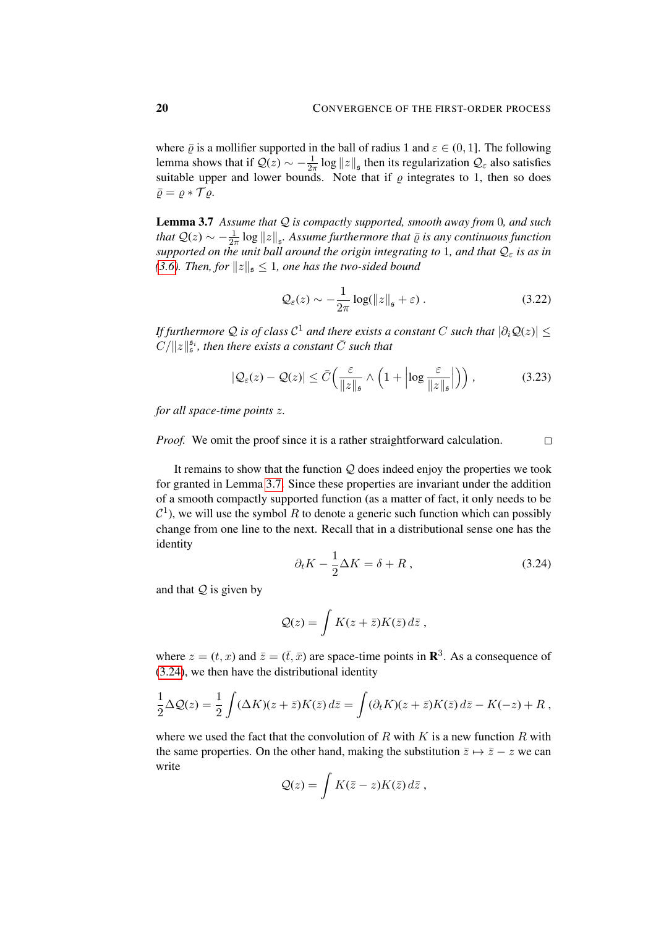where  $\bar{\varrho}$  is a mollifier supported in the ball of radius 1 and  $\varepsilon \in (0, 1]$ . The following lemma shows that if  $Q(z) \sim -\frac{1}{2z}$  $\frac{1}{2\pi} \log ||z||_{\mathfrak{s}}$  then its regularization  $\mathcal{Q}_{\varepsilon}$  also satisfies suitable upper and lower bounds. Note that if  $\rho$  integrates to 1, then so does  $\bar{\rho} = \rho * \mathcal{T} \rho.$ 

<span id="page-19-0"></span>Lemma 3.7 *Assume that* Q *is compactly supported, smooth away from* 0*, and such that*  $Q(z) \sim -\frac{1}{2z}$  $\frac{1}{2\pi} \log ||z||_{\mathfrak{s}}$ . Assume furthermore that  $\bar{\varrho}$  is any continuous function *supported on the unit ball around the origin integrating to* 1*, and that*  $Q_ε$  *is as in [\(3.6\)](#page-11-3). Then, for*  $||z||_{\mathfrak{s}} \leq 1$ *, one has the two-sided bound* 

$$
\mathcal{Q}_{\varepsilon}(z) \sim -\frac{1}{2\pi} \log(||z||_{\mathfrak{s}} + \varepsilon) \,. \tag{3.22}
$$

If furthermore  ${\cal Q}$  is of class  ${\cal C}^1$  and there exists a constant  $C$  such that  $|\partial_i {\cal Q}(z)| \leq$  $C/\Vert z\Vert_{\mathfrak{s}}^{\mathfrak{s}_i}$ , then there exists a constant  $\bar{C}$  such that

$$
|\mathcal{Q}_{\varepsilon}(z) - \mathcal{Q}(z)| \le \bar{C} \Big( \frac{\varepsilon}{\|z\|_{\mathfrak{s}}} \wedge \Big( 1 + \Big| \log \frac{\varepsilon}{\|z\|_{\mathfrak{s}}} \Big| \Big) \Big), \tag{3.23}
$$

*for all space-time points* z*.*

*Proof.* We omit the proof since it is a rather straightforward calculation.  $\Box$ 

It remains to show that the function  $Q$  does indeed enjoy the properties we took for granted in Lemma [3.7.](#page-19-0) Since these properties are invariant under the addition of a smooth compactly supported function (as a matter of fact, it only needs to be  $\mathcal{C}^1$ ), we will use the symbol R to denote a generic such function which can possibly change from one line to the next. Recall that in a distributional sense one has the identity

<span id="page-19-1"></span>
$$
\partial_t K - \frac{1}{2} \Delta K = \delta + R \,, \tag{3.24}
$$

and that  $Q$  is given by

$$
Q(z) = \int K(z + \bar{z}) K(\bar{z}) d\bar{z} ,
$$

where  $z = (t, x)$  and  $\bar{z} = (\bar{t}, \bar{x})$  are space-time points in  $\mathbb{R}^3$ . As a consequence of [\(3.24\)](#page-19-1), we then have the distributional identity

$$
\frac{1}{2}\Delta Q(z) = \frac{1}{2}\int (\Delta K)(z+\bar{z})K(\bar{z}) d\bar{z} = \int (\partial_t K)(z+\bar{z})K(\bar{z}) d\bar{z} - K(-z) + R,
$$

where we used the fact that the convolution of  $R$  with  $K$  is a new function  $R$  with the same properties. On the other hand, making the substitution  $\bar{z} \mapsto \bar{z} - z$  we can write

$$
\mathcal{Q}(z) = \int K(\bar{z} - z) K(\bar{z}) d\bar{z} ,
$$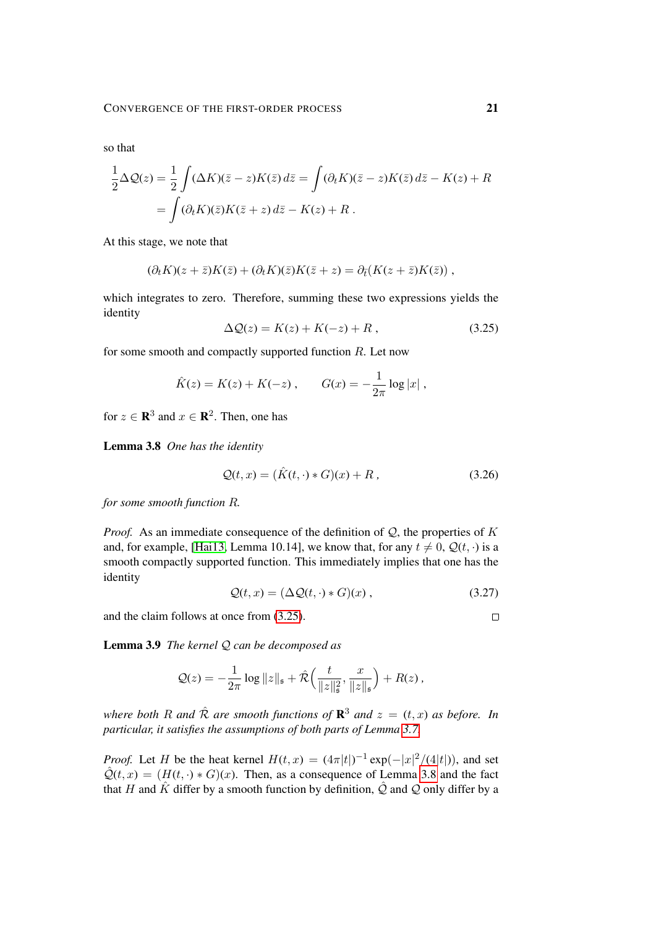so that

$$
\frac{1}{2}\Delta \mathcal{Q}(z) = \frac{1}{2}\int (\Delta K)(\bar{z} - z)K(\bar{z}) d\bar{z} = \int (\partial_t K)(\bar{z} - z)K(\bar{z}) d\bar{z} - K(z) + R
$$

$$
= \int (\partial_t K)(\bar{z})K(\bar{z} + z) d\bar{z} - K(z) + R.
$$

At this stage, we note that

$$
(\partial_t K)(z+\overline{z})K(\overline{z})+(\partial_t K)(\overline{z})K(\overline{z}+z)=\partial_{\overline{t}}(K(z+\overline{z})K(\overline{z}))
$$

which integrates to zero. Therefore, summing these two expressions yields the identity

<span id="page-20-1"></span>
$$
\Delta \mathcal{Q}(z) = K(z) + K(-z) + R \,, \tag{3.25}
$$

for some smooth and compactly supported function  $R$ . Let now

$$
\hat{K}(z) = K(z) + K(-z)
$$
,  $G(x) = -\frac{1}{2\pi} \log |x|$ ,

<span id="page-20-2"></span>for  $z \in \mathbf{R}^3$  and  $x \in \mathbf{R}^2$ . Then, one has

Lemma 3.8 *One has the identity*

$$
\mathcal{Q}(t,x) = (\hat{K}(t,\cdot) * G)(x) + R, \qquad (3.26)
$$

*for some smooth function* R*.*

*Proof.* As an immediate consequence of the definition of  $Q$ , the properties of K and, for example, [\[Hai13,](#page-62-2) Lemma 10.14], we know that, for any  $t \neq 0$ ,  $\mathcal{Q}(t, \cdot)$  is a smooth compactly supported function. This immediately implies that one has the identity

$$
Q(t, x) = (\Delta Q(t, \cdot) * G)(x), \qquad (3.27)
$$

and the claim follows at once from [\(3.25\)](#page-20-1).

<span id="page-20-3"></span>Lemma 3.9 *The kernel* Q *can be decomposed as*

$$
Q(z) = -\frac{1}{2\pi} \log ||z||_{\mathfrak{s}} + \hat{\mathcal{R}} \Big( \frac{t}{||z||_{\mathfrak{s}}^2}, \frac{x}{||z||_{\mathfrak{s}}} \Big) + R(z) ,
$$

where both R and  $\hat{\mathcal{R}}$  are smooth functions of  $\mathbf{R}^3$  and  $z = (t, x)$  as before. In *particular, it satisfies the assumptions of both parts of Lemma [3.7.](#page-19-0)*

*Proof.* Let H be the heat kernel  $H(t, x) = (4\pi|t|)^{-1} \exp(-|x|^2/(4|t|))$ , and set  $\hat{Q}(t, x) = (H(t, \cdot) * G)(x)$ . Then, as a consequence of Lemma [3.8](#page-20-2) and the fact that H and  $\hat{K}$  differ by a smooth function by definition,  $\hat{Q}$  and  $Q$  only differ by a

<span id="page-20-0"></span> $\Box$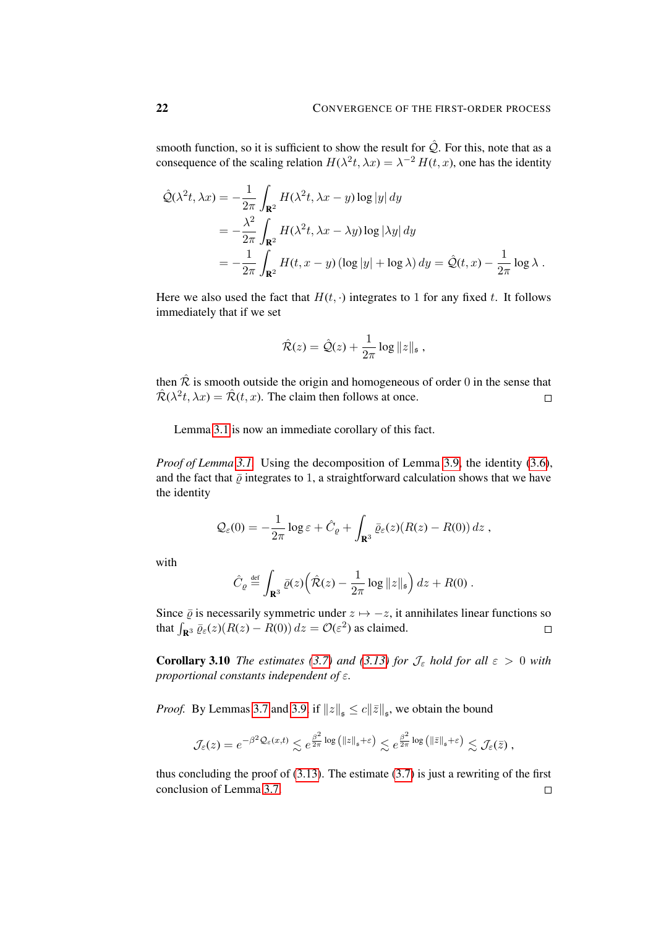smooth function, so it is sufficient to show the result for  $\hat{Q}$ . For this, note that as a consequence of the scaling relation  $H(\lambda^2 t, \lambda x) = \lambda^{-2} H(t, x)$ , one has the identity

$$
\hat{\mathcal{Q}}(\lambda^{2}t, \lambda x) = -\frac{1}{2\pi} \int_{\mathbf{R}^{2}} H(\lambda^{2}t, \lambda x - y) \log |y| dy
$$
  
\n
$$
= -\frac{\lambda^{2}}{2\pi} \int_{\mathbf{R}^{2}} H(\lambda^{2}t, \lambda x - \lambda y) \log |\lambda y| dy
$$
  
\n
$$
= -\frac{1}{2\pi} \int_{\mathbf{R}^{2}} H(t, x - y) (\log |y| + \log \lambda) dy = \hat{\mathcal{Q}}(t, x) - \frac{1}{2\pi} \log \lambda.
$$

Here we also used the fact that  $H(t, \cdot)$  integrates to 1 for any fixed t. It follows immediately that if we set

$$
\hat{\mathcal{R}}(z) = \hat{\mathcal{Q}}(z) + \frac{1}{2\pi} \log ||z||_{\mathfrak{s}} ,
$$

then  $\hat{\mathcal{R}}$  is smooth outside the origin and homogeneous of order 0 in the sense that  $\hat{\mathcal{R}}(\lambda^2 t, \lambda x) = \hat{\mathcal{R}}(t, x)$ . The claim then follows at once.  $\Box$ 

Lemma [3.1](#page-10-6) is now an immediate corollary of this fact.

*Proof of Lemma [3.1.](#page-10-6)* Using the decomposition of Lemma [3.9,](#page-20-3) the identity [\(3.6\)](#page-11-3), and the fact that  $\bar{\varrho}$  integrates to 1, a straightforward calculation shows that we have the identity

$$
\mathcal{Q}_{\varepsilon}(0) = -\frac{1}{2\pi} \log \varepsilon + \hat{C}_{\varrho} + \int_{\mathbf{R}^3} \bar{\varrho}_{\varepsilon}(z) (R(z) - R(0)) dz ,
$$

with

$$
\hat{C}_{\varrho} \stackrel{\text{def}}{=} \int_{\mathbf{R}^3} \bar{\varrho}(z) \Big( \hat{\mathcal{R}}(z) - \frac{1}{2\pi} \log ||z||_{\mathfrak{s}} \Big) dz + R(0) .
$$

Since  $\overline{\varrho}$  is necessarily symmetric under  $z \mapsto -z$ , it annihilates linear functions so that  $\int_{\mathbf{R}^3} \bar{\varrho}_{\varepsilon}(z) (R(z) - R(0)) dz = \mathcal{O}(\varepsilon^2)$  as claimed.  $\Box$ 

<span id="page-21-0"></span>**Corollary 3.10** *The estimates [\(3.7\)](#page-11-1) and [\(3.13\)](#page-14-0) for*  $\mathcal{J}_{\epsilon}$  *hold for all*  $\epsilon > 0$  *with proportional constants independent of* ε*.*

*Proof.* By Lemmas [3.7](#page-19-0) and [3.9,](#page-20-3) if  $||z||_{\mathfrak{s}} \le c||\overline{z}||_{\mathfrak{s}}$ , we obtain the bound

$$
\mathcal{J}_{\varepsilon}(z) = e^{-\beta^2 \mathcal{Q}_{\varepsilon}(x,t)} \lesssim e^{\frac{\beta^2}{2\pi} \log \left( \|z\|_{\mathfrak{s}} + \varepsilon \right)} \lesssim e^{\frac{\beta^2}{2\pi} \log \left( \|\bar{z}\|_{\mathfrak{s}} + \varepsilon \right)} \lesssim \mathcal{J}_{\varepsilon}(\bar{z}),
$$

thus concluding the proof of  $(3.13)$ . The estimate  $(3.7)$  is just a rewriting of the first conclusion of Lemma [3.7.](#page-19-0) $\Box$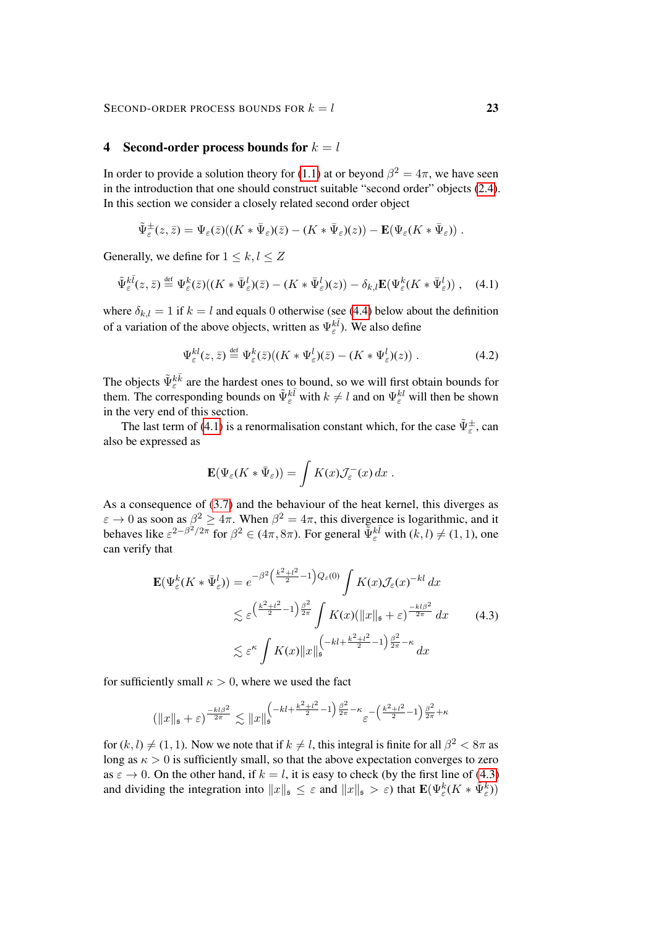#### <span id="page-22-0"></span>4 Second-order process bounds for  $k = l$

In order to provide a solution theory for [\(1.1\)](#page-0-1) at or beyond  $\beta^2 = 4\pi$ , we have seen in the introduction that one should construct suitable "second order" objects [\(2.4\)](#page-6-0). In this section we consider a closely related second order object

$$
\tilde{\Psi}_{\varepsilon}^{\pm}(z,\bar{z})=\Psi_{\varepsilon}(\bar{z})\big((K\ast\bar{\Psi}_{\varepsilon})(\bar{z})-(K\ast\bar{\Psi}_{\varepsilon})(z)\big)-\mathbf{E}\big(\Psi_{\varepsilon}(K\ast\bar{\Psi}_{\varepsilon})\big)\ .
$$

Generally, we define for  $1 \leq k, l \leq Z$ 

$$
\tilde{\Psi}_{\varepsilon}^{k\bar{l}}(z,\bar{z}) \stackrel{\text{def}}{=} \Psi_{\varepsilon}^{k}(\bar{z})\big((K \ast \bar{\Psi}_{\varepsilon}^{l})(\bar{z}) - (K \ast \bar{\Psi}_{\varepsilon}^{l})(z)\big) - \delta_{k,l}\mathbf{E}\big(\Psi_{\varepsilon}^{k}(K \ast \bar{\Psi}_{\varepsilon}^{l})\big) , \quad (4.1)
$$

where  $\delta_{k,l} = 1$  if  $k = l$  and equals 0 otherwise (see [\(4.4\)](#page-23-0) below about the definition of a variation of the above objects, written as  $\Psi_{\varepsilon}^{k\bar{l}}$ ). We also define

<span id="page-22-2"></span>
$$
\Psi_{\varepsilon}^{kl}(z,\bar{z}) \stackrel{\text{def}}{=} \Psi_{\varepsilon}^{k}(\bar{z})\big((K \ast \Psi_{\varepsilon}^{l})(\bar{z}) - (K \ast \Psi_{\varepsilon}^{l})(z)\big) . \tag{4.2}
$$

The objects  $\tilde{\Psi}_{\varepsilon}^{k\bar{k}}$  are the hardest ones to bound, so we will first obtain bounds for them. The corresponding bounds on  $\tilde{\Psi}^{k\bar{l}}_{\varepsilon}$  with  $k \neq l$  and on  $\Psi^{k\bar{l}}_{\varepsilon}$  will then be shown in the very end of this section.

The last term of [\(4.1\)](#page-22-2) is a renormalisation constant which, for the case  $\tilde{\Psi}^{\pm}_{\varepsilon}$ , can also be expressed as

<span id="page-22-3"></span><span id="page-22-1"></span>
$$
\mathbf{E}(\Psi_{\varepsilon}(K * \bar{\Psi}_{\varepsilon})) = \int K(x) \mathcal{J}_{\varepsilon}^{-}(x) dx.
$$

As a consequence of [\(3.7\)](#page-11-1) and the behaviour of the heat kernel, this diverges as  $\varepsilon \to 0$  as soon as  $\beta^2 \ge 4\pi$ . When  $\beta^2 = 4\pi$ , this divergence is logarithmic, and it behaves like  $\varepsilon^{2-\beta^2/2\pi}$  for  $\beta^2 \in (4\pi, 8\pi)$ . For general  $\tilde{\Psi}^{k\bar{l}}_{\varepsilon}$  with  $(k, l) \neq (1, 1)$ , one can verify that

$$
\mathbf{E}(\Psi_{\varepsilon}^{k}(K * \bar{\Psi}_{\varepsilon}^{l})) = e^{-\beta^{2} \left(\frac{k^{2} + l^{2}}{2} - 1\right) Q_{\varepsilon}(0)} \int K(x) \mathcal{J}_{\varepsilon}(x)^{-kl} dx
$$
  

$$
\lesssim \varepsilon^{\left(\frac{k^{2} + l^{2}}{2} - 1\right) \frac{\beta^{2}}{2\pi}} \int K(x) (\|x\|_{\mathfrak{s}} + \varepsilon)^{\frac{-kl\beta^{2}}{2\pi}} dx
$$
(4.3)  

$$
\lesssim \varepsilon^{\kappa} \int K(x) \|x\|_{\mathfrak{s}}^{\left(-kl + \frac{k^{2} + l^{2}}{2} - 1\right) \frac{\beta^{2}}{2\pi} - \kappa} dx
$$

for sufficiently small  $\kappa > 0$ , where we used the fact

$$
\left(\|x\|_{\mathfrak{s}} + \varepsilon\right)^{\frac{-kl\beta^2}{2\pi}} \lesssim \|x\|_{\mathfrak{s}}^{\left(-kl + \frac{k^2 + l^2}{2} - 1\right)\frac{\beta^2}{2\pi} - \kappa} \varepsilon^{-\left(\frac{k^2 + l^2}{2} - 1\right)\frac{\beta^2}{2\pi} + \kappa}
$$

for  $(k, l) \neq (1, 1)$ . Now we note that if  $k \neq l$ , this integral is finite for all  $\beta^2 < 8\pi$  as long as  $\kappa > 0$  is sufficiently small, so that the above expectation converges to zero as  $\varepsilon \to 0$ . On the other hand, if  $k = l$ , it is easy to check (by the first line of [\(4.3\)](#page-22-1) and dividing the integration into  $||x||_{\mathfrak{s}} \leq \varepsilon$  and  $||x||_{\mathfrak{s}} > \varepsilon$ ) that  $\mathbf{E}(\Psi_{\varepsilon}^k(K \ast \bar{\Psi}_{\varepsilon}^k))$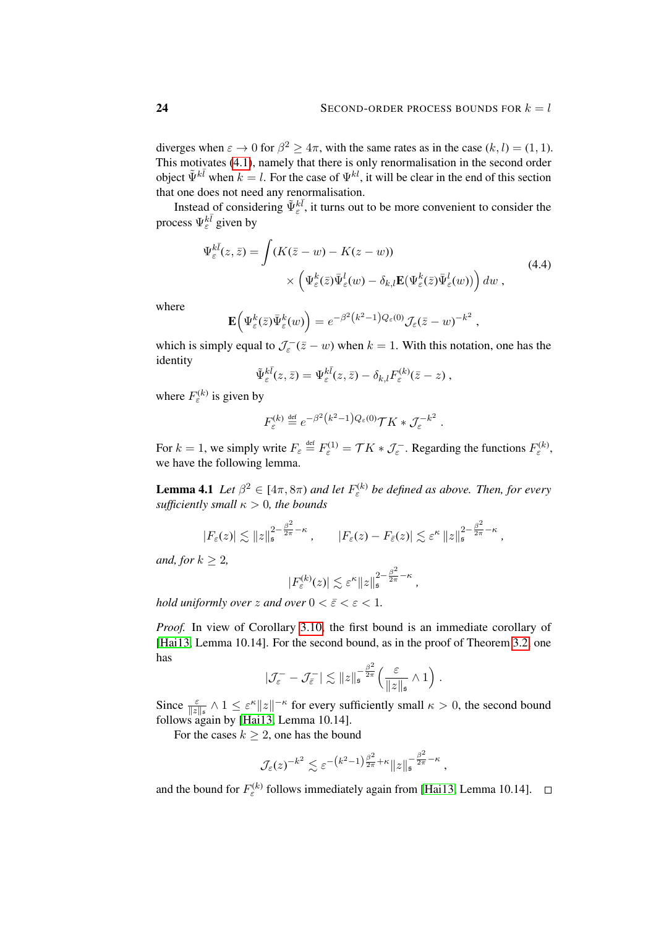<span id="page-23-0"></span>,

.

*,*

diverges when  $\varepsilon \to 0$  for  $\beta^2 \ge 4\pi$ , with the same rates as in the case  $(k, l) = (1, 1)$ . This motivates [\(4.1\)](#page-22-2), namely that there is only renormalisation in the second order object  $\tilde{\Psi}^{k\bar{l}}$  when  $k = l$ . For the case of  $\Psi^{k\bar{l}}$ , it will be clear in the end of this section that one does not need any renormalisation.

Instead of considering  $\tilde{\Psi}_{\varepsilon}^{k\bar{l}}$ , it turns out to be more convenient to consider the process  $\Psi_{\varepsilon}^{k\bar{l}}$  given by

$$
\Psi_{\varepsilon}^{k\bar{l}}(z,\bar{z}) = \int (K(\bar{z} - w) - K(z - w))
$$
\n
$$
\times \left( \Psi_{\varepsilon}^{k}(\bar{z}) \bar{\Psi}_{\varepsilon}^{l}(w) - \delta_{k,l} \mathbf{E}(\Psi_{\varepsilon}^{k}(\bar{z}) \bar{\Psi}_{\varepsilon}^{l}(w)) \right) dw , \qquad (4.4)
$$

where

$$
\mathbf{E}\Big(\Psi_{\varepsilon}^k(\bar{z})\bar{\Psi}_{\varepsilon}^k(w)\Big)=e^{-\beta^2\left(k^2-1\right)Q_{\varepsilon}(0)}\mathcal{J}_{\varepsilon}(\bar{z}-w)^{-k^2}
$$

which is simply equal to  $\mathcal{J}_{\varepsilon}^{-}(\bar{z}-w)$  when  $k=1$ . With this notation, one has the identity

$$
\tilde{\Psi}^{k\bar{l}}_{\varepsilon}(z,\bar{z}) = \Psi^{k\bar{l}}_{\varepsilon}(z,\bar{z}) - \delta_{k,l} F^{(k)}_{\varepsilon}(\bar{z}-z) ,
$$

where  $F_{\varepsilon}^{(k)}$  is given by

$$
F^{(k)}_\varepsilon\stackrel{\text{\tiny def}}{=} e^{-\beta^2\left(k^2-1\right)Q_\varepsilon(0)}\mathcal{T} K\ast\mathcal{J}_\varepsilon^{-k^2}
$$

For  $k = 1$ , we simply write  $F_{\varepsilon} \stackrel{\text{def}}{=} F_{\varepsilon}^{(1)} = \mathcal{T}K * \mathcal{J}_{\varepsilon}$ . Regarding the functions  $F_{\varepsilon}^{(k)}$ , we have the following lemma.

<span id="page-23-1"></span>**Lemma 4.1** Let  $\beta^2 \in [4\pi, 8\pi)$  and let  $F_{\varepsilon}^{(k)}$  be defined as above. Then, for every *sufficiently small*  $\kappa > 0$ *, the bounds* 

$$
|F_{\varepsilon}(z)| \lesssim \|z\|_{\mathfrak{s}}^{2-\frac{\beta^2}{2\pi}-\kappa}, \qquad |F_{\varepsilon}(z)-F_{\overline{\varepsilon}}(z)| \lesssim \varepsilon^{\kappa} \|z\|_{\mathfrak{s}}^{2-\frac{\beta^2}{2\pi}-\kappa},
$$

*and, for*  $k \geq 2$ *,* 

$$
|F_{\varepsilon}^{(k)}(z)| \lesssim \varepsilon^{\kappa} \|z\|_{\mathfrak{s}}^{2-\frac{\beta^2}{2\pi}-\kappa}
$$

*hold uniformly over* z and over  $0 < \bar{\varepsilon} < \varepsilon < 1$ .

*Proof.* In view of Corollary [3.10,](#page-21-0) the first bound is an immediate corollary of [\[Hai13,](#page-62-2) Lemma 10.14]. For the second bound, as in the proof of Theorem [3.2,](#page-10-1) one has

$$
|\mathcal{J}_{\varepsilon}^- - \mathcal{J}_{\overline{\varepsilon}}^-| \lesssim ||z||_{\mathfrak{s}}^{-\frac{\beta^2}{2\pi}} \left(\frac{\varepsilon}{||z||_{\mathfrak{s}}} \wedge 1\right).
$$

Since  $\frac{\varepsilon}{\|z\|_{\mathfrak{s}}} \wedge 1 \leq \varepsilon^{\kappa} \|z\|^{-\kappa}$  for every sufficiently small  $\kappa > 0$ , the second bound follows again by [\[Hai13,](#page-62-2) Lemma 10.14].

For the cases  $k \geq 2$ , one has the bound

$$
\mathcal{J}_{\varepsilon}(z)^{-k^2} \lesssim \varepsilon^{-(k^2-1)\frac{\beta^2}{2\pi}+\kappa} \|z\|_{\mathfrak{s}}^{-\frac{\beta^2}{2\pi}-\kappa},
$$

and the bound for  $F_{\varepsilon}^{(k)}$  follows immediately again from [\[Hai13,](#page-62-2) Lemma 10.14].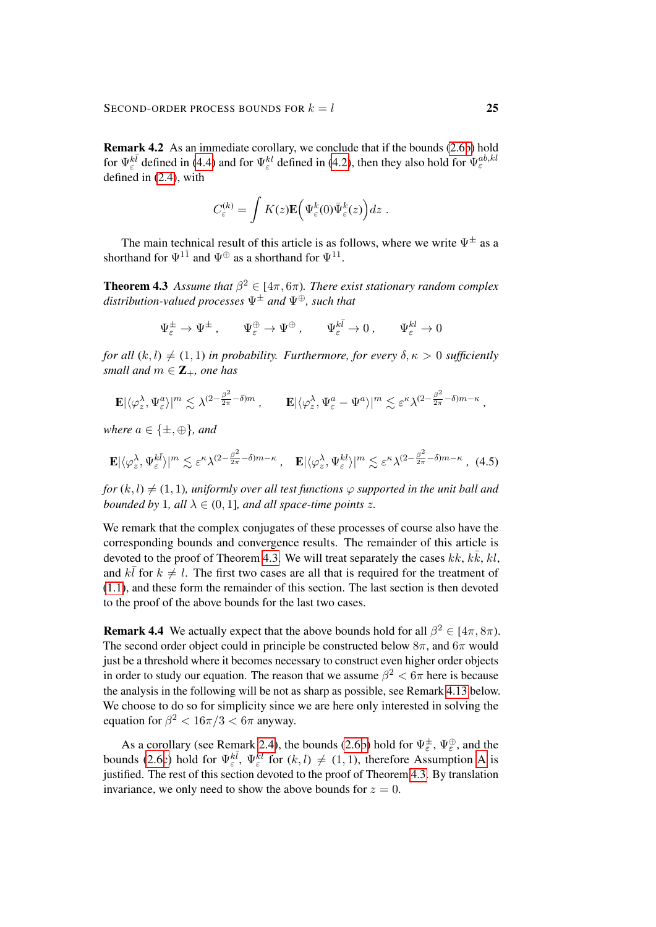<span id="page-24-0"></span>Remark 4.2 As an immediate corollary, we conclude that if the bounds [\(2.6b\)](#page-6-1) hold for  $\Psi_{\varepsilon}^{k\bar{l}}$  defined in [\(4.4\)](#page-23-0) and for  $\Psi_{\varepsilon}^{kl}$  defined in [\(4.2\)](#page-22-3), then they also hold for  $\Psi_{\varepsilon}^{ab,kl}$ defined in [\(2.4\)](#page-6-0), with

$$
C_{\varepsilon}^{(k)} = \int K(z) \mathbf{E} \Big( \Psi_{\varepsilon}^{k}(0) \bar{\Psi}_{\varepsilon}^{k}(z) \Big) dz .
$$

The main technical result of this article is as follows, where we write  $\Psi^{\pm}$  as a shorthand for  $\Psi^{1\bar{1}}$  and  $\Psi^{\oplus}$  as a shorthand for  $\Psi^{11}$ .

<span id="page-24-1"></span>**Theorem 4.3** Assume that  $\beta^2 \in [4\pi, 6\pi)$ . There exist stationary random complex *distribution-valued processes* Ψ<sup>±</sup> *and* Ψ⊕*, such that*

<span id="page-24-2"></span>
$$
\Psi_\varepsilon^\pm \to \Psi^\pm \,, \qquad \Psi_\varepsilon^\oplus \to \Psi^\oplus \,, \qquad \Psi_\varepsilon^{k\bar{l}} \to 0 \,, \qquad \Psi_\varepsilon^{kl} \to 0
$$

*for all*  $(k, l) \neq (1, 1)$  *in probability. Furthermore, for every*  $\delta, \kappa > 0$  *sufficiently small and*  $m \in \mathbb{Z}_+$ *, one has* 

$$
\mathbf{E}|\langle \varphi_z^{\lambda}, \Psi_{\varepsilon}^a \rangle|^m \lesssim \lambda^{(2-\frac{\beta^2}{2\pi}-\delta)m} , \qquad \mathbf{E}|\langle \varphi_z^{\lambda}, \Psi_{\varepsilon}^a - \Psi^a \rangle|^m \lesssim \varepsilon^{\kappa} \lambda^{(2-\frac{\beta^2}{2\pi}-\delta)m-\kappa} ,
$$

*where*  $a \in \{\pm, \oplus\}$ *, and* 

$$
\mathbf{E}|\langle \varphi_z^{\lambda}, \Psi_{\varepsilon}^{k\bar{l}} \rangle|^m \lesssim \varepsilon^{\kappa} \lambda^{(2-\frac{\beta^2}{2\pi}-\delta)m-\kappa}, \quad \mathbf{E}|\langle \varphi_z^{\lambda}, \Psi_{\varepsilon}^{kl} \rangle|^m \lesssim \varepsilon^{\kappa} \lambda^{(2-\frac{\beta^2}{2\pi}-\delta)m-\kappa}, \tag{4.5}
$$

*for*  $(k, l) \neq (1, 1)$ *, uniformly over all test functions*  $\varphi$  *supported in the unit ball and bounded by* 1*, all*  $\lambda \in (0, 1]$ *, and all space-time points z.* 

We remark that the complex conjugates of these processes of course also have the corresponding bounds and convergence results. The remainder of this article is devoted to the proof of Theorem [4.3.](#page-24-1) We will treat separately the cases  $kk, k\bar{k}, kl$ , and  $k\bar{l}$  for  $k \neq l$ . The first two cases are all that is required for the treatment of [\(1.1\)](#page-0-1), and these form the remainder of this section. The last section is then devoted to the proof of the above bounds for the last two cases.

**Remark 4.4** We actually expect that the above bounds hold for all  $\beta^2 \in [4\pi, 8\pi)$ . The second order object could in principle be constructed below  $8\pi$ , and  $6\pi$  would just be a threshold where it becomes necessary to construct even higher order objects in order to study our equation. The reason that we assume  $\beta^2 < 6\pi$  here is because the analysis in the following will be not as sharp as possible, see Remark [4.13](#page-34-0) below. We choose to do so for simplicity since we are here only interested in solving the equation for  $\beta^2 < 16\pi/3 < 6\pi$  anyway.

As a corollary (see Remark [2.4\)](#page-6-5), the bounds [\(2.6b\)](#page-6-1) hold for  $\Psi_{\varepsilon}^{\pm}$ ,  $\Psi_{\varepsilon}^{\oplus}$ , and the bounds [\(2.6c\)](#page-6-1) hold for  $\Psi_{\varepsilon}^{k\overline{l}}$ ,  $\Psi_{\varepsilon}^{k\overline{l}}$  for  $(k, l) \neq (1, 1)$ , therefore [A](#page-6-2)ssumption A is justified. The rest of this section devoted to the proof of Theorem [4.3.](#page-24-1) By translation invariance, we only need to show the above bounds for  $z = 0$ .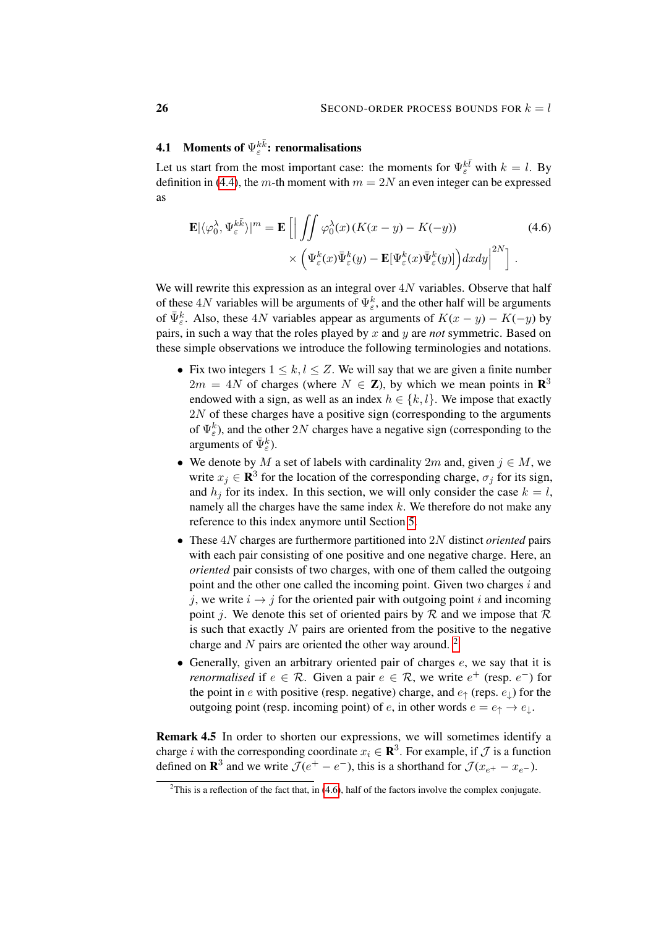# <span id="page-25-2"></span>**4.1** Moments of  $\Psi_{\varepsilon}^{k\bar{k}}$ : renormalisations

Let us start from the most important case: the moments for  $\Psi_{\varepsilon}^{k\bar{l}}$  with  $k = l$ . By definition in [\(4.4\)](#page-23-0), the m-th moment with  $m = 2N$  an even integer can be expressed as

<span id="page-25-1"></span>
$$
\mathbf{E}|\langle \varphi_0^{\lambda}, \Psi_{\varepsilon}^{k\bar{k}} \rangle|^m = \mathbf{E} \left[ \left| \int \int \varphi_0^{\lambda}(x) \left( K(x - y) - K(-y) \right) \right. \right. \times \left. \left( \Psi_{\varepsilon}^k(x) \bar{\Psi}_{\varepsilon}^k(y) - \mathbf{E}[\Psi_{\varepsilon}^k(x) \bar{\Psi}_{\varepsilon}^k(y)] \right) dx dy \right|^{2N} \right].
$$
\n(4.6)

We will rewrite this expression as an integral over  $4N$  variables. Observe that half of these 4N variables will be arguments of  $\Psi_{\varepsilon}^{k}$ , and the other half will be arguments of  $\bar{\Psi}_{\varepsilon}^{k}$ . Also, these 4N variables appear as arguments of  $K(x - y) - K(-y)$  by pairs, in such a way that the roles played by x and y are *not* symmetric. Based on these simple observations we introduce the following terminologies and notations.

- Fix two integers  $1 \leq k, l \leq Z$ . We will say that we are given a finite number  $2m = 4N$  of charges (where  $N \in \mathbb{Z}$ ), by which we mean points in  $\mathbb{R}^3$ endowed with a sign, as well as an index  $h \in \{k, l\}$ . We impose that exactly 2N of these charges have a positive sign (corresponding to the arguments of  $\Psi_{\varepsilon}^{k}$ ), and the other 2N charges have a negative sign (corresponding to the arguments of  $\bar{\Psi}_{\varepsilon}^{k}$ ).
- We denote by M a set of labels with cardinality  $2m$  and, given  $j \in M$ , we write  $x_j \in \mathbf{R}^3$  for the location of the corresponding charge,  $\sigma_j$  for its sign, and  $h_j$  for its index. In this section, we will only consider the case  $k = l$ , namely all the charges have the same index  $k$ . We therefore do not make any reference to this index anymore until Section [5.](#page-51-0)
- These 4N charges are furthermore partitioned into 2N distinct *oriented* pairs with each pair consisting of one positive and one negative charge. Here, an *oriented* pair consists of two charges, with one of them called the outgoing point and the other one called the incoming point. Given two charges  $i$  and j, we write  $i \rightarrow j$  for the oriented pair with outgoing point i and incoming point *i*. We denote this set of oriented pairs by R and we impose that R is such that exactly  $N$  pairs are oriented from the positive to the negative charge and  $N$  pairs are oriented the other way around. <sup>[2](#page-25-0)</sup>
- Generally, given an arbitrary oriented pair of charges  $e$ , we say that it is *renormalised* if  $e \in \mathcal{R}$ . Given a pair  $e \in \mathcal{R}$ , we write  $e^+$  (resp.  $e^-$ ) for the point in e with positive (resp. negative) charge, and  $e_{\uparrow}$  (reps.  $e_{\downarrow}$ ) for the outgoing point (resp. incoming point) of e, in other words  $e = e_{\uparrow} \rightarrow e_{\downarrow}$ .

Remark 4.5 In order to shorten our expressions, we will sometimes identify a charge *i* with the corresponding coordinate  $x_i \in \mathbb{R}^3$ . For example, if  $\mathcal J$  is a function defined on  $\mathbf{R}^3$  and we write  $\mathcal{J}(e^+ - e^-)$ , this is a shorthand for  $\mathcal{J}(x_{e^+} - x_{e^-})$ .

<span id="page-25-0"></span><sup>&</sup>lt;sup>2</sup>This is a reflection of the fact that, in [\(4.6\)](#page-25-1), half of the factors involve the complex conjugate.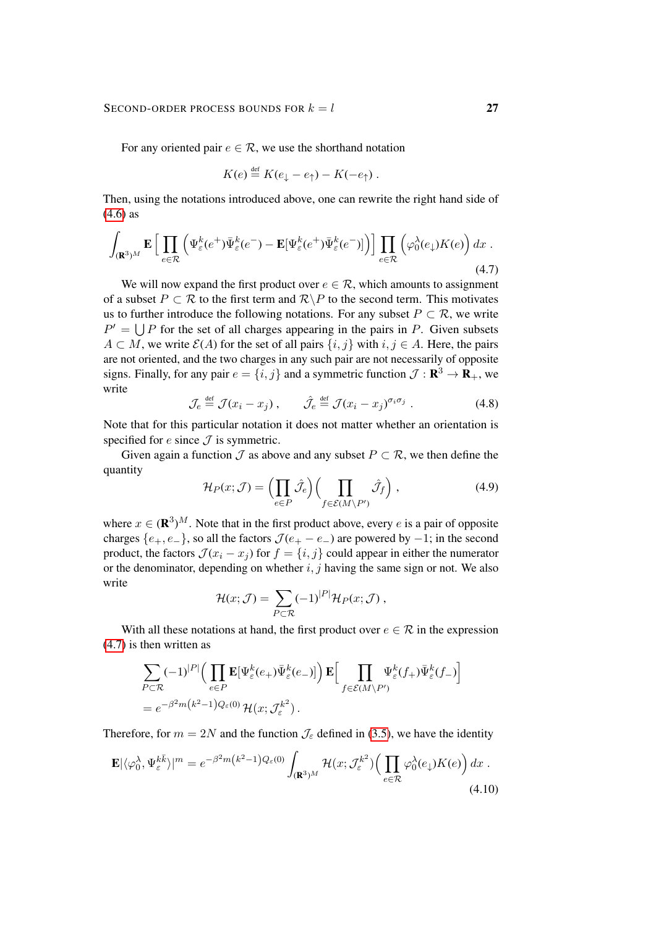For any oriented pair  $e \in \mathcal{R}$ , we use the shorthand notation

<span id="page-26-0"></span>
$$
K(e) \stackrel{\text{def}}{=} K(e_{\downarrow} - e_{\uparrow}) - K(-e_{\uparrow}).
$$

Then, using the notations introduced above, one can rewrite the right hand side of [\(4.6\)](#page-25-1) as

$$
\int_{(\mathbf{R}^3)^M} \mathbf{E} \left[ \prod_{e \in \mathcal{R}} \left( \Psi_{\varepsilon}^k(e^+) \bar{\Psi}_{\varepsilon}^k(e^-) - \mathbf{E}[\Psi_{\varepsilon}^k(e^+) \bar{\Psi}_{\varepsilon}^k(e^-)] \right) \right] \prod_{e \in \mathcal{R}} \left( \varphi_0^{\lambda}(e_\downarrow) K(e) \right) dx \tag{4.7}
$$

We will now expand the first product over  $e \in \mathcal{R}$ , which amounts to assignment of a subset  $P \subset \mathcal{R}$  to the first term and  $\mathcal{R} \backslash P$  to the second term. This motivates us to further introduce the following notations. For any subset  $P \subset \mathcal{R}$ , we write  $P' = \bigcup P$  for the set of all charges appearing in the pairs in P. Given subsets  $A \subset M$ , we write  $\mathcal{E}(A)$  for the set of all pairs  $\{i, j\}$  with  $i, j \in A$ . Here, the pairs are not oriented, and the two charges in any such pair are not necessarily of opposite signs. Finally, for any pair  $e = \{i, j\}$  and a symmetric function  $\mathcal{J} : \mathbf{R}^3 \to \mathbf{R}_+$ , we write

$$
\mathcal{J}_e \stackrel{\text{def}}{=} \mathcal{J}(x_i - x_j) \;, \qquad \hat{\mathcal{J}}_e \stackrel{\text{def}}{=} \mathcal{J}(x_i - x_j)^{\sigma_i \sigma_j} \; . \tag{4.8}
$$

Note that for this particular notation it does not matter whether an orientation is specified for  $e$  since  $\mathcal J$  is symmetric.

Given again a function  $\mathcal J$  as above and any subset  $P \subset \mathcal R$ , we then define the quantity

<span id="page-26-1"></span>
$$
\mathcal{H}_P(x; \mathcal{J}) = \left(\prod_{e \in P} \hat{\mathcal{J}}_e\right) \left(\prod_{f \in \mathcal{E}(M \setminus P')} \hat{\mathcal{J}}_f\right),\tag{4.9}
$$

where  $x \in (\mathbf{R}^3)^M$ . Note that in the first product above, every e is a pair of opposite charges  $\{e_+, e_-\}$ , so all the factors  $\mathcal{J}(e_+ - e_-)$  are powered by  $-1$ ; in the second product, the factors  $\mathcal{J}(x_i - x_j)$  for  $f = \{i, j\}$  could appear in either the numerator or the denominator, depending on whether  $i, j$  having the same sign or not. We also write

<span id="page-26-2"></span>
$$
\mathcal{H}(x; \mathcal{J}) = \sum_{P \subset \mathcal{R}} (-1)^{|P|} \mathcal{H}_P(x; \mathcal{J}),
$$

With all these notations at hand, the first product over  $e \in \mathcal{R}$  in the expression [\(4.7\)](#page-26-0) is then written as

$$
\begin{split} & \sum_{P \subset \mathcal{R}} (-1)^{|P|} \Big( \prod_{e \in P} \mathbf{E} [\Psi_{\varepsilon}^k(e_+) \bar{\Psi}_{\varepsilon}^k(e_-)] \Big) \, \mathbf{E} \Big[ \prod_{f \in \mathcal{E}(M \backslash P')} \Psi_{\varepsilon}^k(f_+) \bar{\Psi}_{\varepsilon}^k(f_-) \Big] \\ & = e^{-\beta^2 m \big( k^2 - 1 \big) Q_{\varepsilon}(0)} \, \mathcal{H}(x; \mathcal{J}_{\varepsilon}^{k^2}) \,. \end{split}
$$

Therefore, for  $m = 2N$  and the function  $\mathcal{J}_{\varepsilon}$  defined in [\(3.5\)](#page-11-0), we have the identity

$$
\mathbf{E}|\langle \varphi_0^{\lambda}, \Psi_{\varepsilon}^{k\bar{k}} \rangle|^m = e^{-\beta^2 m \left(k^2 - 1\right) Q_{\varepsilon}(0)} \int_{(\mathbf{R}^3)^M} \mathcal{H}(x; \mathcal{J}_{\varepsilon}^{k^2}) \Big( \prod_{e \in \mathcal{R}} \varphi_0^{\lambda}(e_\downarrow) K(e) \Big) \, dx \,.
$$
\n
$$
\tag{4.10}
$$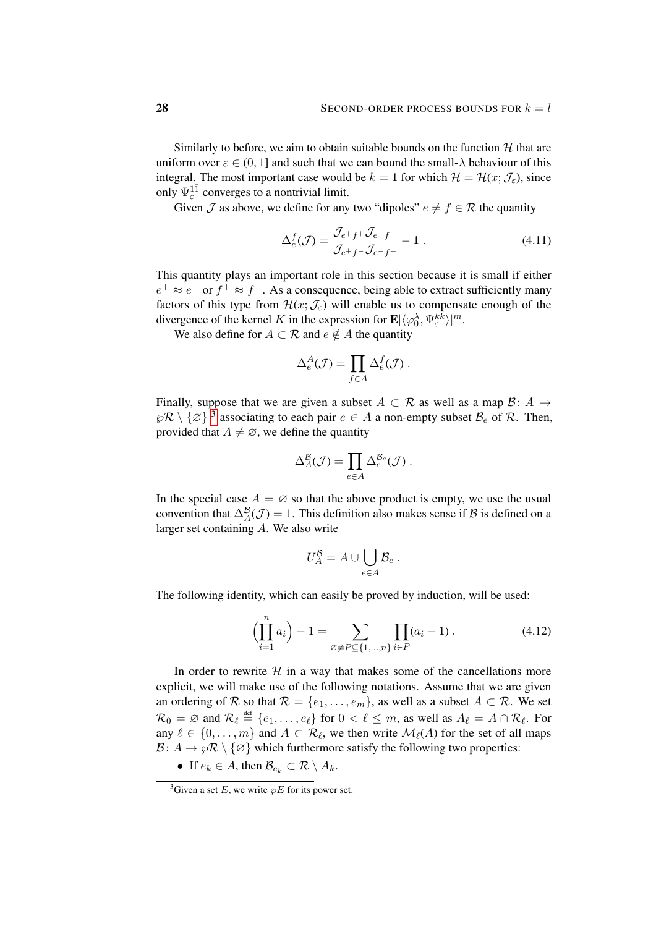Similarly to before, we aim to obtain suitable bounds on the function  $H$  that are uniform over  $\varepsilon \in (0, 1]$  and such that we can bound the small- $\lambda$  behaviour of this integral. The most important case would be  $k = 1$  for which  $\mathcal{H} = \mathcal{H}(x; \mathcal{J}_{\varepsilon})$ , since only  $\Psi_{\varepsilon}^{1\bar{1}}$  converges to a nontrivial limit.

Given  $\mathcal J$  as above, we define for any two "dipoles"  $e \neq f \in \mathcal R$  the quantity

<span id="page-27-2"></span>
$$
\Delta_e^f(\mathcal{J}) = \frac{\mathcal{J}_{e^+f^+} \mathcal{J}_{e^-f^-}}{\mathcal{J}_{e^+f^-} \mathcal{J}_{e^-f^+}} - 1.
$$
\n(4.11)

This quantity plays an important role in this section because it is small if either  $e^+ \approx e^-$  or  $f^+ \approx f^-$ . As a consequence, being able to extract sufficiently many factors of this type from  $\mathcal{H}(x;\mathcal{J}_{\varepsilon})$  will enable us to compensate enough of the divergence of the kernel K in the expression for  $\mathbf{E}|\langle \varphi_0^{\lambda}, \Psi_{\varepsilon}^{k_{\varepsilon}^{\lambda}}\rangle |^{m}$ .

We also define for  $A \subset \mathcal{R}$  and  $e \notin A$  the quantity

$$
\Delta_e^A(\mathcal{J}) = \prod_{f \in A} \Delta_e^f(\mathcal{J}) \ .
$$

Finally, suppose that we are given a subset  $A \subset \mathcal{R}$  as well as a map  $\mathcal{B} \colon A \to$  $\wp \mathcal{R} \setminus {\{\varnothing\}}^3$  $\wp \mathcal{R} \setminus {\{\varnothing\}}^3$  associating to each pair  $e \in A$  a non-empty subset  $\mathcal{B}_e$  of  $\mathcal{R}$ . Then, provided that  $A \neq \emptyset$ , we define the quantity

$$
\Delta_A^{\mathcal{B}}(\mathcal{J}) = \prod_{e \in A} \Delta_e^{\mathcal{B}_e}(\mathcal{J}) \, .
$$

In the special case  $A = \emptyset$  so that the above product is empty, we use the usual convention that  $\Delta_A^{\mathcal{B}}(\mathcal{J}) = 1$ . This definition also makes sense if  $\mathcal{B}$  is defined on a larger set containing A. We also write

<span id="page-27-1"></span>
$$
U_A^{\mathcal{B}} = A \cup \bigcup_{e \in A} \mathcal{B}_e.
$$

The following identity, which can easily be proved by induction, will be used:

$$
\left(\prod_{i=1}^{n} a_i\right) - 1 = \sum_{\varnothing \neq P \subseteq \{1,\dots,n\}} \prod_{i \in P} (a_i - 1).
$$
 (4.12)

In order to rewrite  $H$  in a way that makes some of the cancellations more explicit, we will make use of the following notations. Assume that we are given an ordering of R so that  $\mathcal{R} = \{e_1, \ldots, e_m\}$ , as well as a subset  $A \subset \mathcal{R}$ . We set  $\mathcal{R}_0 = \varnothing$  and  $\mathcal{R}_\ell \stackrel{\text{def}}{=} \{e_1, \ldots, e_\ell\}$  for  $0 < \ell \leq m$ , as well as  $A_\ell = A \cap \mathcal{R}_\ell$ . For any  $\ell \in \{0, \ldots, m\}$  and  $A \subset \mathcal{R}_{\ell}$ , we then write  $\mathcal{M}_{\ell}(A)$  for the set of all maps  $\mathcal{B}: A \to \wp \mathcal{R} \setminus \{\varnothing\}$  which furthermore satisfy the following two properties:

• If  $e_k \in A$ , then  $\mathcal{B}_{e_k} \subset \mathcal{R} \setminus A_k$ .

<span id="page-27-0"></span><sup>&</sup>lt;sup>3</sup>Given a set E, we write  $\wp E$  for its power set.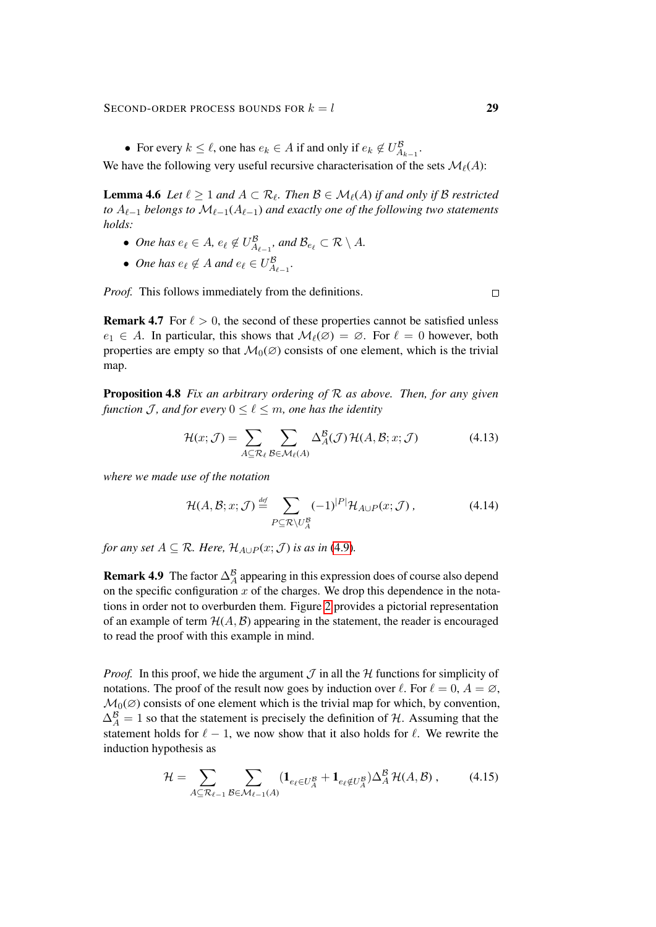SECOND-ORDER PROCESS BOUNDS FOR  $k = l$  29

• For every  $k \leq \ell$ , one has  $e_k \in A$  if and only if  $e_k \notin U_{A_{k-1}}^{\mathcal{B}}$ .

<span id="page-28-1"></span>We have the following very useful recursive characterisation of the sets  $\mathcal{M}_{\ell}(A)$ :

**Lemma 4.6** Let  $\ell \geq 1$  and  $A \subset \mathcal{R}_{\ell}$ . Then  $\mathcal{B} \in \mathcal{M}_{\ell}(A)$  if and only if  $\mathcal{B}$  restricted *to*  $A_{\ell-1}$  *belongs to*  $M_{\ell-1}(A_{\ell-1})$  *and exactly one of the following two statements holds:*

- One has  $e_{\ell} \in A$ ,  $e_{\ell} \notin U_{A_{\ell-1}}^{\mathcal{B}}$ , and  $\mathcal{B}_{e_{\ell}} \subset \mathcal{R} \setminus A$ .
- One has  $e_{\ell} \notin A$  and  $e_{\ell} \in U_{A_{\ell-1}}^{\mathcal{B}}$ .

*Proof.* This follows immediately from the definitions.

**Remark 4.7** For  $\ell > 0$ , the second of these properties cannot be satisfied unless  $e_1 \in A$ . In particular, this shows that  $\mathcal{M}_\ell(\emptyset) = \emptyset$ . For  $\ell = 0$  however, both properties are empty so that  $\mathcal{M}_0(\emptyset)$  consists of one element, which is the trivial map.

<span id="page-28-4"></span>Proposition 4.8 *Fix an arbitrary ordering of* R *as above. Then, for any given function* J, and for every  $0 \leq \ell \leq m$ , one has the identity

$$
\mathcal{H}(x; \mathcal{J}) = \sum_{A \subseteq \mathcal{R}_{\ell}} \sum_{\mathcal{B} \in \mathcal{M}_{\ell}(A)} \Delta_A^{\mathcal{B}}(\mathcal{J}) \mathcal{H}(A, \mathcal{B}; x; \mathcal{J})
$$
(4.13)

*where we made use of the notation*

$$
\mathcal{H}(A,\mathcal{B};x;\mathcal{J}) \stackrel{\text{def}}{=} \sum_{P \subseteq \mathcal{R} \setminus U_A^B} (-1)^{|P|} \mathcal{H}_{A \cup P}(x;\mathcal{J}), \tag{4.14}
$$

*for any set*  $A \subseteq \mathcal{R}$ *. Here,*  $\mathcal{H}_{A \cup P}(x; \mathcal{J})$  *is as in* [\(4.9\)](#page-26-1)*.* 

**Remark 4.9** The factor  $\Delta_A^B$  appearing in this expression does of course also depend on the specific configuration  $x$  of the charges. We drop this dependence in the notations in order not to overburden them. Figure [2](#page-29-0) provides a pictorial representation of an example of term  $H(A, B)$  appearing in the statement, the reader is encouraged to read the proof with this example in mind.

*Proof.* In this proof, we hide the argument  $\mathcal{J}$  in all the  $\mathcal{H}$  functions for simplicity of notations. The proof of the result now goes by induction over  $\ell$ . For  $\ell = 0, A = \emptyset$ ,  $\mathcal{M}_0(\emptyset)$  consists of one element which is the trivial map for which, by convention,  $\Delta_A^B = 1$  so that the statement is precisely the definition of H. Assuming that the statement holds for  $\ell - 1$ , we now show that it also holds for  $\ell$ . We rewrite the induction hypothesis as

<span id="page-28-2"></span>
$$
\mathcal{H} = \sum_{A \subseteq \mathcal{R}_{\ell-1}} \sum_{\mathcal{B} \in \mathcal{M}_{\ell-1}(A)} (\mathbf{1}_{e_{\ell} \in U_A^{\mathcal{B}}} + \mathbf{1}_{e_{\ell} \notin U_A^{\mathcal{B}}}) \Delta_A^{\mathcal{B}} \mathcal{H}(A, \mathcal{B}), \tag{4.15}
$$

<span id="page-28-3"></span><span id="page-28-0"></span> $\Box$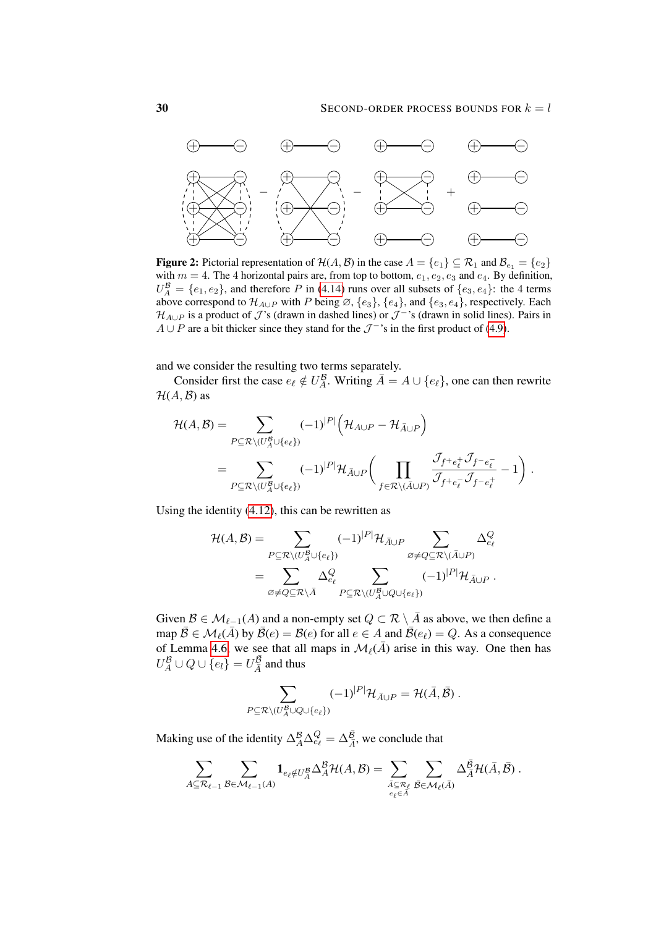<span id="page-29-0"></span>

**Figure 2:** Pictorial representation of  $\mathcal{H}(A, \mathcal{B})$  in the case  $A = \{e_1\} \subseteq \mathcal{R}_1$  and  $\mathcal{B}_{e_1} = \{e_2\}$ with  $m = 4$ . The 4 horizontal pairs are, from top to bottom,  $e_1, e_2, e_3$  and  $e_4$ . By definition,  $U_A^B = \{e_1, e_2\}$ , and therefore P in [\(4.14\)](#page-28-0) runs over all subsets of  $\{e_3, e_4\}$ : the 4 terms above correspond to  $\mathcal{H}_{A\cup P}$  with P being  $\varnothing$ ,  $\{e_3\}$ ,  $\{e_4\}$ , and  $\{e_3, e_4\}$ , respectively. Each  $\mathcal{H}_{A\cup P}$  is a product of  $\mathcal{J}'$ 's (drawn in dashed lines) or  $\mathcal{J}^{-1}$ 's (drawn in solid lines). Pairs in  $A \cup P$  are a bit thicker since they stand for the  $\mathcal{J}^{-1}$ 's in the first product of [\(4.9\)](#page-26-1).

and we consider the resulting two terms separately.

Consider first the case  $e_{\ell} \notin U_A^{\mathcal{B}}$ . Writing  $\overline{A} = A \cup \{e_{\ell}\}\$ , one can then rewrite  $H(A, \mathcal{B})$  as

$$
\mathcal{H}(A, \mathcal{B}) = \sum_{P \subseteq \mathcal{R} \setminus (U_A^{\mathcal{B}} \cup \{e_\ell\})} (-1)^{|P|} (\mathcal{H}_{A \cup P} - \mathcal{H}_{\bar{A} \cup P})
$$
\n
$$
= \sum_{P \subseteq \mathcal{R} \setminus (U_A^{\mathcal{B}} \cup \{e_\ell\})} (-1)^{|P|} \mathcal{H}_{\bar{A} \cup P} \Big( \prod_{f \in \mathcal{R} \setminus (\bar{A} \cup P)} \frac{\mathcal{J}_{f+e_\ell^+} \mathcal{J}_{f-e_\ell^-}}{\mathcal{J}_{f+e_\ell^-} \mathcal{J}_{f-e_\ell^+}} - 1 \Big).
$$

Using the identity [\(4.12\)](#page-27-1), this can be rewritten as

$$
\mathcal{H}(A,\mathcal{B}) = \sum_{P \subseteq \mathcal{R} \setminus (U_A^{\mathcal{B}} \cup \{e_\ell\})} (-1)^{|P|} \mathcal{H}_{\bar{A} \cup P} \sum_{\varnothing \neq Q \subseteq \mathcal{R} \setminus (\bar{A} \cup P)} \Delta_{e_\ell}^Q
$$
\n
$$
= \sum_{\varnothing \neq Q \subseteq \mathcal{R} \setminus \bar{A}} \Delta_{e_\ell}^Q \sum_{P \subseteq \mathcal{R} \setminus (U_A^{\mathcal{B}} \cup Q \cup \{e_\ell\})} (-1)^{|P|} \mathcal{H}_{\bar{A} \cup P}.
$$

Given  $\mathcal{B} \in \mathcal{M}_{\ell-1}(A)$  and a non-empty set  $Q \subset \mathcal{R} \setminus \overline{A}$  as above, we then define a map  $\bar{\mathcal{B}} \in \mathcal{M}_{\ell}(\bar{A})$  by  $\bar{\mathcal{B}}(e) = \mathcal{B}(e)$  for all  $e \in A$  and  $\bar{\mathcal{B}}(e_{\ell}) = Q$ . As a consequence of Lemma [4.6,](#page-28-1) we see that all maps in  $\mathcal{M}_{\ell}(\bar{A})$  arise in this way. One then has  $U^{\mathcal{B}}_A \cup Q \cup \{e_l\} = U^{\bar{\mathcal{B}}}_{\bar{A}}$  and thus

$$
\sum_{P \subseteq \mathcal{R} \setminus (U_A^{\mathcal{B}} \cup Q \cup \{e_\ell\})} (-1)^{|P|} \mathcal{H}_{\bar{A} \cup P} = \mathcal{H}(\bar{A}, \bar{\mathcal{B}}).
$$

Making use of the identity  $\Delta_A^B \Delta_{e_\ell}^Q = \Delta_{\overline{A}}^{\overline{B}}$ , we conclude that

$$
\sum_{A\subseteq \mathcal{R}_{\ell-1}}\sum_{\mathcal{B}\in \mathcal{M}_{\ell-1}(A)}\mathbf{1}_{e_{\ell}\notin U_A^{\mathcal{B}}}\Delta_A^{\mathcal{B}}\mathcal{H}(A,\mathcal{B})=\sum_{\substack{\bar{A}\subseteq \mathcal{R}_{\ell}\\e_{\ell}\in \bar{A}}}\sum_{\bar{\mathcal{B}}\in \mathcal{M}_{\ell}(\bar{A})}\Delta_{\bar{A}}^{\bar{\mathcal{B}}}\mathcal{H}(\bar{A},\bar{\mathcal{B}}).
$$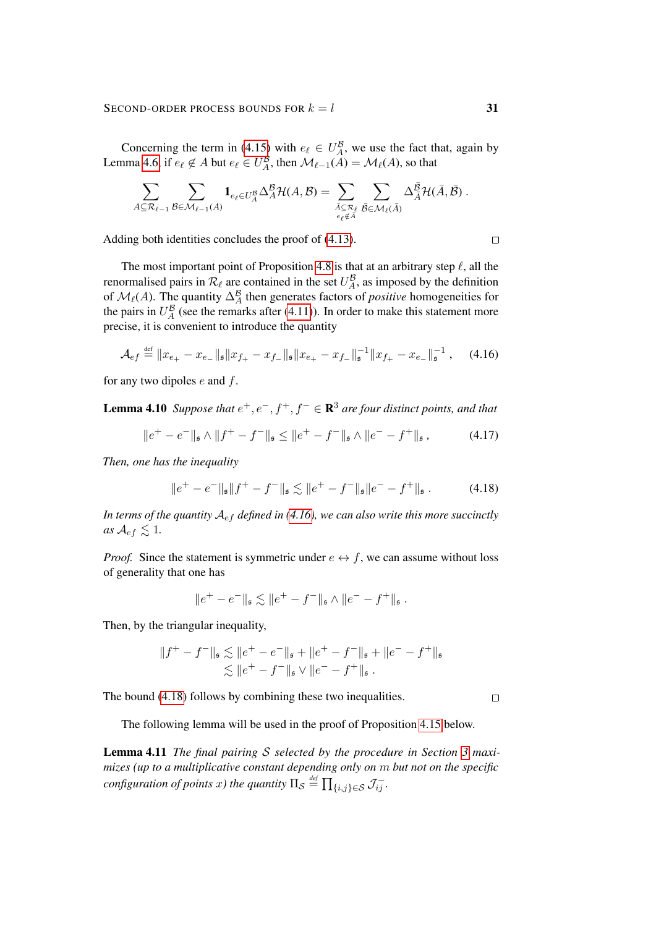#### SECOND-ORDER PROCESS BOUNDS FOR  $k = l$  31

Concerning the term in [\(4.15\)](#page-28-2) with  $e_\ell \in U_A^{\mathcal{B}}$ , we use the fact that, again by Lemma [4.6,](#page-28-1) if  $e_\ell \notin A$  but  $e_\ell \in U_A^{\mathcal{B}}$ , then  $\mathcal{M}_{\ell-1}(A) = \mathcal{M}_{\ell}(A)$ , so that

$$
\sum_{A\subseteq \mathcal{R}_{\ell-1}}\sum_{\mathcal{B}\in \mathcal{M}_{\ell-1}(A)}\mathbf{1}_{e_{\ell}\in U^{\mathcal{B}}_A}\Delta^{\mathcal{B}}_A\mathcal{H}(A,\mathcal{B})=\sum_{\substack{\bar{A}\subseteq \mathcal{R}_{\ell}\\e_{\ell}\notin \bar{A}}}\sum_{\bar{\mathcal{B}}\in \mathcal{M}_{\ell}(\bar{A})}\Delta^{\bar{\mathcal{B}}}_A\mathcal{H}(\bar{A},\bar{\mathcal{B}})\ .
$$

Adding both identities concludes the proof of [\(4.13\)](#page-28-3).

The most important point of Proposition [4.8](#page-28-4) is that at an arbitrary step  $\ell$ , all the renormalised pairs in  $\mathcal{R}_\ell$  are contained in the set  $U_A^{\mathcal{B}}$ , as imposed by the definition of  $\mathcal{M}_{\ell}(A)$ . The quantity  $\Delta_A^B$  then generates factors of *positive* homogeneities for the pairs in  $U_A^B$  (see the remarks after [\(4.11\)](#page-27-2)). In order to make this statement more precise, it is convenient to introduce the quantity

$$
\mathcal{A}_{ef} \stackrel{\text{def}}{=} \|x_{e_{+}} - x_{e_{-}}\|_{\mathfrak{s}} \|x_{f_{+}} - x_{f_{-}}\|_{\mathfrak{s}} \|x_{e_{+}} - x_{f_{-}}\|_{\mathfrak{s}}^{-1} \|x_{f_{+}} - x_{e_{-}}\|_{\mathfrak{s}}^{-1}, \quad (4.16)
$$

<span id="page-30-2"></span>for any two dipoles e and f.

**Lemma 4.10** Suppose that  $e^+, e^-, f^+, f^- \in \mathbb{R}^3$  are four distinct points, and that

$$
\|e^+ - e^-\|_{\mathfrak{s}} \wedge \|f^+ - f^-\|_{\mathfrak{s}} \le \|e^+ - f^-\|_{\mathfrak{s}} \wedge \|e^- - f^+\|_{\mathfrak{s}} ,\tag{4.17}
$$

*Then, one has the inequality*

$$
\|e^+ - e^-\|_{\mathfrak{s}}\|f^+ - f^-\|_{\mathfrak{s}} \lesssim \|e^+ - f^-\|_{\mathfrak{s}}\|e^- - f^+\|_{\mathfrak{s}}.
$$
 (4.18)

*In terms of the quantity* Aef *defined in [\(4.16\)](#page-30-0), we can also write this more succinctly as*  $A_{ef} \leq 1$ .

*Proof.* Since the statement is symmetric under  $e \leftrightarrow f$ , we can assume without loss of generality that one has

$$
||e^+ - e^-||_{\mathfrak{s}} \lesssim ||e^+ - f^-||_{\mathfrak{s}} \wedge ||e^- - f^+||_{\mathfrak{s}}.
$$

Then, by the triangular inequality,

$$
||f^+ - f^-||_{\mathfrak{s}} \lesssim ||e^+ - e^-||_{\mathfrak{s}} + ||e^+ - f^-||_{\mathfrak{s}} + ||e^- - f^+||_{\mathfrak{s}}
$$
  

$$
\lesssim ||e^+ - f^-||_{\mathfrak{s}} \vee ||e^- - f^+||_{\mathfrak{s}}.
$$

The bound [\(4.18\)](#page-30-1) follows by combining these two inequalities.

<span id="page-30-1"></span> $\Box$ 

The following lemma will be used in the proof of Proposition [4.15](#page-34-1) below.

<span id="page-30-4"></span>Lemma 4.11 *The final pairing* S *selected by the procedure in Section [3](#page-10-0) maximizes (up to a multiplicative constant depending only on* m *but not on the specific*  $\hat{f}_{configuration\ of\ points\ x)$  the quantity  $\Pi_{\mathcal{S}} \stackrel{\textit{\tiny def}}{=} \prod_{\{i,j\} \in \mathcal{S}} \mathcal{J}^{-}_{ij}$ .

<span id="page-30-3"></span><span id="page-30-0"></span> $\Box$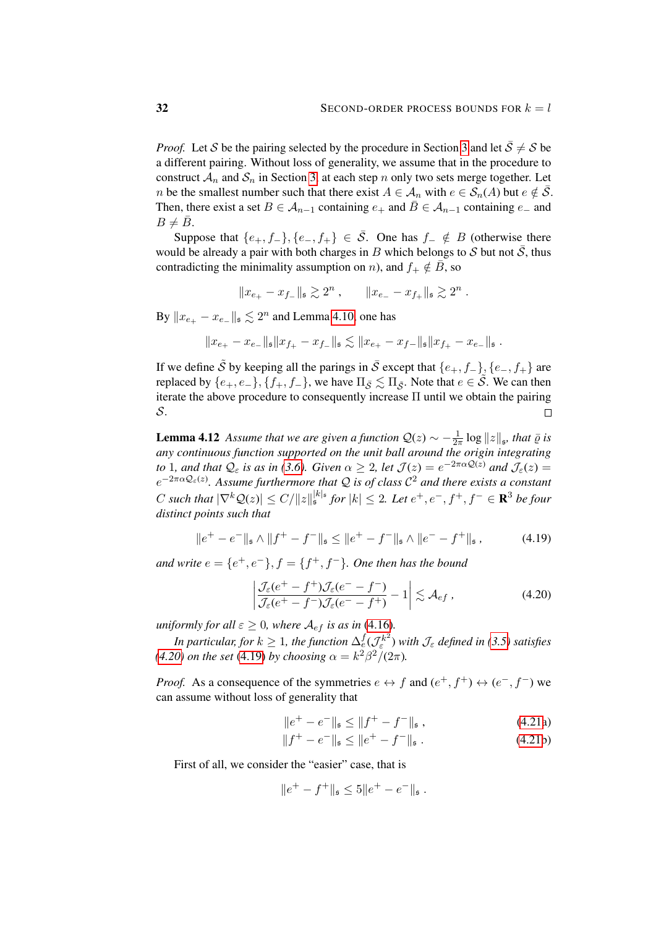*Proof.* Let S be the pairing selected by the procedure in Section [3](#page-10-0) and let  $\overline{S} \neq S$  be a different pairing. Without loss of generality, we assume that in the procedure to construct  $\mathcal{A}_n$  and  $\mathcal{S}_n$  in Section [3,](#page-10-0) at each step n only two sets merge together. Let *n* be the smallest number such that there exist  $A \in \mathcal{A}_n$  with  $e \in \mathcal{S}_n(A)$  but  $e \notin \overline{\mathcal{S}}$ . Then, there exist a set  $B \in A_{n-1}$  containing  $e_+$  and  $\overline{B} \in A_{n-1}$  containing  $e_-$  and  $B \neq \overline{B}$ .

Suppose that  $\{e_+, f_-\}, \{e_-, f_+\} \in \overline{S}$ . One has  $f_- \notin B$  (otherwise there would be already a pair with both charges in B which belongs to S but not  $\overline{S}$ , thus contradicting the minimality assumption on n), and  $f_+ \notin \overline{B}$ , so

$$
||x_{e_+} - x_{f_-}||_{\mathfrak{s}} \gtrsim 2^n , \qquad ||x_{e_-} - x_{f_+}||_{\mathfrak{s}} \gtrsim 2^n .
$$

By  $||x_{e_+} - x_{e_-}||_{\mathfrak{s}} \lesssim 2^n$  and Lemma [4.10,](#page-30-2) one has

$$
\|x_{e_+}-x_{e_-}\|_{\mathfrak{s}}\|x_{f_+}-x_{f_-}\|_{\mathfrak{s}}\lesssim \|x_{e_+}-x_{f-}\|_{\mathfrak{s}}\|x_{f_+}-x_{e_-}\|_{\mathfrak{s}}\;.
$$

If we define  $\tilde{S}$  by keeping all the parings in  $\bar{S}$  except that  $\{e_+, f_-\}$ ,  $\{e_-, f_+\}$  are replaced by  $\{e_+, e_-\}, \{f_+, f_-\}$ , we have  $\Pi_{\bar{S}} \lesssim \Pi_{\tilde{S}}$ . Note that  $e \in \tilde{S}$ . We can then iterate the above procedure to consequently increase  $\Pi$  until we obtain the pairing S.  $\Box$ 

<span id="page-31-3"></span>**Lemma 4.12** *Assume that we are given a function*  $Q(z) \sim -\frac{1}{2z}$  $\frac{1}{2\pi} \log ||z||_{\mathfrak{s}}$ *, that*  $\bar{\varrho}$  *is any continuous function supported on the unit ball around the origin integrating to* 1*, and that*  $Q_{\varepsilon}$  *is as in* [\(3.6\)](#page-11-3)*.* Given  $\alpha \geq 2$ *, let*  $\mathcal{J}(z) = e^{-2\pi \alpha \mathcal{Q}(z)}$  and  $\mathcal{J}_{\varepsilon}(z) =$ e −2παQε(z) *. Assume furthermore that* Q *is of class* C <sup>2</sup> *and there exists a constant*  $C$  such that  $|\nabla^k \mathcal{Q}(z)| \leq C/||z||_{{\mathfrak{s}}}^{|k|_{{\mathfrak{s}}}}$  for  $|k| \leq 2$ . Let  $e^+, e^-, f^+, f^- \in {\mathbf{R}}^3$  be four *distinct points such that*

$$
||e^+ - e^-||_{\mathfrak{s}} \wedge ||f^+ - f^-||_{\mathfrak{s}} \le ||e^+ - f^-||_{\mathfrak{s}} \wedge ||e^- - f^+||_{\mathfrak{s}} ,\qquad(4.19)
$$

*and write*  $e = \{e^+, e^-\}, f = \{f^+, f^-\}$ *. One then has the bound* 

<span id="page-31-1"></span><span id="page-31-0"></span>
$$
\left| \frac{\mathcal{J}_{\varepsilon}(e^+ - f^+) \mathcal{J}_{\varepsilon}(e^- - f^-)}{\mathcal{J}_{\varepsilon}(e^+ - f^-) \mathcal{J}_{\varepsilon}(e^- - f^+)} - 1 \right| \lesssim \mathcal{A}_{ef}, \qquad (4.20)
$$

*uniformly for all*  $\varepsilon \geq 0$ *, where*  $\mathcal{A}_{ef}$  *is as in* [\(4.16\)](#page-30-0)*.* 

In particular, for  $k\geq 1$ , the function  $\Delta_e^f(\mathcal{J}_\varepsilon^{k^2})$  with  $\mathcal{J}_\varepsilon$  defined in [\(3.5\)](#page-11-0) satisfies *[\(4.20\)](#page-31-0) on the set* [\(4.19\)](#page-31-1) *by choosing*  $\alpha = k^2 \beta^2 / (2\pi)$ *.* 

*Proof.* As a consequence of the symmetries  $e \leftrightarrow f$  and  $(e^+, f^+) \leftrightarrow (e^-, f^-)$  we can assume without loss of generality that

<span id="page-31-2"></span>
$$
||e^+ - e^-||_{\mathfrak{s}} \le ||f^+ - f^-||_{\mathfrak{s}}, \qquad (4.21a)
$$

$$
||f^+ - e^-||_{\mathfrak{s}} \le ||e^+ - f^-||_{\mathfrak{s}}.
$$
 (4.21b)

First of all, we consider the "easier" case, that is

$$
\|e^+-f^+\|_{\mathfrak{s}}\leq 5\|e^+-e^-\|_{\mathfrak{s}}\;.
$$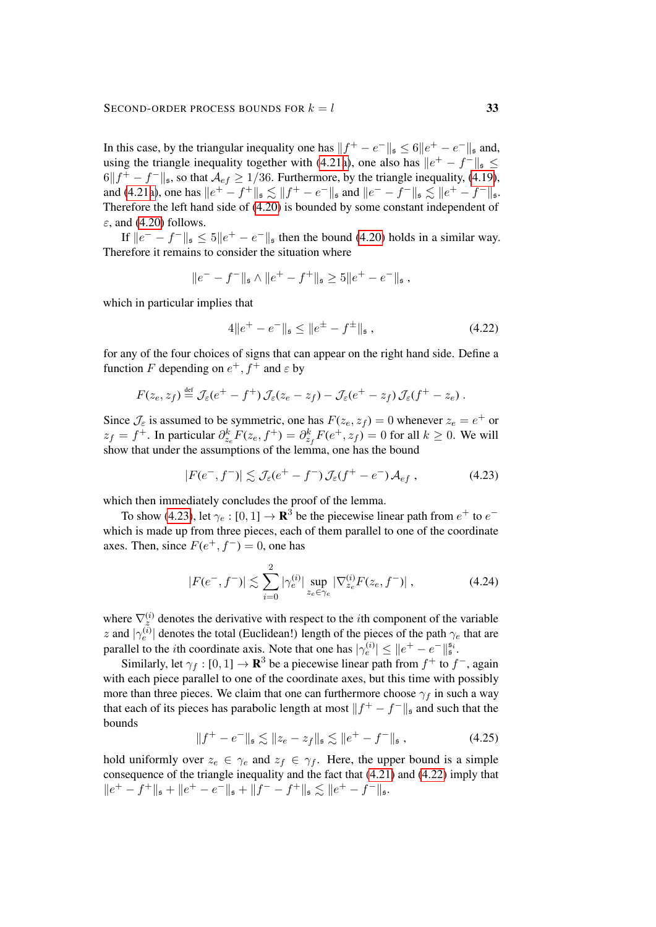In this case, by the triangular inequality one has  $||f^+ - e^-||_{\mathfrak{s}} \le 6||e^+ - e^-||_{\mathfrak{s}}$  and, using the triangle inequality together with [\(4.21a\)](#page-31-2), one also has  $||e^+ - f^+||_{\mathfrak{s}} \leq$  $6||f^+ - f^-||_{\mathfrak{s}}$ , so that  $\mathcal{A}_{ef} \ge 1/36$ . Furthermore, by the triangle inequality, [\(4.19\)](#page-31-1), and [\(4.21a\)](#page-31-2), one has  $||e^+ - f^+||_{\mathfrak{s}} \lesssim ||f^+ - e^-||_{\mathfrak{s}}$  and  $||e^- - f^-||_{\mathfrak{s}} \lesssim ||e^+ - f^-||_{\mathfrak{s}}$ . Therefore the left hand side of [\(4.20\)](#page-31-0) is bounded by some constant independent of  $\varepsilon$ , and [\(4.20\)](#page-31-0) follows.

If  $||e^- - f^+||_{\mathfrak{s}} \leq 5||e^+ - e^+||_{\mathfrak{s}}$  then the bound [\(4.20\)](#page-31-0) holds in a similar way. Therefore it remains to consider the situation where

$$
||e^- - f^-||_{\mathfrak{s}} \wedge ||e^+ - f^+||_{\mathfrak{s}} \ge 5||e^+ - e^-||_{\mathfrak{s}} ,
$$

which in particular implies that

<span id="page-32-1"></span><span id="page-32-0"></span>
$$
4\|e^+ - e^-\|_{\mathfrak{s}} \le \|e^{\pm} - f^{\pm}\|_{\mathfrak{s}},\tag{4.22}
$$

for any of the four choices of signs that can appear on the right hand side. Define a function F depending on  $e^+, f^+$  and  $\varepsilon$  by

$$
F(z_e, z_f) \stackrel{\text{def}}{=} \mathcal{J}_\varepsilon(e^+ - f^+) \mathcal{J}_\varepsilon(z_e - z_f) - \mathcal{J}_\varepsilon(e^+ - z_f) \mathcal{J}_\varepsilon(f^+ - z_e) .
$$

Since  $\mathcal{J}_{\varepsilon}$  is assumed to be symmetric, one has  $F(z_e, z_f) = 0$  whenever  $z_e = e^+$  or  $z_f = f^+$ . In particular  $\partial_{z_e}^k F(z_e, f^+) = \partial_{z_f}^k F(e^+, z_f) = 0$  for all  $k \ge 0$ . We will show that under the assumptions of the lemma, one has the bound

$$
|F(e^-, f^-)| \lesssim \mathcal{J}_{\varepsilon}(e^+ - f^-) \mathcal{J}_{\varepsilon}(f^+ - e^-) \mathcal{A}_{ef} , \qquad (4.23)
$$

which then immediately concludes the proof of the lemma.

To show [\(4.23\)](#page-32-0), let  $\gamma_e : [0, 1] \to \mathbf{R}^3$  be the piecewise linear path from  $e^+$  to  $e^$ which is made up from three pieces, each of them parallel to one of the coordinate axes. Then, since  $F(e^+, f^-) = 0$ , one has

$$
|F(e^-, f^-)| \lesssim \sum_{i=0}^2 |\gamma_e^{(i)}| \sup_{z_e \in \gamma_e} |\nabla_{z_e}^{(i)} F(z_e, f^-)| \,, \tag{4.24}
$$

where  $\nabla_z^{(i)}$  denotes the derivative with respect to the *i*th component of the variable z and  $|\gamma_e^{(i)}|$  denotes the total (Euclidean!) length of the pieces of the path  $\gamma_e$  that are parallel to the *i*th coordinate axis. Note that one has  $|\gamma_e^{(i)}| \leq ||e^+ - e^-||_{\mathfrak{s}}^{\mathfrak{s}_i}$ .

Similarly, let  $\gamma_f : [0,1] \to \mathbf{R}^3$  be a piecewise linear path from  $f^+$  to  $f^-$ , again with each piece parallel to one of the coordinate axes, but this time with possibly more than three pieces. We claim that one can furthermore choose  $\gamma_f$  in such a way that each of its pieces has parabolic length at most  $||f^+ - f^-||_{\mathfrak{s}}$  and such that the bounds

<span id="page-32-2"></span>
$$
||f^+ - e^-||_{\mathfrak{s}} \lesssim ||z_e - z_f||_{\mathfrak{s}} \lesssim ||e^+ - f^-||_{\mathfrak{s}} , \qquad (4.25)
$$

hold uniformly over  $z_e \in \gamma_e$  and  $z_f \in \gamma_f$ . Here, the upper bound is a simple consequence of the triangle inequality and the fact that [\(4.21\)](#page-31-2) and [\(4.22\)](#page-32-1) imply that  $\|e^+ - f^+\|_{\mathfrak{s}} + \|e^+ - e^-\|_{\mathfrak{s}} + \|f^- - f^+\|_{\mathfrak{s}} \lesssim \|e^+ - f^-\|_{\mathfrak{s}}.$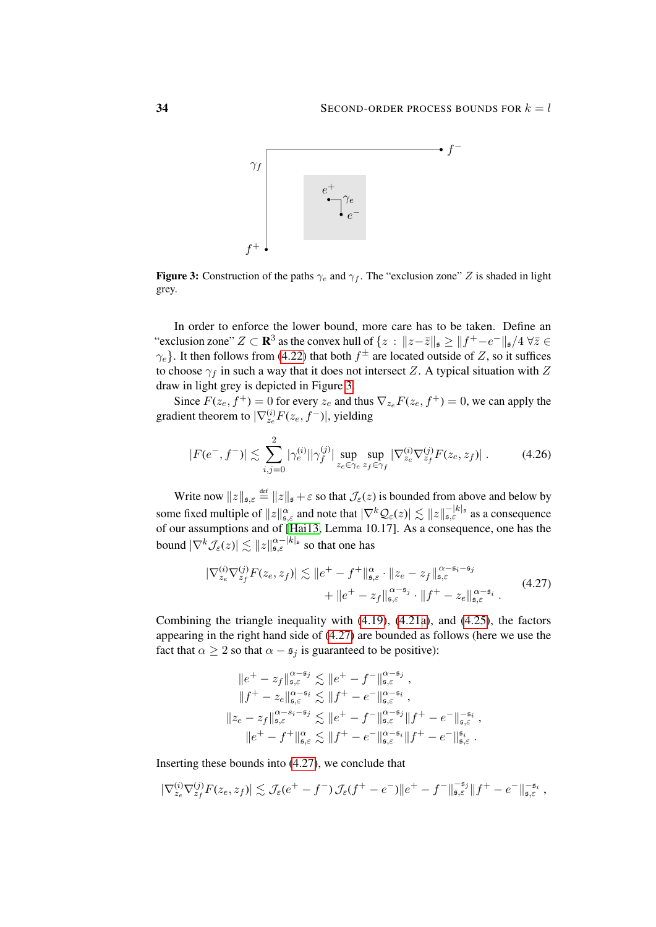<span id="page-33-0"></span>

Figure 3: Construction of the paths  $\gamma_e$  and  $\gamma_f$ . The "exclusion zone" Z is shaded in light grey.

In order to enforce the lower bound, more care has to be taken. Define an "exclusion zone"  $Z \subset \mathbf{R}^3$  as the convex hull of  $\{z : ||z-\overline{z}||_{\mathfrak{s}} \ge ||f^+ - e^-||_{\mathfrak{s}}/4 \,\forall \overline{z} \in \mathbb{R}$  $\gamma_e$ }. It then follows from [\(4.22\)](#page-32-1) that both  $f^{\pm}$  are located outside of Z, so it suffices to choose  $\gamma_f$  in such a way that it does not intersect Z. A typical situation with Z draw in light grey is depicted in Figure [3.](#page-33-0)

Since  $F(z_e, f^+) = 0$  for every  $z_e$  and thus  $\nabla_{z_e} F(z_e, f^+) = 0$ , we can apply the gradient theorem to  $|\nabla_{z_e}^{(i)} F(z_e, f^-)|$ , yielding

<span id="page-33-2"></span>
$$
|F(e^-, f^-)| \lesssim \sum_{i,j=0}^2 |\gamma_e^{(i)}| |\gamma_f^{(j)}| \sup_{z_e \in \gamma_e} \sup_{z_f \in \gamma_f} |\nabla_{z_e}^{(i)} \nabla_{z_f}^{(j)} F(z_e, z_f)|. \tag{4.26}
$$

Write now  $||z||_{\mathfrak{s},\varepsilon} \stackrel{\text{def}}{=} ||z||_{\mathfrak{s}} + \varepsilon$  so that  $\mathcal{J}_{\varepsilon}(z)$  is bounded from above and below by some fixed multiple of  $||z||_{\mathfrak{s},\varepsilon}^{\alpha}$  and note that  $|\nabla^{k}\mathcal{Q}_{\varepsilon}(z)| \lesssim ||z||_{\mathfrak{s},\varepsilon}^{-|k|_{\mathfrak{s}}}$  as a consequence of our assumptions and of [\[Hai13,](#page-62-2) Lemma 10.17]. As a consequence, one has the bound  $|\nabla^k \mathcal{J}_{\varepsilon}(z)| \lesssim \|z\|_{\mathfrak{s},\varepsilon}^{\alpha - |k|_{\mathfrak{s}}}$  so that one has

$$
|\nabla_{z_e}^{(i)} \nabla_{z_f}^{(j)} F(z_e, z_f)| \lesssim \|e^+ - f^+\|_{\mathfrak{s}, \varepsilon}^{\alpha} \cdot \|z_e - z_f\|_{\mathfrak{s}, \varepsilon}^{\alpha - \mathfrak{s}_i - \mathfrak{s}_j} + \|e^+ - z_f\|_{\mathfrak{s}, \varepsilon}^{\alpha - \mathfrak{s}_j} \cdot \|f^+ - z_e\|_{\mathfrak{s}, \varepsilon}^{\alpha - \mathfrak{s}_i} .
$$
 (4.27)

Combining the triangle inequality with [\(4.19\)](#page-31-1), [\(4.21a\)](#page-31-2), and [\(4.25\)](#page-32-2), the factors appearing in the right hand side of [\(4.27\)](#page-33-1) are bounded as follows (here we use the fact that  $\alpha \geq 2$  so that  $\alpha - s_j$  is guaranteed to be positive):

<span id="page-33-1"></span>
$$
||e^+ - z_f||_{\mathfrak{s},\varepsilon}^{\alpha-\mathfrak{s}_j} \lesssim ||e^+ - f^-||_{\mathfrak{s},\varepsilon}^{\alpha-\mathfrak{s}_j},
$$
  
\n
$$
||f^+ - z_e||_{\mathfrak{s},\varepsilon}^{\alpha-\mathfrak{s}_i} \lesssim ||f^+ - e^-||_{\mathfrak{s},\varepsilon}^{\alpha-\mathfrak{s}_i},
$$
  
\n
$$
||z_e - z_f||_{\mathfrak{s},\varepsilon}^{\alpha-\mathfrak{s}_i-\mathfrak{s}_j} \lesssim ||e^+ - f^-||_{\mathfrak{s},\varepsilon}^{\alpha-\mathfrak{s}_j}||f^+ - e^-||_{\mathfrak{s},\varepsilon}^{-\mathfrak{s}_i},
$$
  
\n
$$
||e^+ - f^+||_{\mathfrak{s},\varepsilon}^{\alpha} \lesssim ||f^+ - e^-||_{\mathfrak{s},\varepsilon}^{\alpha-\mathfrak{s}_i}||f^+ - e^-||_{\mathfrak{s},\varepsilon}^{\mathfrak{s}_i}.
$$

Inserting these bounds into [\(4.27\)](#page-33-1), we conclude that

$$
|\nabla_{z_e}^{(i)} \nabla_{z_f}^{(j)} F(z_e, z_f)| \lesssim \mathcal{J}_\varepsilon (e^+ - f^-) \mathcal{J}_\varepsilon (f^+ - e^-) \|e^+ - f^-\|_{\mathfrak{s},\varepsilon}^{-\mathfrak{s}_j} \|f^+ - e^-\|_{\mathfrak{s},\varepsilon}^{-\mathfrak{s}_i},
$$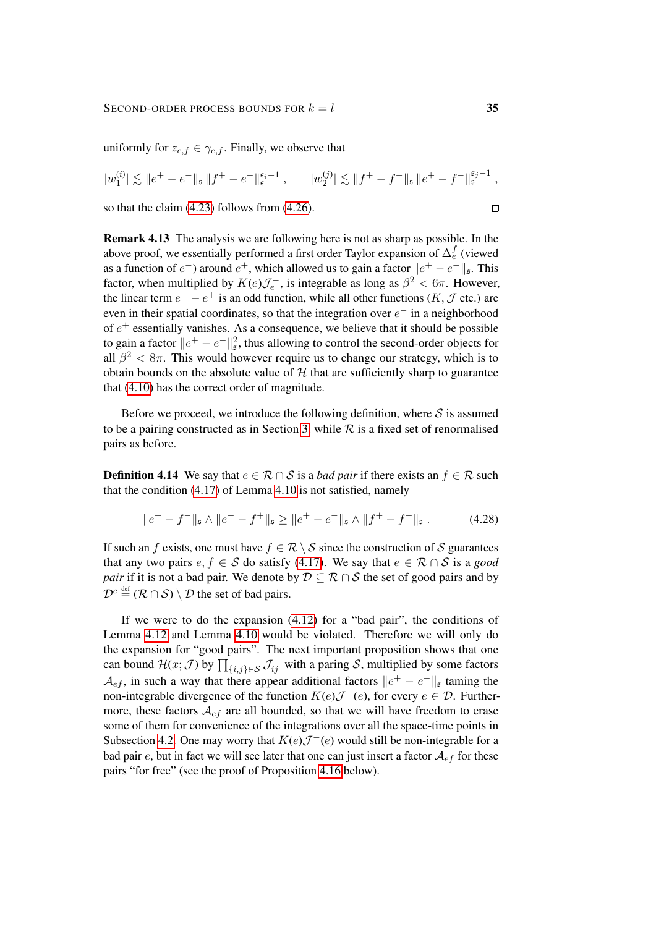uniformly for  $z_{e,f} \in \gamma_{e,f}$ . Finally, we observe that

$$
|w_1^{(i)}| \lesssim ||e^+ - e^-||_{\mathfrak{s}} ||f^+ - e^-||_{\mathfrak{s}}^{\mathfrak{s}_i - 1}, \qquad |w_2^{(j)}| \lesssim ||f^+ - f^-||_{\mathfrak{s}} ||e^+ - f^-||_{\mathfrak{s}}^{\mathfrak{s}_j - 1},
$$
  
so that the claim (4.23) follows from (4.26).

so that the claim [\(4.23\)](#page-32-0) follows from [\(4.26\)](#page-33-2).

<span id="page-34-0"></span>Remark 4.13 The analysis we are following here is not as sharp as possible. In the above proof, we essentially performed a first order Taylor expansion of  $\Delta_e^f$  (viewed as a function of  $e^-$ ) around  $e^+$ , which allowed us to gain a factor  $||e^+ - e^-||_{\mathfrak{s}}$ . This factor, when multiplied by  $K(e)\mathcal{J}_e^-$ , is integrable as long as  $\beta^2 < 6\pi$ . However, the linear term  $e^- - e^+$  is an odd function, while all other functions  $(K, \mathcal{J}$  etc.) are even in their spatial coordinates, so that the integration over  $e^-$  in a neighborhood of  $e^+$  essentially vanishes. As a consequence, we believe that it should be possible to gain a factor  $||e^+ - e^-||^2_{\mathfrak{s}}$ , thus allowing to control the second-order objects for all  $\beta^2 < 8\pi$ . This would however require us to change our strategy, which is to obtain bounds on the absolute value of  $H$  that are sufficiently sharp to guarantee that [\(4.10\)](#page-26-2) has the correct order of magnitude.

Before we proceed, we introduce the following definition, where  $S$  is assumed to be a pairing constructed as in Section [3,](#page-10-0) while  $R$  is a fixed set of renormalised pairs as before.

**Definition 4.14** We say that  $e \in \mathcal{R} \cap \mathcal{S}$  is a *bad pair* if there exists an  $f \in \mathcal{R}$  such that the condition [\(4.17\)](#page-30-3) of Lemma [4.10](#page-30-2) is not satisfied, namely

<span id="page-34-2"></span>
$$
||e^{+} - f^{-}||_{\mathfrak{s}} \wedge ||e^{-} - f^{+}||_{\mathfrak{s}} \ge ||e^{+} - e^{-}||_{\mathfrak{s}} \wedge ||f^{+} - f^{-}||_{\mathfrak{s}}.
$$
 (4.28)

If such an f exists, one must have  $f \in \mathcal{R} \setminus \mathcal{S}$  since the construction of S guarantees that any two pairs  $e, f \in S$  do satisfy [\(4.17\)](#page-30-3). We say that  $e \in \mathcal{R} \cap S$  is a *good pair* if it is not a bad pair. We denote by  $D \subseteq \mathcal{R} \cap \mathcal{S}$  the set of good pairs and by  $\mathcal{D}^c \stackrel{\text{def}}{=} (\mathcal{R} \cap \mathcal{S}) \setminus \mathcal{D}$  the set of bad pairs.

<span id="page-34-1"></span>If we were to do the expansion [\(4.12\)](#page-27-1) for a "bad pair", the conditions of Lemma [4.12](#page-31-3) and Lemma [4.10](#page-30-2) would be violated. Therefore we will only do the expansion for "good pairs". The next important proposition shows that one can bound  $\mathcal{H}(x; \mathcal{J})$  by  $\prod_{\{i,j\} \in \mathcal{S}} \mathcal{J}_{ij}^-$  with a paring  $\mathcal{S}$ , multiplied by some factors  $\mathcal{A}_{ef}$ , in such a way that there appear additional factors  $||e^+ - e^-||$ <sub>s</sub> taming the non-integrable divergence of the function  $K(e) \mathcal{J}^-(e)$ , for every  $e \in \mathcal{D}$ . Furthermore, these factors  $A_{ef}$  are all bounded, so that we will have freedom to erase some of them for convenience of the integrations over all the space-time points in Subsection [4.2.](#page-36-0) One may worry that  $K(e)\mathcal{J}^{-}(e)$  would still be non-integrable for a bad pair e, but in fact we will see later that one can just insert a factor  $\mathcal{A}_{ef}$  for these pairs "for free" (see the proof of Proposition [4.16](#page-37-0) below).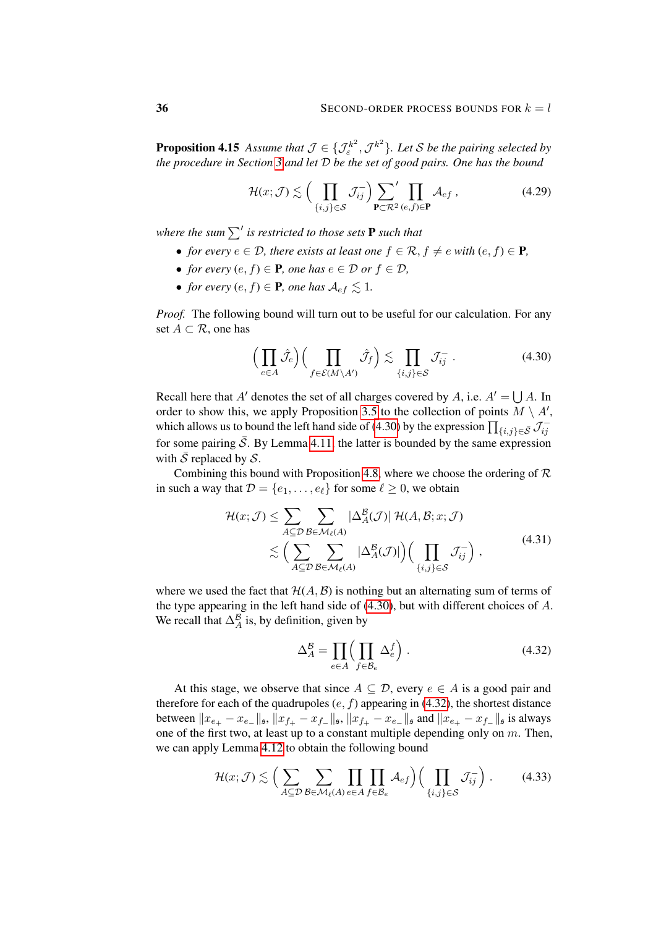**Proposition 4.15** Assume that  $\mathcal{J} \in \{ \mathcal{J}^{k^2}_{\varepsilon}, \mathcal{J}^{k^2} \}$ . Let S be the pairing selected by *the procedure in Section [3](#page-10-0) and let* D *be the set of good pairs. One has the bound*

<span id="page-35-3"></span>
$$
\mathcal{H}(x; \mathcal{J}) \lesssim \Big( \prod_{\{i,j\} \in \mathcal{S}} \mathcal{J}_{ij}^{-} \Big) \sum_{\mathbf{P} \subset \mathcal{R}^2} \prod_{(e,f) \in \mathbf{P}} \mathcal{A}_{ef} , \tag{4.29}
$$

where the sum  $\sum'$  is restricted to those sets  ${\bf P}$  such that

- *for every*  $e \in \mathcal{D}$ *, there exists at least one*  $f \in \mathcal{R}$ *,*  $f \neq e$  *with*  $(e, f) \in \mathbf{P}$ *,*
- *for every*  $(e, f) \in \mathbf{P}$ *, one has*  $e \in \mathcal{D}$  *or*  $f \in \mathcal{D}$ *,*
- *for every*  $(e, f) \in \mathbf{P}$ *, one has*  $\mathcal{A}_{ef} \leq 1$ *.*

*Proof.* The following bound will turn out to be useful for our calculation. For any set  $A \subset \mathcal{R}$ , one has

<span id="page-35-0"></span>
$$
\left(\prod_{e \in A} \hat{\mathcal{J}}_e\right) \left(\prod_{f \in \mathcal{E}(M \setminus A')} \hat{\mathcal{J}}_f\right) \lesssim \prod_{\{i,j\} \in \mathcal{S}} \mathcal{J}_{ij}^- \,. \tag{4.30}
$$

Recall here that A' denotes the set of all charges covered by A, i.e.  $A' = \bigcup A$ . In order to show this, we apply Proposition [3.5](#page-16-0) to the collection of points  $M \setminus A'$ , which allows us to bound the left hand side of [\(4.30\)](#page-35-0) by the expression  $\prod_{\{i,j\}\in\bar{\mathcal{S}}}\mathcal{J}_{ij}^$ for some pairing  $\overline{S}$ . By Lemma [4.11,](#page-30-4) the latter is bounded by the same expression with  $\overline{S}$  replaced by  $S$ .

Combining this bound with Proposition [4.8,](#page-28-4) where we choose the ordering of  $\mathcal R$ in such a way that  $\mathcal{D} = \{e_1, \ldots, e_\ell\}$  for some  $\ell \geq 0$ , we obtain

$$
\mathcal{H}(x; \mathcal{J}) \leq \sum_{A \subseteq \mathcal{D}} \sum_{\mathcal{B} \in \mathcal{M}_{\ell}(A)} |\Delta_A^{\mathcal{B}}(\mathcal{J})| \mathcal{H}(A, \mathcal{B}; x; \mathcal{J}) \n\lesssim \Big( \sum_{A \subseteq \mathcal{D}} \sum_{\mathcal{B} \in \mathcal{M}_{\ell}(A)} |\Delta_A^{\mathcal{B}}(\mathcal{J})| \Big) \Big( \prod_{\{i,j\} \in \mathcal{S}} \mathcal{J}_{ij}^{-} \Big) ,
$$
\n(4.31)

where we used the fact that  $H(A, \mathcal{B})$  is nothing but an alternating sum of terms of the type appearing in the left hand side of [\(4.30\)](#page-35-0), but with different choices of A. We recall that  $\Delta_A^B$  is, by definition, given by

<span id="page-35-2"></span><span id="page-35-1"></span>
$$
\Delta_A^{\mathcal{B}} = \prod_{e \in A} \left( \prod_{f \in \mathcal{B}_e} \Delta_e^f \right). \tag{4.32}
$$

At this stage, we observe that since  $A \subseteq \mathcal{D}$ , every  $e \in A$  is a good pair and therefore for each of the quadrupoles  $(e, f)$  appearing in [\(4.32\)](#page-35-1), the shortest distance between  $||x_{e_{+}} - x_{e_{-}}||_{\mathfrak{s}}, ||x_{f_{+}} - x_{f_{-}}||_{\mathfrak{s}}, ||x_{f_{+}} - x_{e_{-}}||_{\mathfrak{s}}$  and  $||x_{e_{+}} - x_{f_{-}}||_{\mathfrak{s}}$  is always one of the first two, at least up to a constant multiple depending only on  $m$ . Then, we can apply Lemma [4.12](#page-31-3) to obtain the following bound

$$
\mathcal{H}(x; \mathcal{J}) \lesssim \Big( \sum_{A \subseteq \mathcal{D}} \sum_{\mathcal{B} \in \mathcal{M}_{\ell}(A)} \prod_{e \in A} \prod_{f \in \mathcal{B}_e} \mathcal{A}_{ef} \Big) \Big( \prod_{\{i,j\} \in \mathcal{S}} \mathcal{J}_{ij}^{-} \Big) . \tag{4.33}
$$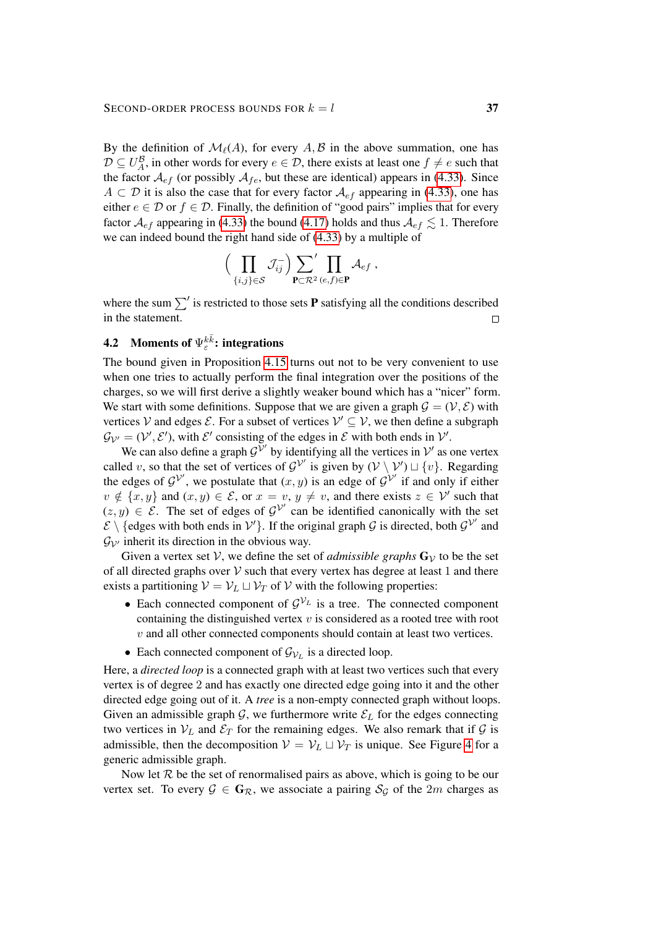#### SECOND-ORDER PROCESS BOUNDS FOR  $k = l$  37

By the definition of  $\mathcal{M}_{\ell}(A)$ , for every  $A, B$  in the above summation, one has  $\mathcal{D} \subseteq U_A^{\mathcal{B}}$ , in other words for every  $e \in \mathcal{D}$ , there exists at least one  $f \neq e$  such that the factor  $A_{ef}$  (or possibly  $A_{fe}$ , but these are identical) appears in [\(4.33\)](#page-35-2). Since  $A \subset \mathcal{D}$  it is also the case that for every factor  $\mathcal{A}_{ef}$  appearing in [\(4.33\)](#page-35-2), one has either  $e \in \mathcal{D}$  or  $f \in \mathcal{D}$ . Finally, the definition of "good pairs" implies that for every factor  $\mathcal{A}_{ef}$  appearing in [\(4.33\)](#page-35-2) the bound [\(4.17\)](#page-30-3) holds and thus  $\mathcal{A}_{ef} \leq 1$ . Therefore we can indeed bound the right hand side of [\(4.33\)](#page-35-2) by a multiple of

$$
\Big(\prod_{\{i,j\}\in\mathcal{S}}\mathcal{J}^-_{ij}\Big) \underset{\mathbf{P}\subset\mathcal{R}^2}{\sum}\prod_{(e,f)\in\mathbf{P}}\mathcal{A}_{ef}\;,
$$

where the sum  $\sum'$  is restricted to those sets **P** satisfying all the conditions described in the statement.  $\Box$ 

# <span id="page-36-0"></span>**4.2** Moments of  $\Psi_{\varepsilon}^{k\bar{k}}$ : integrations

The bound given in Proposition [4.15](#page-34-1) turns out not to be very convenient to use when one tries to actually perform the final integration over the positions of the charges, so we will first derive a slightly weaker bound which has a "nicer" form. We start with some definitions. Suppose that we are given a graph  $\mathcal{G} = (\mathcal{V}, \mathcal{E})$  with vertices V and edges  $\mathcal{E}$ . For a subset of vertices  $\mathcal{V}' \subseteq \mathcal{V}$ , we then define a subgraph  $\mathcal{G}_{\mathcal{V}'} = (\mathcal{V}', \mathcal{E}')$ , with  $\mathcal{E}'$  consisting of the edges in  $\mathcal{E}$  with both ends in  $\mathcal{V}'$ .

We can also define a graph  $\mathcal{G}^{\mathcal{V}'}$  by identifying all the vertices in  $\mathcal{V}'$  as one vertex called v, so that the set of vertices of  $\mathcal{G}^{\mathcal{V}'}$  is given by  $(\mathcal{V} \setminus \mathcal{V}') \sqcup \{v\}$ . Regarding the edges of  $\mathcal{G}^{\mathcal{V}'}$ , we postulate that  $(x, y)$  is an edge of  $\mathcal{G}^{\mathcal{V}'}$  if and only if either  $v \notin \{x, y\}$  and  $(x, y) \in \mathcal{E}$ , or  $x = v$ ,  $y \neq v$ , and there exists  $z \in \mathcal{V}'$  such that  $(z, y) \in \mathcal{E}$ . The set of edges of  $\mathcal{G}^{\mathcal{V}'}$  can be identified canonically with the set  $\mathcal{E} \setminus \{\text{edges with both ends in } \mathcal{V}'\}.$  If the original graph G is directed, both  $\mathcal{G}^{\mathcal{V}'}$  and  $\mathcal{G}_{\mathcal{V}'}$  inherit its direction in the obvious way.

Given a vertex set V, we define the set of *admissible graphs*  $G_V$  to be the set of all directed graphs over  $V$  such that every vertex has degree at least 1 and there exists a partitioning  $V = V_L \sqcup V_T$  of V with the following properties:

- Each connected component of  $\mathcal{G}^{\mathcal{V}_L}$  is a tree. The connected component containing the distinguished vertex  $v$  is considered as a rooted tree with root  $v$  and all other connected components should contain at least two vertices.
- Each connected component of  $\mathcal{G}_{v_L}$  is a directed loop.

Here, a *directed loop* is a connected graph with at least two vertices such that every vertex is of degree 2 and has exactly one directed edge going into it and the other directed edge going out of it. A *tree* is a non-empty connected graph without loops. Given an admissible graph  $G$ , we furthermore write  $\mathcal{E}_L$  for the edges connecting two vertices in  $V_L$  and  $\mathcal{E}_T$  for the remaining edges. We also remark that if  $\mathcal G$  is admissible, then the decomposition  $V = V_L \sqcup V_T$  is unique. See Figure [4](#page-37-1) for a generic admissible graph.

Now let  $R$  be the set of renormalised pairs as above, which is going to be our vertex set. To every  $\mathcal{G} \in \mathbf{G}_{\mathcal{R}}$ , we associate a pairing  $\mathcal{S}_{\mathcal{G}}$  of the 2m charges as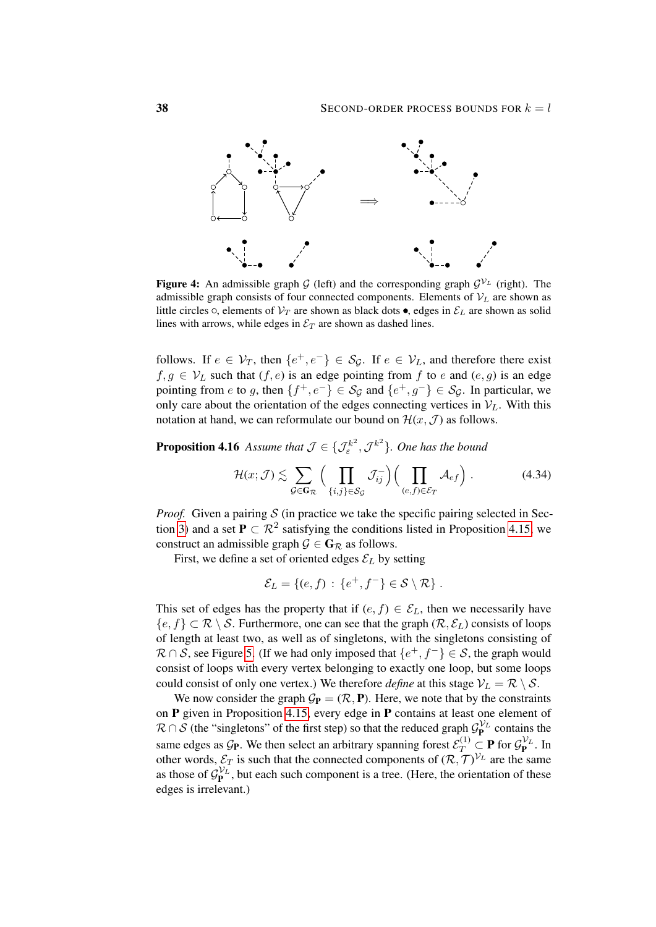<span id="page-37-1"></span>

**Figure 4:** An admissible graph G (left) and the corresponding graph  $\mathcal{G}^{\mathcal{V}_L}$  (right). The admissible graph consists of four connected components. Elements of  $V_L$  are shown as little circles  $\circ$ , elements of  $\mathcal{V}_T$  are shown as black dots  $\bullet$ , edges in  $\mathcal{E}_L$  are shown as solid lines with arrows, while edges in  $\mathcal{E}_T$  are shown as dashed lines.

follows. If  $e \in V_T$ , then  $\{e^+, e^-\} \in S_{\mathcal{G}}$ . If  $e \in V_L$ , and therefore there exist  $f, g \in V_L$  such that  $(f, e)$  is an edge pointing from f to e and  $(e, g)$  is an edge pointing from e to g, then  $\{f^+, e^-\} \in \mathcal{S}_{\mathcal{G}}$  and  $\{e^+, g^-\} \in \mathcal{S}_{\mathcal{G}}$ . In particular, we only care about the orientation of the edges connecting vertices in  $V_L$ . With this notation at hand, we can reformulate our bound on  $\mathcal{H}(x,\mathcal{J})$  as follows.

<span id="page-37-0"></span>**Proposition 4.16** Assume that  $\mathcal{J} \in \{ \mathcal{J}^{k^2}_{\varepsilon}, \mathcal{J}^{k^2} \}$ . One has the bound

$$
\mathcal{H}(x; \mathcal{J}) \lesssim \sum_{\mathcal{G} \in \mathbf{G}_{\mathcal{R}}} \Big( \prod_{\{i,j\} \in \mathcal{S}_{\mathcal{G}}} \mathcal{J}_{ij}^{-} \Big) \Big( \prod_{(e,f) \in \mathcal{E}_{T}} \mathcal{A}_{ef} \Big) . \tag{4.34}
$$

*Proof.* Given a pairing  $S$  (in practice we take the specific pairing selected in Sec-tion [3\)](#page-10-0) and a set  $P \subset \mathbb{R}^2$  satisfying the conditions listed in Proposition [4.15,](#page-34-1) we construct an admissible graph  $\mathcal{G} \in \mathbf{G}_{\mathcal{R}}$  as follows.

First, we define a set of oriented edges  $\mathcal{E}_L$  by setting

<span id="page-37-2"></span>
$$
\mathcal{E}_L = \{ (e, f) : \{ e^+, f^- \} \in \mathcal{S} \setminus \mathcal{R} \} .
$$

This set of edges has the property that if  $(e, f) \in \mathcal{E}_L$ , then we necessarily have  ${e, f} \subset \mathcal{R} \setminus \mathcal{S}$ . Furthermore, one can see that the graph  $(\mathcal{R}, \mathcal{E}_L)$  consists of loops of length at least two, as well as of singletons, with the singletons consisting of  $\mathcal{R} \cap \mathcal{S}$ , see Figure [5.](#page-38-0) (If we had only imposed that  $\{e^+, f^-\} \in \mathcal{S}$ , the graph would consist of loops with every vertex belonging to exactly one loop, but some loops could consist of only one vertex.) We therefore *define* at this stage  $V_L = \mathcal{R} \setminus \mathcal{S}$ .

We now consider the graph  $\mathcal{G}_P = (\mathcal{R}, P)$ . Here, we note that by the constraints on P given in Proposition [4.15,](#page-34-1) every edge in P contains at least one element of  $\mathcal{R} \cap \mathcal{S}$  (the "singletons" of the first step) so that the reduced graph  $\mathcal{G}_{\mathbf{P}}^{V_L}$  contains the same edges as  $\mathcal{G}_P$ . We then select an arbitrary spanning forest  $\mathcal{E}_T^{(1)} \subset \mathbf{P}$  for  $\mathcal{G}_P^{V_L}$ . In other words,  $\mathcal{E}_T$  is such that the connected components of  $(\mathcal{R}, \mathcal{T})^{\mathcal{V}_L}$  are the same as those of  $\mathcal{G}_{\mathbf{P}}^{V_L}$ , but each such component is a tree. (Here, the orientation of these edges is irrelevant.)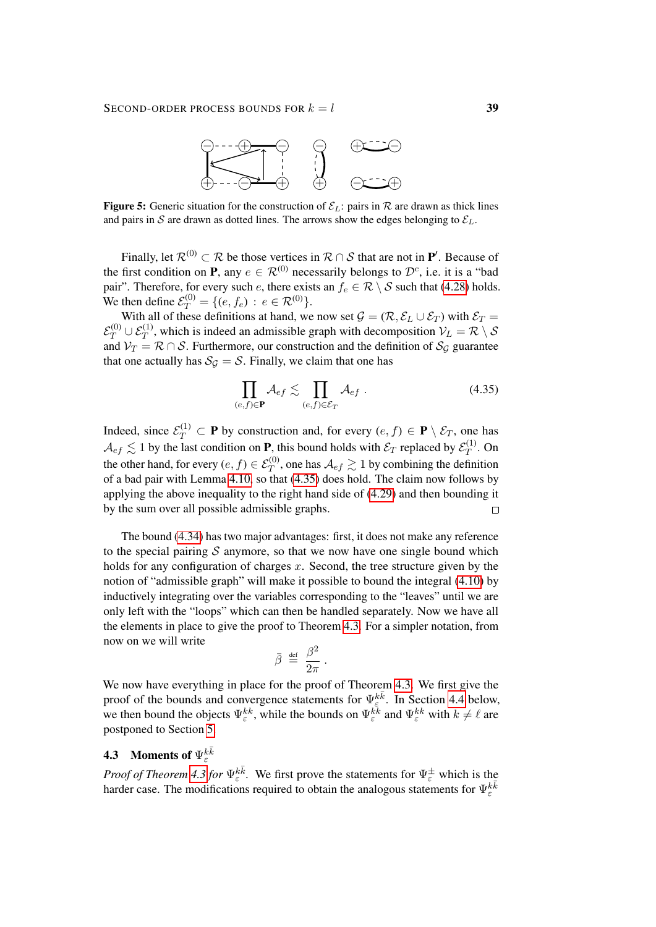

<span id="page-38-0"></span>**Figure 5:** Generic situation for the construction of  $\mathcal{E}_L$ : pairs in  $\mathcal{R}$  are drawn as thick lines and pairs in S are drawn as dotted lines. The arrows show the edges belonging to  $\mathcal{E}_L$ .

Finally, let  $\mathcal{R}^{(0)} \subset \mathcal{R}$  be those vertices in  $\mathcal{R} \cap \mathcal{S}$  that are not in  $\mathbf{P}'$ . Because of the first condition on **P**, any  $e \in \mathcal{R}^{(0)}$  necessarily belongs to  $\mathcal{D}^c$ , i.e. it is a "bad pair". Therefore, for every such e, there exists an  $f_e \in \mathcal{R} \setminus \mathcal{S}$  such that [\(4.28\)](#page-34-2) holds. We then define  $\mathcal{E}_T^{(0)} = \{ (e, f_e) : e \in \mathcal{R}^{(0)} \}.$ 

With all of these definitions at hand, we now set  $\mathcal{G} = (\mathcal{R}, \mathcal{E}_L \cup \mathcal{E}_T)$  with  $\mathcal{E}_T =$  $\mathcal{E}_T^{(0)} \cup \mathcal{E}_T^{(1)}$ , which is indeed an admissible graph with decomposition  $\mathcal{V}_L = \mathcal{R} \setminus \mathcal{S}$ and  $V_T = \mathcal{R} \cap \mathcal{S}$ . Furthermore, our construction and the definition of  $\mathcal{S}_{\mathcal{G}}$  guarantee that one actually has  $S_{\mathcal{G}} = \mathcal{S}$ . Finally, we claim that one has

<span id="page-38-1"></span>
$$
\prod_{(e,f)\in\mathbf{P}}\mathcal{A}_{ef} \lesssim \prod_{(e,f)\in\mathcal{E}_T}\mathcal{A}_{ef}.
$$
\n(4.35)

Indeed, since  $\mathcal{E}_T^{(1)} \subset \mathbf{P}$  by construction and, for every  $(e, f) \in \mathbf{P} \setminus \mathcal{E}_T$ , one has  $\mathcal{A}_{ef}\lesssim 1$  by the last condition on **P**, this bound holds with  $\mathcal{E}_T$  replaced by  $\mathcal{E}_T^{(1)}$  $T^{(1)}$ . On the other hand, for every  $(e, f) \in \mathcal{E}_T^{(0)}$ , one has  $\mathcal{A}_{ef} \gtrsim 1$  by combining the definition of a bad pair with Lemma [4.10,](#page-30-2) so that [\(4.35\)](#page-38-1) does hold. The claim now follows by applying the above inequality to the right hand side of [\(4.29\)](#page-35-3) and then bounding it by the sum over all possible admissible graphs.  $\Box$ 

The bound [\(4.34\)](#page-37-2) has two major advantages: first, it does not make any reference to the special pairing  $S$  anymore, so that we now have one single bound which holds for any configuration of charges  $x$ . Second, the tree structure given by the notion of "admissible graph" will make it possible to bound the integral [\(4.10\)](#page-26-2) by inductively integrating over the variables corresponding to the "leaves" until we are only left with the "loops" which can then be handled separately. Now we have all the elements in place to give the proof to Theorem [4.3.](#page-24-1) For a simpler notation, from now on we will write

$$
\bar{\beta} \;\stackrel{\text{\tiny def}}{=}\; \frac{\beta^2}{2\pi}\;.
$$

We now have everything in place for the proof of Theorem [4.3.](#page-24-1) We first give the proof of the bounds and convergence statements for  $\Psi_{\varepsilon}^{k\bar{k}}$ . In Section [4.4](#page-49-0) below, we then bound the objects  $\Psi_{\varepsilon}^{kk}$ , while the bounds on  $\Psi_{\varepsilon}^{kk}$  and  $\Psi_{\varepsilon}^{kk}$  with  $k \neq \ell$  are postponed to Section [5.](#page-51-0)

# **4.3** Moments of  $\Psi_{\varepsilon}^{k\bar{k}}$

*Proof of Theorem [4.3](#page-24-1) for*  $\Psi_{\varepsilon}^{k\overline{k}}$ . We first prove the statements for  $\Psi_{\varepsilon}^{\pm}$  which is the harder case. The modifications required to obtain the analogous statements for  $\Psi_{\varepsilon}^{k\bar{k}}$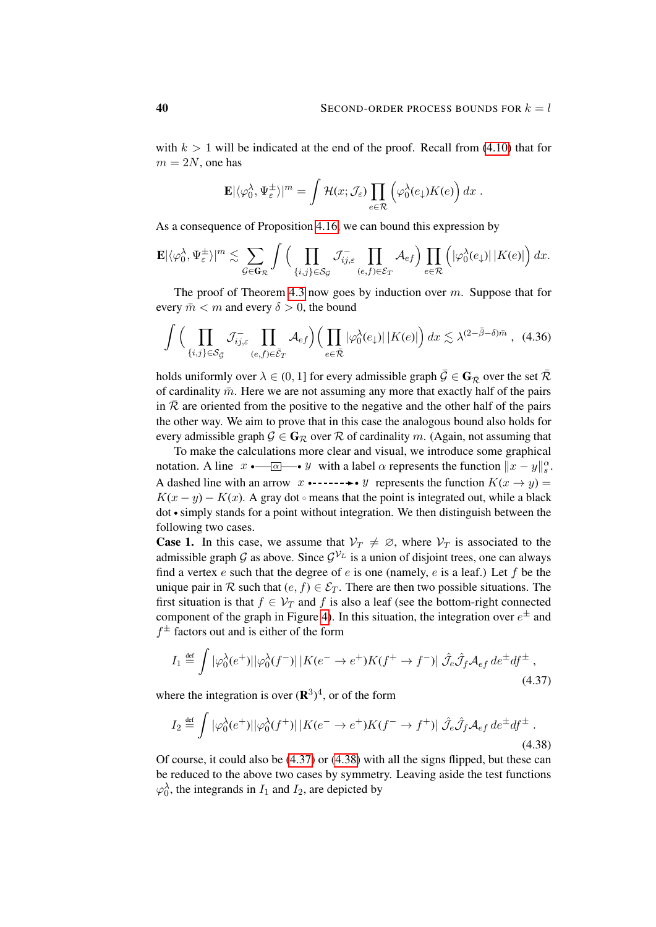with  $k > 1$  will be indicated at the end of the proof. Recall from [\(4.10\)](#page-26-2) that for  $m = 2N$ , one has

<span id="page-39-2"></span>
$$
\mathbf{E}|\langle \varphi_0^{\lambda}, \Psi_{\varepsilon}^{\pm} \rangle|^m = \int \mathcal{H}(x; \mathcal{J}_{\varepsilon}) \prod_{e \in \mathcal{R}} \left( \varphi_0^{\lambda}(e_{\downarrow}) K(e) \right) dx.
$$

As a consequence of Proposition [4.16,](#page-37-0) we can bound this expression by

$$
\mathbf{E}|\langle \varphi_0^{\lambda}, \Psi_{\varepsilon}^{\pm} \rangle|^m \lesssim \sum_{\mathcal{G} \in \mathbf{G}_{\mathcal{R}}} \int \Big( \prod_{\{i,j\} \in \mathcal{S}_{\mathcal{G}}} \mathcal{J}_{ij,\varepsilon}^{-} \prod_{(e,f) \in \mathcal{E}_{T}} \mathcal{A}_{ef} \Big) \prod_{e \in \mathcal{R}} \Big( |\varphi_0^{\lambda}(e_{\downarrow})| \, |K(e)| \Big) \, dx.
$$

The proof of Theorem [4.3](#page-24-1) now goes by induction over  $m$ . Suppose that for every  $\bar{m} < m$  and every  $\delta > 0$ , the bound

$$
\int \Big(\prod_{\{i,j\}\in\mathcal{S}_{\bar{\mathcal{G}}}}\mathcal{J}_{ij,\varepsilon}^{-}\prod_{(e,f)\in\bar{\mathcal{E}}_{T}}\mathcal{A}_{ef}\Big) \Big(\prod_{e\in\bar{\mathcal{R}}}|\varphi_{0}^{\lambda}(e_{\downarrow})| \,|K(e)|\Big) \,dx \lesssim \lambda^{(2-\bar{\beta}-\delta)\bar{m}} \;, \tag{4.36}
$$

holds uniformly over  $\lambda \in (0, 1]$  for every admissible graph  $\bar{\mathcal{G}} \in \mathbf{G}_{\bar{\mathcal{R}}}$  over the set  $\bar{\mathcal{R}}$ of cardinality  $\bar{m}$ . Here we are not assuming any more that exactly half of the pairs in  $\overline{\mathcal{R}}$  are oriented from the positive to the negative and the other half of the pairs the other way. We aim to prove that in this case the analogous bound also holds for every admissible graph  $\mathcal{G} \in \mathbf{G}_{\mathcal{R}}$  over  $\mathcal{R}$  of cardinality m. (Again, not assuming that

To make the calculations more clear and visual, we introduce some graphical notation. A line  $x \cdot \frac{\alpha}{\alpha} \cdot y$  with a label  $\alpha$  represents the function  $||x - y||_s^{\alpha}$ . A dashed line with an arrow  $x \rightarrow - \rightarrow \rightarrow y$  represents the function  $K(x \rightarrow y) =$  $K(x - y) - K(x)$ . A gray dot omeans that the point is integrated out, while a black  $dot \cdot$  simply stands for a point without integration. We then distinguish between the following two cases.

**Case 1.** In this case, we assume that  $V_T \neq \emptyset$ , where  $V_T$  is associated to the admissible graph G as above. Since  $\mathcal{G}^{\mathcal{V}_L}$  is a union of disjoint trees, one can always find a vertex  $e$  such that the degree of  $e$  is one (namely,  $e$  is a leaf.) Let  $f$  be the unique pair in R such that  $(e, f) \in \mathcal{E}_T$ . There are then two possible situations. The first situation is that  $f \in V_T$  and f is also a leaf (see the bottom-right connected component of the graph in Figure [4\)](#page-37-1). In this situation, the integration over  $e^{\pm}$  and  $f^{\pm}$  factors out and is either of the form

<span id="page-39-0"></span>
$$
I_1 \stackrel{\text{def}}{=} \int |\varphi_0^{\lambda}(e^+)||\varphi_0^{\lambda}(f^-)||K(e^- \to e^+)K(f^+ \to f^-)|\ \hat{\mathcal{J}}_e\hat{\mathcal{J}}_f\mathcal{A}_{ef}de^{\pm}df^{\pm} , \tag{4.37}
$$

where the integration is over  $(\mathbf{R}^3)^4$ , or of the form

<span id="page-39-1"></span>
$$
I_2 \stackrel{\text{def}}{=} \int |\varphi_0^{\lambda}(e^+)||\varphi_0^{\lambda}(f^+)||K(e^- \to e^+)K(f^- \to f^+)|\hat{J}_e\hat{J}_f\mathcal{A}_{ef}de^{\dagger}df^{\pm}.
$$
\n(4.38)

Of course, it could also be [\(4.37\)](#page-39-0) or [\(4.38\)](#page-39-1) with all the signs flipped, but these can be reduced to the above two cases by symmetry. Leaving aside the test functions  $\varphi_0^{\lambda}$ , the integrands in  $I_1$  and  $I_2$ , are depicted by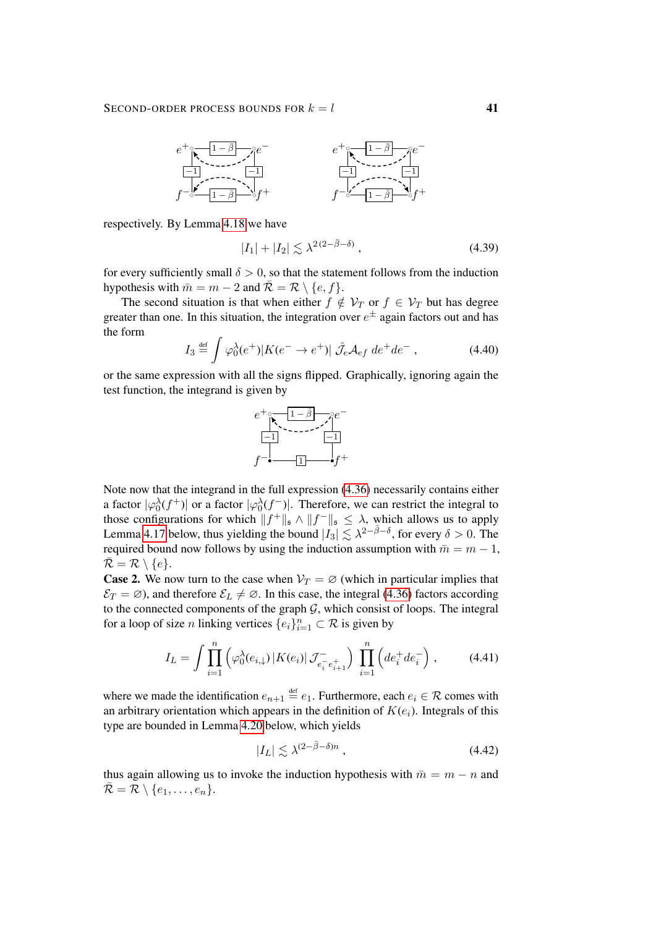

respectively. By Lemma [4.18](#page-44-0) we have

<span id="page-40-1"></span>
$$
|I_1| + |I_2| \lesssim \lambda^{2(2-\bar{\beta}-\delta)}\,,\tag{4.39}
$$

for every sufficiently small  $\delta > 0$ , so that the statement follows from the induction hypothesis with  $\bar{m} = m - 2$  and  $\bar{\mathcal{R}} = \mathcal{R} \setminus \{e, f\}.$ 

The second situation is that when either  $f \notin V_T$  or  $f \in V_T$  but has degree greater than one. In this situation, the integration over  $e^{\pm}$  again factors out and has the form

$$
I_3 \stackrel{\text{def}}{=} \int \varphi_0^{\lambda}(e^+) |K(e^- \to e^+)| \hat{J}_e \mathcal{A}_{ef} \, de^+ de^-, \tag{4.40}
$$

or the same expression with all the signs flipped. Graphically, ignoring again the test function, the integrand is given by

<span id="page-40-0"></span>

Note now that the integrand in the full expression [\(4.36\)](#page-39-2) necessarily contains either a factor  $|\varphi_0^{\lambda}(f^+)|$  or a factor  $|\varphi_0^{\lambda}(f^-)|$ . Therefore, we can restrict the integral to those configurations for which  $||f^+||_{\mathfrak{s}} \wedge ||f^-||_{\mathfrak{s}} \leq \lambda$ , which allows us to apply Lemma [4.17](#page-42-0) below, thus yielding the bound  $|I_3| \lesssim \lambda^{2-\bar{\beta}-\delta}$ , for every  $\delta > 0$ . The required bound now follows by using the induction assumption with  $\bar{m} = m - 1$ ,  $\bar{\mathcal{R}} = \mathcal{R} \setminus \{e\}.$ 

**Case 2.** We now turn to the case when  $V_T = \emptyset$  (which in particular implies that  $\mathcal{E}_T = \varnothing$ ), and therefore  $\mathcal{E}_L \neq \varnothing$ . In this case, the integral [\(4.36\)](#page-39-2) factors according to the connected components of the graph  $G$ , which consist of loops. The integral for a loop of size *n* linking vertices  $\{e_i\}_{i=1}^n \subset \mathcal{R}$  is given by

$$
I_L = \int \prod_{i=1}^{n} \left( \varphi_0^{\lambda}(e_{i,\downarrow}) \, |K(e_i)| \, \mathcal{J}_{e_i^- e_{i+1}^+}^- \right) \, \prod_{i=1}^{n} \left( de_i^+ de_i^- \right), \tag{4.41}
$$

where we made the identification  $e_{n+1} \stackrel{\text{def}}{=} e_1$ . Furthermore, each  $e_i \in \mathcal{R}$  comes with an arbitrary orientation which appears in the definition of  $K(e_i)$ . Integrals of this type are bounded in Lemma [4.20](#page-46-0) below, which yields

<span id="page-40-2"></span>
$$
|I_L| \lesssim \lambda^{(2-\bar{\beta}-\delta)n} \,, \tag{4.42}
$$

thus again allowing us to invoke the induction hypothesis with  $\bar{m} = m - n$  and  $\overline{\mathcal{R}} = \mathcal{R} \setminus \{e_1, \ldots, e_n\}.$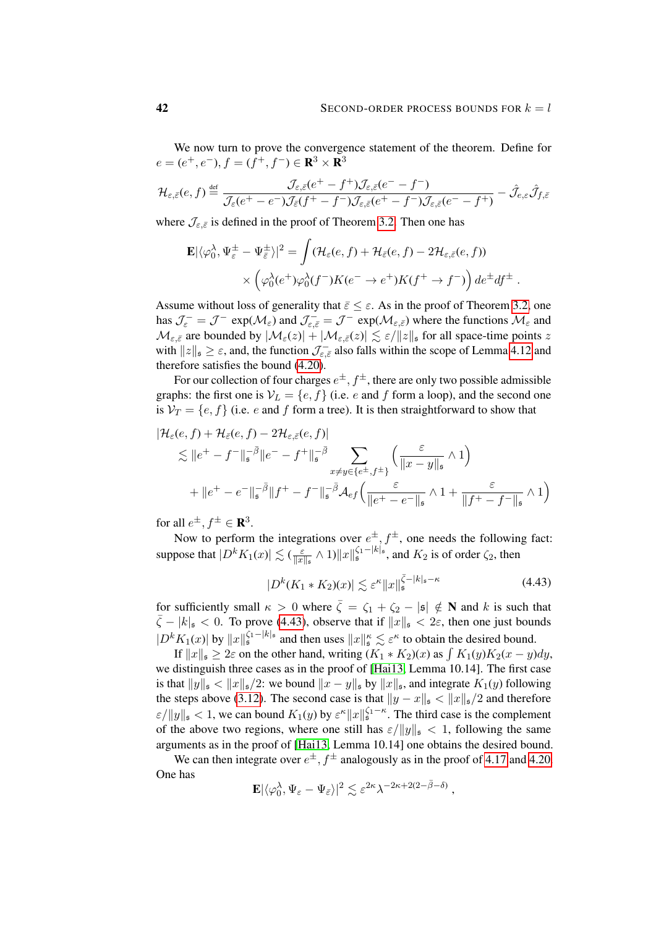We now turn to prove the convergence statement of the theorem. Define for  $e = (e^+, e^-), f = (f^+, f^-) \in \mathbb{R}^3 \times \mathbb{R}^3$ 

$$
\mathcal{H}_{\varepsilon,\bar{\varepsilon}}(e,f) \stackrel{\text{def}}{=} \frac{\mathcal{J}_{\varepsilon,\bar{\varepsilon}}(e^+-f^+)\mathcal{J}_{\varepsilon,\bar{\varepsilon}}(e^--f^-)}{\mathcal{J}_{\varepsilon}(e^+-e^-)\mathcal{J}_{\bar{\varepsilon}}(f^+-f^-)\mathcal{J}_{\varepsilon,\bar{\varepsilon}}(e^+-f^-)\mathcal{J}_{\varepsilon,\bar{\varepsilon}}(e^--f^+)} - \hat{\mathcal{J}}_{e,\varepsilon}\hat{\mathcal{J}}_{f,\bar{\varepsilon}}
$$

where  $\mathcal{J}_{\varepsilon,\bar{\varepsilon}}$  is defined in the proof of Theorem [3.2.](#page-10-1) Then one has

$$
\mathbf{E}|\langle \varphi_0^{\lambda}, \Psi_{\varepsilon}^{\pm} - \Psi_{\overline{\varepsilon}}^{\pm} \rangle|^2 = \int (\mathcal{H}_{\varepsilon}(e, f) + \mathcal{H}_{\overline{\varepsilon}}(e, f) - 2\mathcal{H}_{\varepsilon, \overline{\varepsilon}}(e, f)) \times \left( \varphi_0^{\lambda}(e^+) \varphi_0^{\lambda}(f^-) K(e^- \to e^+) K(f^+ \to f^-) \right) de^{\pm} df^{\pm}.
$$

Assume without loss of generality that  $\bar{\varepsilon} \leq \varepsilon$ . As in the proof of Theorem [3.2,](#page-10-1) one has  $\mathcal{J}_{\varepsilon}^- = \mathcal{J}^-$  exp $(\mathcal{M}_{\varepsilon})$  and  $\mathcal{J}_{\varepsilon,\bar{\varepsilon}}^- = \mathcal{J}^-$  exp $(\mathcal{M}_{\varepsilon,\bar{\varepsilon}})$  where the functions  $\mathcal{M}_{\varepsilon}$  and  $\mathcal{M}_{\varepsilon,\bar{\varepsilon}}$  are bounded by  $|\mathcal{M}_{\varepsilon}(z)| + |\mathcal{M}_{\varepsilon,\bar{\varepsilon}}(z)| \lesssim \varepsilon / ||z||_{\mathfrak{s}}$  for all space-time points z with  $||z||_{\mathfrak{s}} \geq \varepsilon$ , and, the function  $\mathcal{J}_{\varepsilon,\bar{\varepsilon}}^-$  also falls within the scope of Lemma [4.12](#page-31-3) and therefore satisfies the bound [\(4.20\)](#page-31-0).

For our collection of four charges  $e^{\pm}$ ,  $f^{\pm}$ , there are only two possible admissible graphs: the first one is  $V_L = \{e, f\}$  (i.e. e and f form a loop), and the second one is  $V_T = \{e, f\}$  (i.e. e and f form a tree). It is then straightforward to show that

$$
|\mathcal{H}_{\varepsilon}(e,f) + \mathcal{H}_{\bar{\varepsilon}}(e,f) - 2\mathcal{H}_{\varepsilon,\bar{\varepsilon}}(e,f)|
$$
  
\$\lesssim\$ 
$$
||e^{+} - f^{-}||_{\mathfrak{s}}^{-\bar{\beta}}||e^{-} - f^{+}||_{\mathfrak{s}}^{-\bar{\beta}} \sum_{x \neq y \in \{e^{\pm}, f^{\pm}\}} \left( \frac{\varepsilon}{||x - y||_{\mathfrak{s}}} \wedge 1 \right)
$$
  
\$+ ||e^{+} - e^{-}||\_{\mathfrak{s}}^{-\bar{\beta}}||f^{+} - f^{-}||\_{\mathfrak{s}}^{-\bar{\beta}}\mathcal{A}\_{ef} \left( \frac{\varepsilon}{||e^{+} - e^{-}||\_{\mathfrak{s}}} \wedge 1 + \frac{\varepsilon}{||f^{+} - f^{-}||\_{\mathfrak{s}}} \wedge 1 \right)\$

for all  $e^{\pm}$ ,  $f^{\pm} \in \mathbf{R}^3$ .

Now to perform the integrations over  $e^{\pm}$ ,  $f^{\pm}$ , one needs the following fact: suppose that  $|D^k K_1(x)| \lesssim (\frac{\varepsilon}{\ln x})$  $\frac{\varepsilon}{\|x\|_{\mathfrak{s}}} \wedge 1) \|x\|_{\mathfrak{s}}^{\zeta_1-|k|_{\mathfrak{s}}}$ , and  $K_2$  is of order  $\zeta_2$ , then

<span id="page-41-0"></span>
$$
|D^k(K_1 * K_2)(x)| \lesssim \varepsilon^{\kappa} \|x\|_{\mathfrak{s}}^{\overline{\zeta} - |k|_{\mathfrak{s}} - \kappa}
$$
 (4.43)

for sufficiently small  $\kappa > 0$  where  $\bar{\zeta} = \zeta_1 + \zeta_2 - |\mathfrak{s}| \notin \mathbb{N}$  and k is such that  $\bar{\zeta} - |k|_{\mathfrak{s}} < 0$ . To prove [\(4.43\)](#page-41-0), observe that if  $||x||_{\mathfrak{s}} < 2\varepsilon$ , then one just bounds  $|D^k K_1(x)|$  by  $||x||_s^{\zeta_1-|k|_s}$  and then uses  $||x||_s^{\kappa} \lesssim \varepsilon^{\kappa}$  to obtain the desired bound.

If  $||x||_{\mathfrak{s}} \ge 2\varepsilon$  on the other hand, writing  $(K_1 * K_2)(x)$  as  $\int K_1(y)K_2(x - y)dy$ , we distinguish three cases as in the proof of [\[Hai13,](#page-62-2) Lemma 10.14]. The first case is that  $||y||_{\mathfrak{s}} < ||x||_{\mathfrak{s}}/2$ : we bound  $||x - y||_{\mathfrak{s}}$  by  $||x||_{\mathfrak{s}}$ , and integrate  $K_1(y)$  following the steps above [\(3.12\)](#page-13-1). The second case is that  $||y - x||_{\mathfrak{s}} < ||x||_{\mathfrak{s}}/2$  and therefore  $\varepsilon/\|y\|_{\mathfrak{s}} < 1$ , we can bound  $K_1(y)$  by  $\varepsilon^{\kappa} \|x\|_{\mathfrak{s}}^{\zeta_1 - \kappa}$ . The third case is the complement of the above two regions, where one still has  $\varepsilon/||y||_{\mathfrak{s}} < 1$ , following the same arguments as in the proof of [\[Hai13,](#page-62-2) Lemma 10.14] one obtains the desired bound.

We can then integrate over  $e^{\pm}$ ,  $f^{\pm}$  analogously as in the proof of [4.17](#page-42-0) and [4.20.](#page-46-0) One has

$$
\mathbf{E}|\langle\varphi_0^\lambda,\Psi_\varepsilon-\Psi_{\bar\varepsilon}\rangle|^2\lesssim \varepsilon^{2\kappa}\lambda^{-2\kappa+2(2-\bar\beta-\delta)}\,,
$$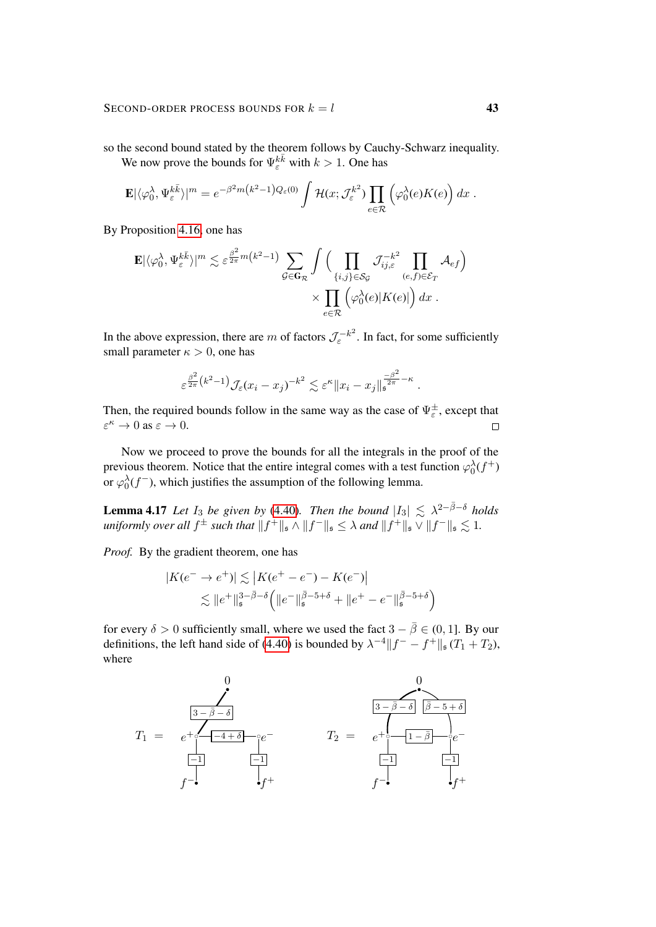so the second bound stated by the theorem follows by Cauchy-Schwarz inequality.

We now prove the bounds for  $\Psi_{\varepsilon}^{k\bar{k}}$  with  $k > 1$ . One has

$$
\mathbf{E}|\langle \varphi_0^{\lambda}, \Psi_{\varepsilon}^{k\overline{k}}\rangle|^m = e^{-\beta^2 m \left(k^2 - 1\right)Q_{\varepsilon}(0)} \int \mathcal{H}(x; \mathcal{J}_{\varepsilon}^{k^2}) \prod_{e \in \mathcal{R}} \left(\varphi_0^{\lambda}(e) K(e)\right) dx.
$$

By Proposition [4.16,](#page-37-0) one has

$$
\mathbf{E}|\langle \varphi_0^{\lambda}, \Psi_{\varepsilon}^{k\overline{k}} \rangle|^m \lesssim \varepsilon^{\frac{\beta^2}{2\pi}m(k^2-1)} \sum_{\mathcal{G} \in \mathbf{G}_{\mathcal{R}}} \int \Big( \prod_{\{i,j\} \in \mathcal{S}_{\mathcal{G}}} \mathcal{J}_{ij,\varepsilon}^{-k^2} \prod_{(e,f) \in \mathcal{E}_T} \mathcal{A}_{ef} \Big) \times \prod_{e \in \mathcal{R}} \Big( \varphi_0^{\lambda}(e) |K(e)| \Big) dx.
$$

In the above expression, there are m of factors  $\mathcal{J}_{\varepsilon}^{-k^2}$ . In fact, for some sufficiently small parameter  $\kappa > 0$ , one has

$$
\varepsilon^{\frac{\beta^2}{2\pi}\left(k^2-1\right)} \mathcal{J}_{\varepsilon}(x_i-x_j)^{-k^2} \lesssim \varepsilon^{\kappa} \|x_i-x_j\|_{\mathfrak{s}}^{\frac{-\beta^2}{2\pi}-\kappa}
$$

.

Then, the required bounds follow in the same way as the case of  $\Psi_{\varepsilon}^{\pm}$ , except that  $\varepsilon^{\kappa} \to 0$  as  $\varepsilon \to 0$ .  $\Box$ 

Now we proceed to prove the bounds for all the integrals in the proof of the previous theorem. Notice that the entire integral comes with a test function  $\varphi_0^{\lambda}(f^+)$ or  $\varphi_0^{\lambda}(f^-)$ , which justifies the assumption of the following lemma.

<span id="page-42-0"></span>**Lemma 4.17** Let  $I_3$  be given by [\(4.40\)](#page-40-0). Then the bound  $|I_3| \leq \lambda^{2-\bar{\beta}-\delta}$  holds uniformly over all  $f^{\pm}$  such that  $||f^+||_{\mathfrak{s}} \wedge ||f^-||_{\mathfrak{s}} \leq \lambda$  and  $||f^+||_{\mathfrak{s}} \vee ||f^-||_{\mathfrak{s}} \lesssim 1$ .

*Proof.* By the gradient theorem, one has

$$
|K(e^- \to e^+)| \lesssim |K(e^+ - e^-) - K(e^-)|
$$
  
 
$$
\lesssim ||e^+||_s^{3-\bar{\beta}-\delta} (||e^-||_s^{\bar{\beta}-5+\delta} + ||e^+ - e^-||_s^{\bar{\beta}-5+\delta})
$$

for every  $\delta > 0$  sufficiently small, where we used the fact  $3 - \bar{\beta} \in (0, 1]$ . By our definitions, the left hand side of [\(4.40\)](#page-40-0) is bounded by  $\lambda^{-4} ||f^- - f^+||_{\mathfrak{s}} (T_1 + T_2)$ , where

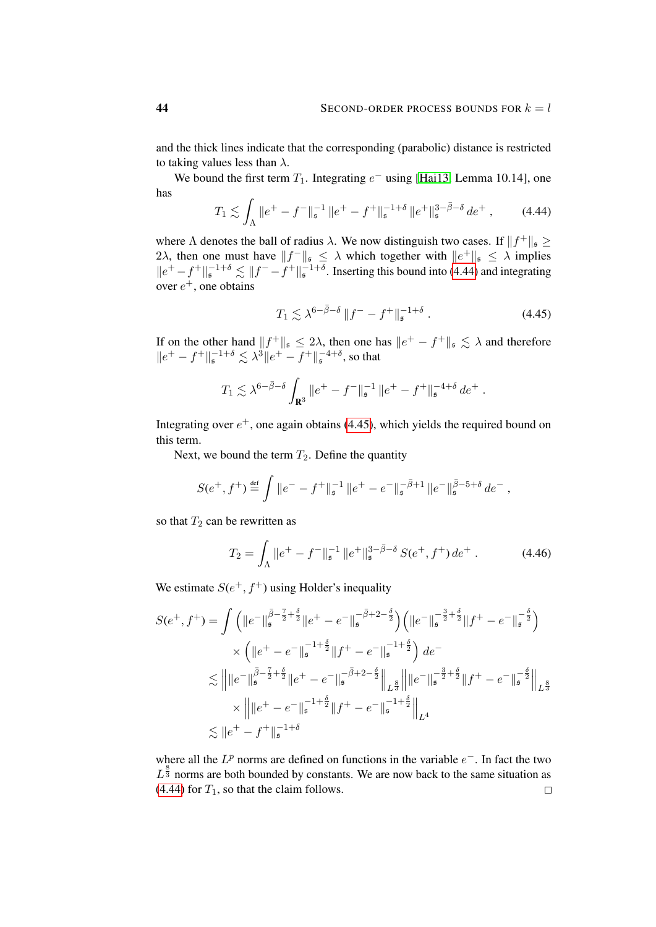and the thick lines indicate that the corresponding (parabolic) distance is restricted to taking values less than  $\lambda$ .

We bound the first term  $T_1$ . Integrating  $e^-$  using [\[Hai13,](#page-62-2) Lemma 10.14], one has

$$
T_1 \lesssim \int_{\Lambda} \|e^+ - f^-\|_{\mathfrak{s}}^{-1} \|e^+ - f^+\|_{\mathfrak{s}}^{-1+\delta} \|e^+\|_{\mathfrak{s}}^{3-\bar{\beta}-\delta} d e^+ ,\qquad(4.44)
$$

where  $\Lambda$  denotes the ball of radius  $\lambda$ . We now distinguish two cases. If  $||f^+||_{\mathfrak{s}} \ge$ 2 $\lambda$ , then one must have  $||f||_{\mathfrak{s}} \leq \lambda$  which together with  $||e^+||_{\mathfrak{s}} \leq \lambda$  implies  $||e^+ - f^+||_{\mathfrak{s}}^{-1+\delta} \lesssim ||f^- - f^+||_{\mathfrak{s}}^{-1+\delta}$ . Inserting this bound into [\(4.44\)](#page-43-0) and integrating over  $e^+$ , one obtains

<span id="page-43-1"></span><span id="page-43-0"></span>
$$
T_1 \lesssim \lambda^{6-\bar{\beta}-\delta} \|f^--f^+\|_{\mathfrak{s}}^{-1+\delta} \ . \tag{4.45}
$$

If on the other hand  $||f^+||_{\mathfrak{s}} \leq 2\lambda$ , then one has  $||e^+ - f^+||_{\mathfrak{s}} \lesssim \lambda$  and therefore  $||e^+ - f^+||_{\mathfrak{s}}^{-1+\delta} \lesssim \lambda^3 ||e^+ - f^+||_{\mathfrak{s}}^{-4+\delta}$ , so that

$$
T_1 \lesssim \lambda^{6-\bar{\beta}-\delta} \int_{\mathbf{R}^3} \|e^+ - f^-\|_{\mathfrak{s}}^{-1} \|e^+ - f^+\|_{\mathfrak{s}}^{-4+\delta} de^+.
$$

Integrating over  $e^+$ , one again obtains [\(4.45\)](#page-43-1), which yields the required bound on this term.

Next, we bound the term  $T_2$ . Define the quantity

$$
S(e^+, f^+) \stackrel{\text{def}}{=} \int \|e^- - f^+\|_{\mathfrak{s}}^{-1} \|e^+ - e^-\|_{\mathfrak{s}}^{-\bar{\beta}+1} \|e^-\|_{\mathfrak{s}}^{\bar{\beta}-5+\delta} de^-,
$$

so that  $T_2$  can be rewritten as

$$
T_2 = \int_{\Lambda} \|e^+ - f^-\|_{\mathfrak{s}}^{-1} \|e^+\|_{\mathfrak{s}}^{3-\bar{\beta}-\delta} S(e^+, f^+) de^+ \,. \tag{4.46}
$$

We estimate  $S(e^+, f^+)$  using Holder's inequality

$$
S(e^+, f^+) = \int \left( \|e^- \|_{\mathfrak{s}}^{\bar{\beta} - \frac{7}{2} + \frac{\delta}{2}} \|e^+ - e^- \|_{\mathfrak{s}}^{-\bar{\beta} + 2 - \frac{\delta}{2}} \right) \left( \|e^- \|_{\mathfrak{s}}^{-\frac{3}{2} + \frac{\delta}{2}} \|f^+ - e^- \|_{\mathfrak{s}}^{-\frac{\delta}{2}} \right)
$$
  
 
$$
\times \left( \|e^+ - e^- \|_{\mathfrak{s}}^{-1 + \frac{\delta}{2}} \|f^+ - e^- \|_{\mathfrak{s}}^{-1 + \frac{\delta}{2}} \right) de^-
$$
  
 
$$
\lesssim \left\| \|e^- \|_{\mathfrak{s}}^{\bar{\beta} - \frac{7}{2} + \frac{\delta}{2}} \|e^+ - e^- \|_{\mathfrak{s}}^{-\bar{\beta} + 2 - \frac{\delta}{2}} \right\|_{L^{\frac{8}{3}}} \| \|e^- \|_{\mathfrak{s}}^{-\frac{3}{2} + \frac{\delta}{2}} \| f^+ - e^- \|_{\mathfrak{s}}^{-\frac{\delta}{2}} \right\|_{L^{\frac{8}{3}}}
$$
  
 
$$
\times \left\| \|e^+ - e^- \|_{\mathfrak{s}}^{-1 + \frac{\delta}{2}} \| f^+ - e^- \|_{\mathfrak{s}}^{-1 + \frac{\delta}{2}} \right\|_{L^4}
$$
  
 
$$
\lesssim \|e^+ - f^+ \|_{\mathfrak{s}}^{-1 + \delta}
$$

where all the  $L^p$  norms are defined on functions in the variable  $e^-$ . In fact the two  $L^{\frac{8}{3}}$  norms are both bounded by constants. We are now back to the same situation as  $(4.44)$  for  $T_1$ , so that the claim follows.  $\Box$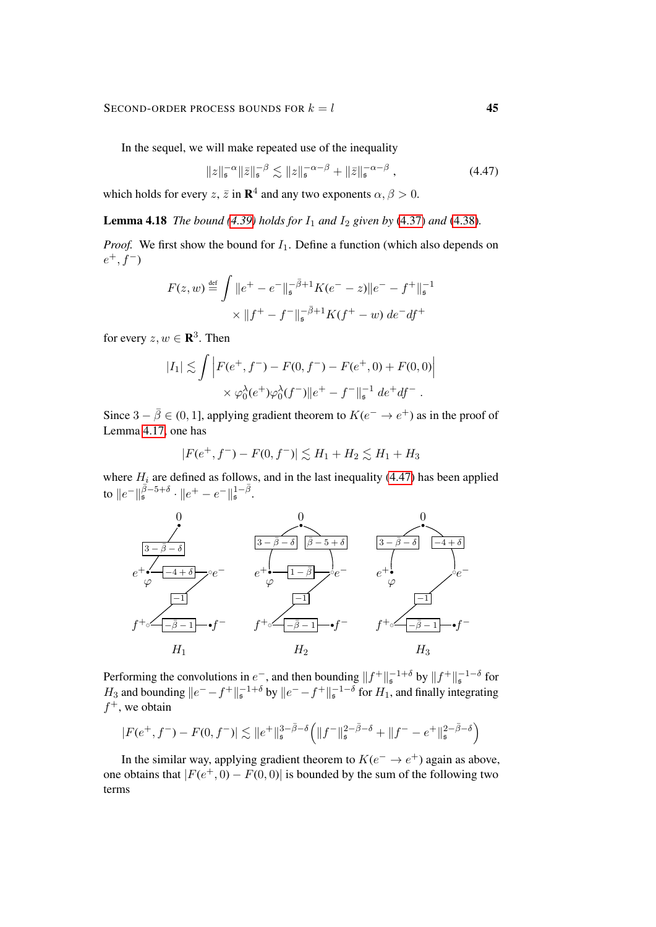#### SECOND-ORDER PROCESS BOUNDS FOR  $k = l$  45

In the sequel, we will make repeated use of the inequality

<span id="page-44-1"></span>
$$
||z||_{\mathfrak{s}}^{-\alpha}||\bar{z}||_{\mathfrak{s}}^{-\beta} \lesssim ||z||_{\mathfrak{s}}^{-\alpha-\beta} + ||\bar{z}||_{\mathfrak{s}}^{-\alpha-\beta}, \qquad (4.47)
$$

<span id="page-44-0"></span>which holds for every  $z$ ,  $\bar{z}$  in  $\mathbf{R}^4$  and any two exponents  $\alpha$ ,  $\beta > 0$ .

**Lemma 4.18** *The bound* [\(4.39\)](#page-40-1) *holds for*  $I_1$  *and*  $I_2$  *given by* [\(4.37\)](#page-39-0) *and* [\(4.38\)](#page-39-1)*.* 

*Proof.* We first show the bound for  $I_1$ . Define a function (which also depends on  $e^+, f^-$ 

$$
F(z, w) \stackrel{\text{def}}{=} \int \|e^+ - e^-\|_{\mathfrak{s}}^{-\bar{\beta}+1} K(e^- - z)\|e^- - f^+\|_{\mathfrak{s}}^{-1}
$$

$$
\times \|f^+ - f^-\|_{\mathfrak{s}}^{-\bar{\beta}+1} K(f^+ - w) \, de^- df^+
$$

for every  $z, w \in \mathbf{R}^3$ . Then

$$
|I_1| \lesssim \int \left| F(e^+, f^-) - F(0, f^-) - F(e^+, 0) + F(0, 0) \right|
$$
  
 
$$
\times \varphi_0^{\lambda}(e^+) \varphi_0^{\lambda}(f^-) \| e^+ - f^- \|_{\mathfrak{s}}^{-1} de^+ df^-.
$$

Since  $3 - \overline{\beta} \in (0, 1]$ , applying gradient theorem to  $K(e^- \to e^+)$  as in the proof of Lemma [4.17,](#page-42-0) one has

$$
|F(e^+, f^-) - F(0, f^-)| \lesssim H_1 + H_2 \lesssim H_1 + H_3
$$

where  $H_i$  are defined as follows, and in the last inequality [\(4.47\)](#page-44-1) has been applied to  $\|e^-\|_{\mathfrak{s}}^{\bar{\beta}-5+\delta}\cdot\|e^+-e^-\|_{\mathfrak{s}}^{1-\bar{\beta}}.$ 



Performing the convolutions in  $e^-$ , and then bounding  $||f^+||_s^{-1+\delta}$  by  $||f^+||_s^{-1-\delta}$  for  $H_3$  and bounding  $||e^- - f^+||_{\mathfrak{s}}^{-1+\delta}$  by  $||e^- - f^+||_{\mathfrak{s}}^{-1-\delta}$  for  $H_1$ , and finally integrating  $f^+$ , we obtain

$$
|F(e^+, f^-) - F(0, f^-)| \lesssim \|e^+\|_{\mathfrak{s}}^{3-\bar{\beta}-\delta} \Big( \|f^-\|_{\mathfrak{s}}^{2-\bar{\beta}-\delta} + \|f^- - e^+\|_{\mathfrak{s}}^{2-\bar{\beta}-\delta} \Big)
$$

In the similar way, applying gradient theorem to  $K(e^- \rightarrow e^+)$  again as above, one obtains that  $|F(e^+, 0) - F(0, 0)|$  is bounded by the sum of the following two terms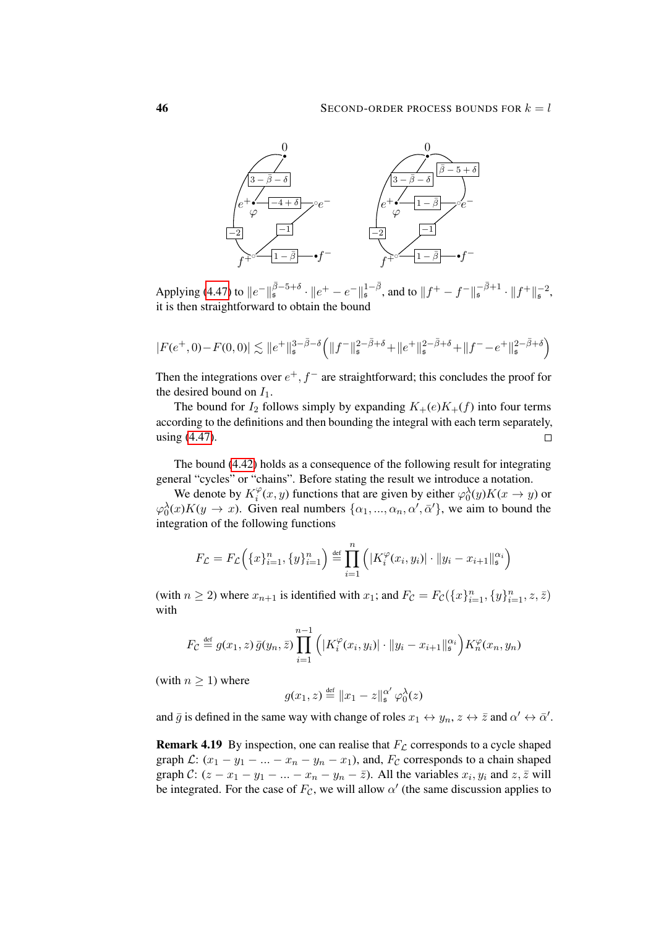

Applying [\(4.47\)](#page-44-1) to  $||e^-||^{\bar{\beta}-5+\delta}_{\mathfrak{s}} \cdot ||e^+ - e^-||^{1-\bar{\beta}}_{\mathfrak{s}}$ , and to  $||f^+ - f^-||^{\bar{-\beta}+1}_{\mathfrak{s}} \cdot ||f^+||^{-2}_{\mathfrak{s}}$ , it is then straightforward to obtain the bound

$$
|F(e^+,0)-F(0,0)|\lesssim \|e^+\|_{\mathfrak{s}}^{3-\bar{\beta}-\delta}\Big(\|f^-\|_{\mathfrak{s}}^{2-\bar{\beta}+\delta}+\|e^+\|_{\mathfrak{s}}^{2-\bar{\beta}+\delta}+\|f^--e^+\|_{\mathfrak{s}}^{2-\bar{\beta}+\delta}\Big)
$$

Then the integrations over  $e^+, f^-$  are straightforward; this concludes the proof for the desired bound on  $I_1$ .

The bound for  $I_2$  follows simply by expanding  $K_{+}(e)K_{+}(f)$  into four terms according to the definitions and then bounding the integral with each term separately, using [\(4.47\)](#page-44-1).  $\Box$ 

The bound [\(4.42\)](#page-40-2) holds as a consequence of the following result for integrating general "cycles" or "chains". Before stating the result we introduce a notation.

We denote by  $K_i^{\varphi}$  $\varphi_i^{\varphi}(x, y)$  functions that are given by either  $\varphi_0^{\lambda}(y)K(x \to y)$  or  $\varphi_0^{\lambda}(x)K(y \to x)$ . Given real numbers  $\{\alpha_1, ..., \alpha_n, \alpha', \bar{\alpha}'\}$ , we aim to bound the integration of the following functions

$$
F_{\mathcal{L}} = F_{\mathcal{L}}\Big(\{x\}_{i=1}^n, \{y\}_{i=1}^n\Big) \stackrel{\text{def}}{=} \prod_{i=1}^n \Big(\big|K_i^{\varphi}(x_i, y_i)\big| \cdot \|y_i - x_{i+1}\|_{\mathfrak{s}}^{\alpha_i}\Big)
$$

(with  $n \ge 2$ ) where  $x_{n+1}$  is identified with  $x_1$ ; and  $F_{\mathcal{C}} = F_{\mathcal{C}}(\lbrace x \rbrace_{i=1}^n, \lbrace y \rbrace_{i=1}^n, z, \overline{z} )$ with

$$
F_{\mathcal{C}} \stackrel{\text{def}}{=} g(x_1, z) \bar{g}(y_n, \bar{z}) \prod_{i=1}^{n-1} \left( |K_i^{\varphi}(x_i, y_i)| \cdot \|y_i - x_{i+1}\|_{\mathfrak{s}}^{\alpha_i} \right) K_n^{\varphi}(x_n, y_n)
$$

(with  $n \geq 1$ ) where

$$
g(x_1, z) \stackrel{\text{def}}{=} \|x_1 - z\|_{\mathfrak{s}}^{\alpha'} \varphi_0^{\lambda}(z)
$$

and  $\bar{g}$  is defined in the same way with change of roles  $x_1 \leftrightarrow y_n$ ,  $z \leftrightarrow \bar{z}$  and  $\alpha' \leftrightarrow \bar{\alpha}'$ .

**Remark 4.19** By inspection, one can realise that  $F<sub>L</sub>$  corresponds to a cycle shaped graph  $\mathcal{L}: (x_1 - y_1 - \ldots - x_n - y_n - x_1)$ , and,  $F_{\mathcal{C}}$  corresponds to a chain shaped graph C:  $(z - x_1 - y_1 - \dots - x_n - y_n - \overline{z})$ . All the variables  $x_i, y_i$  and  $z, \overline{z}$  will be integrated. For the case of  $F_{\mathcal{C}}$ , we will allow  $\alpha'$  (the same discussion applies to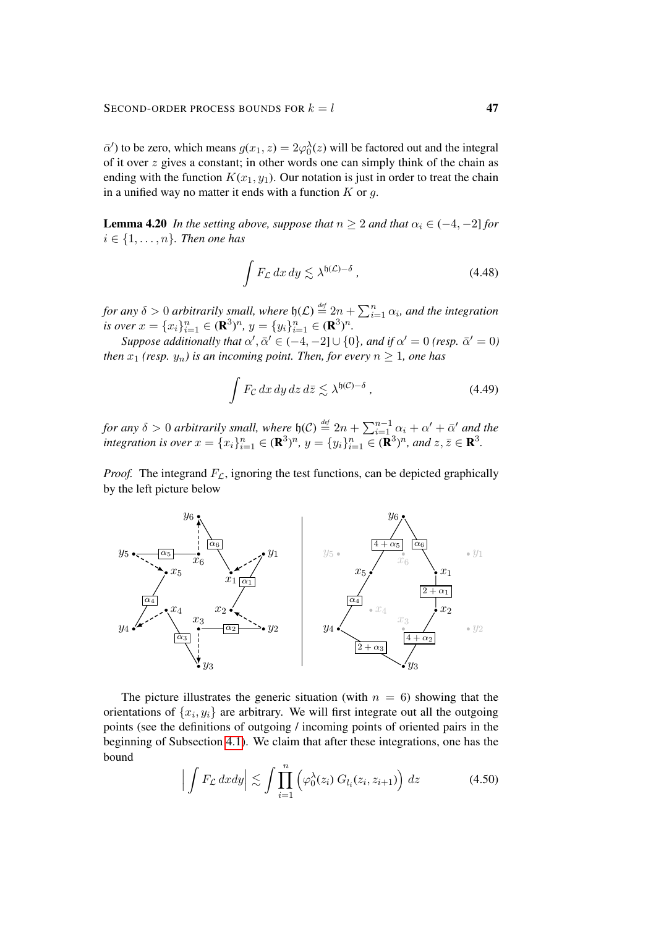$\bar{\alpha}'$ ) to be zero, which means  $g(x_1, z) = 2\varphi_0^{\lambda}(z)$  will be factored out and the integral of it over z gives a constant; in other words one can simply think of the chain as ending with the function  $K(x_1, y_1)$ . Our notation is just in order to treat the chain in a unified way no matter it ends with a function  $K$  or  $q$ .

<span id="page-46-0"></span>**Lemma 4.20** *In the setting above, suppose that*  $n \geq 2$  *and that*  $\alpha_i \in (-4, -2]$  *for*  $i \in \{1, \ldots, n\}$ . Then one has

<span id="page-46-2"></span>
$$
\int F_{\mathcal{L}} \, dx \, dy \lesssim \lambda^{6(\mathcal{L}) - \delta} \,, \tag{4.48}
$$

*for any*  $\delta > 0$  *arbitrarily small, where*  $\mathfrak{h}(\mathcal{L}) \stackrel{\text{def}}{=} 2n + \sum_{i=1}^{n} \alpha_i$ *, and the integration is over*  $x = \{x_i\}_{i=1}^n \in (\mathbf{R}^3)^n$ ,  $y = \{y_i\}_{i=1}^n \in (\mathbf{R}^3)^n$ .

*Suppose additionally that*  $\alpha'$ ,  $\bar{\alpha}' \in (-4, -2] \cup \{0\}$ *, and if*  $\alpha' = 0$  *(resp.*  $\bar{\alpha}' = 0$ ) *then*  $x_1$  *(resp.*  $y_n$ *) is an incoming point. Then, for every*  $n \ge 1$ *, one has* 

<span id="page-46-3"></span>
$$
\int F_{\mathcal{C}} \, dx \, dy \, dz \, d\bar{z} \lesssim \lambda^{b(\mathcal{C}) - \delta} \,, \tag{4.49}
$$

*for any*  $\delta > 0$  *arbitrarily small, where*  $\mathfrak{h}(\mathcal{C}) \stackrel{\text{def}}{=} 2n + \sum_{i=1}^{n-1} \alpha_i + \alpha' + \bar{\alpha}'$  and the *integration is over*  $x = \{x_i\}_{i=1}^n \in (\mathbf{R}^3)^n$ ,  $y = \{y_i\}_{i=1}^n \in (\mathbf{R}^3)^n$ , and  $z, \overline{z} \in \mathbf{R}^3$ .

*Proof.* The integrand  $F_{\mathcal{L}}$ , ignoring the test functions, can be depicted graphically by the left picture below



The picture illustrates the generic situation (with  $n = 6$ ) showing that the orientations of  $\{x_i, y_i\}$  are arbitrary. We will first integrate out all the outgoing points (see the definitions of outgoing / incoming points of oriented pairs in the beginning of Subsection [4.1\)](#page-25-2). We claim that after these integrations, one has the bound

<span id="page-46-1"></span>
$$
\left| \int F_{\mathcal{L}} \, dxdy \right| \lesssim \int \prod_{i=1}^{n} \left( \varphi_0^{\lambda}(z_i) \, G_{l_i}(z_i, z_{i+1}) \right) dz \tag{4.50}
$$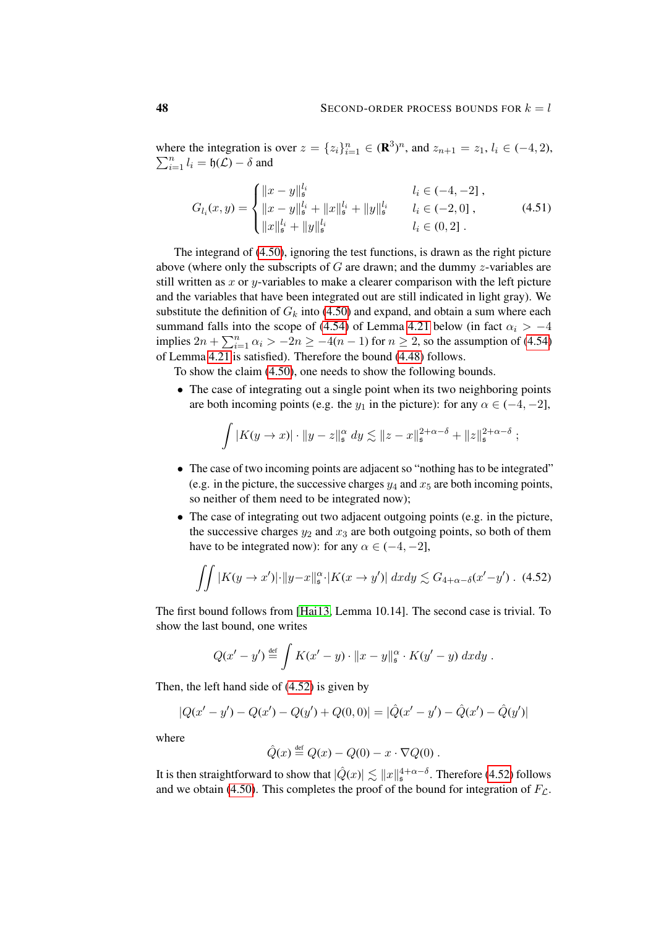where the integration is over  $z = \{z_i\}_{i=1}^n \in (\mathbb{R}^3)^n$ , and  $z_{n+1} = z_1, l_i \in (-4, 2)$ ,  $\sum_{i=1}^{n} l_i = \mathfrak{h}(\mathcal{L}) - \delta$  and

<span id="page-47-1"></span>
$$
G_{l_i}(x,y) = \begin{cases} ||x-y||_s^{l_i} & l_i \in (-4, -2] \;, \\ ||x-y||_s^{l_i} + ||x||_s^{l_i} + ||y||_s^{l_i} & l_i \in (-2, 0] \;, \\ ||x||_s^{l_i} + ||y||_s^{l_i} & l_i \in (0, 2] \;. \end{cases}
$$
(4.51)

The integrand of [\(4.50\)](#page-46-1), ignoring the test functions, is drawn as the right picture above (where only the subscripts of  $G$  are drawn; and the dummy  $z$ -variables are still written as  $x$  or  $y$ -variables to make a clearer comparison with the left picture and the variables that have been integrated out are still indicated in light gray). We substitute the definition of  $G_k$  into [\(4.50\)](#page-46-1) and expand, and obtain a sum where each summand falls into the scope of [\(4.54\)](#page-48-0) of Lemma [4.21](#page-48-1) below (in fact  $\alpha_i > -4$ implies  $2n + \sum_{i=1}^{n} \alpha_i > -2n \ge -4(n-1)$  for  $n \ge 2$ , so the assumption of [\(4.54\)](#page-48-0) of Lemma [4.21](#page-48-1) is satisfied). Therefore the bound [\(4.48\)](#page-46-2) follows.

To show the claim [\(4.50\)](#page-46-1), one needs to show the following bounds.

• The case of integrating out a single point when its two neighboring points are both incoming points (e.g. the  $y_1$  in the picture): for any  $\alpha \in (-4, -2]$ ,

$$
\int |K(y \to x)| \cdot \|y - z\|_{\mathfrak{s}}^{\alpha} dy \lesssim \|z - x\|_{\mathfrak{s}}^{2+\alpha-\delta} + \|z\|_{\mathfrak{s}}^{2+\alpha-\delta} ;
$$

- The case of two incoming points are adjacent so "nothing has to be integrated" (e.g. in the picture, the successive charges  $y_4$  and  $x_5$  are both incoming points, so neither of them need to be integrated now);
- The case of integrating out two adjacent outgoing points (e.g. in the picture, the successive charges  $y_2$  and  $x_3$  are both outgoing points, so both of them have to be integrated now): for any  $\alpha \in (-4, -2]$ ,

$$
\iint |K(y \to x')| \cdot ||y - x||_{\mathfrak{s}}^{\alpha} \cdot |K(x \to y')| \, dxdy \lesssim G_{4+\alpha-\delta}(x'-y') \quad (4.52)
$$

The first bound follows from [\[Hai13,](#page-62-2) Lemma 10.14]. The second case is trivial. To show the last bound, one writes

$$
Q(x'-y') \stackrel{\text{def}}{=} \int K(x'-y) \cdot ||x-y||_{\mathfrak{s}}^{\alpha} \cdot K(y'-y) \, dxdy.
$$

Then, the left hand side of [\(4.52\)](#page-47-0) is given by

$$
|Q(x'-y') - Q(x') - Q(y') + Q(0,0)| = |\hat{Q}(x'-y') - \hat{Q}(x') - \hat{Q}(y')|
$$

where

<span id="page-47-0"></span>
$$
\hat{Q}(x) \stackrel{\text{def}}{=} Q(x) - Q(0) - x \cdot \nabla Q(0) .
$$

It is then straightforward to show that  $|\hat{Q}(x)| \lesssim \|x\|_{\mathfrak{s}}^{4+\alpha-\delta}$ . Therefore [\(4.52\)](#page-47-0) follows and we obtain [\(4.50\)](#page-46-1). This completes the proof of the bound for integration of  $F_{\mathcal{L}}$ .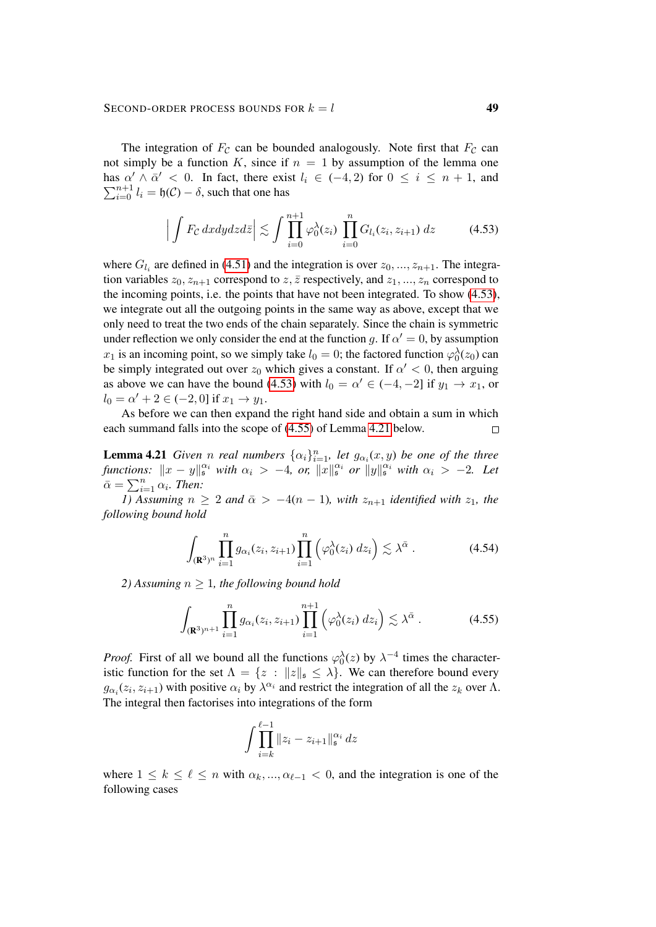The integration of  $F_c$  can be bounded analogously. Note first that  $F_c$  can not simply be a function K, since if  $n = 1$  by assumption of the lemma one has  $\alpha' \wedge \overline{\alpha}' < 0$ . In fact, there exist  $l_i \in (-4,2)$  for  $0 \le i \le n+1$ , and  $\sum_{i=0}^{n+1} l_i = \mathfrak{h}(\mathcal{C}) - \delta$ , such that one has

<span id="page-48-2"></span>
$$
\left| \int F_{\mathcal{C}} \, dxdydzd\bar{z} \right| \lesssim \int \prod_{i=0}^{n+1} \varphi_0^{\lambda}(z_i) \, \prod_{i=0}^n G_{l_i}(z_i, z_{i+1}) \, dz \tag{4.53}
$$

where  $G_{l_i}$  are defined in [\(4.51\)](#page-47-1) and the integration is over  $z_0, ..., z_{n+1}$ . The integration variables  $z_0, z_{n+1}$  correspond to  $z, \overline{z}$  respectively, and  $z_1, ..., z_n$  correspond to the incoming points, i.e. the points that have not been integrated. To show [\(4.53\)](#page-48-2), we integrate out all the outgoing points in the same way as above, except that we only need to treat the two ends of the chain separately. Since the chain is symmetric under reflection we only consider the end at the function g. If  $\alpha' = 0$ , by assumption  $x_1$  is an incoming point, so we simply take  $l_0 = 0$ ; the factored function  $\varphi_0^{\lambda}(z_0)$  can be simply integrated out over  $z_0$  which gives a constant. If  $\alpha' < 0$ , then arguing as above we can have the bound [\(4.53\)](#page-48-2) with  $l_0 = \alpha' \in (-4, -2]$  if  $y_1 \to x_1$ , or  $l_0 = \alpha' + 2 \in (-2, 0]$  if  $x_1 \to y_1$ .

As before we can then expand the right hand side and obtain a sum in which each summand falls into the scope of [\(4.55\)](#page-48-3) of Lemma [4.21](#page-48-1) below.  $\Box$ 

<span id="page-48-1"></span>**Lemma 4.21** *Given n real numbers*  $\{\alpha_i\}_{i=1}^n$ *, let*  $g_{\alpha_i}(x, y)$  *be one of the three functions:*  $||x - y||_s^{\alpha_i}$  with  $\alpha_i > -4$ , or,  $||x||_s^{\alpha_i}$  or  $||y||_s^{\alpha_i}$  with  $\alpha_i > -2$ . Let  $\bar{\alpha} = \sum_{i=1}^n \alpha_i$ . Then:

*1)* Assuming  $n \geq 2$  and  $\bar{\alpha} > -4(n-1)$ , with  $z_{n+1}$  identified with  $z_1$ , the *following bound hold*

<span id="page-48-0"></span>
$$
\int_{(\mathbf{R}^3)^n} \prod_{i=1}^n g_{\alpha_i}(z_i, z_{i+1}) \prod_{i=1}^n \left( \varphi_0^{\lambda}(z_i) \, dz_i \right) \lesssim \lambda^{\bar{\alpha}} \,. \tag{4.54}
$$

*2)* Assuming  $n \geq 1$ , the following bound hold

$$
\int_{(\mathbf{R}^3)^{n+1}} \prod_{i=1}^n g_{\alpha_i}(z_i, z_{i+1}) \prod_{i=1}^{n+1} \left( \varphi_0^{\lambda}(z_i) \, dz_i \right) \lesssim \lambda^{\bar{\alpha}} \,. \tag{4.55}
$$

*Proof.* First of all we bound all the functions  $\varphi_0^{\lambda}(z)$  by  $\lambda^{-4}$  times the characteristic function for the set  $\Lambda = \{z : ||z||_{\mathfrak{s}} \leq \lambda\}$ . We can therefore bound every  $g_{\alpha_i}(z_i, z_{i+1})$  with positive  $\alpha_i$  by  $\lambda^{\alpha_i}$  and restrict the integration of all the  $z_k$  over  $\Lambda$ . The integral then factorises into integrations of the form

<span id="page-48-3"></span>
$$
\int \prod_{i=k}^{\ell-1} \|z_i - z_{i+1}\|_{\mathfrak{s}}^{\alpha_i} dz
$$

where  $1 \le k \le \ell \le n$  with  $\alpha_k, ..., \alpha_{\ell-1} < 0$ , and the integration is one of the following cases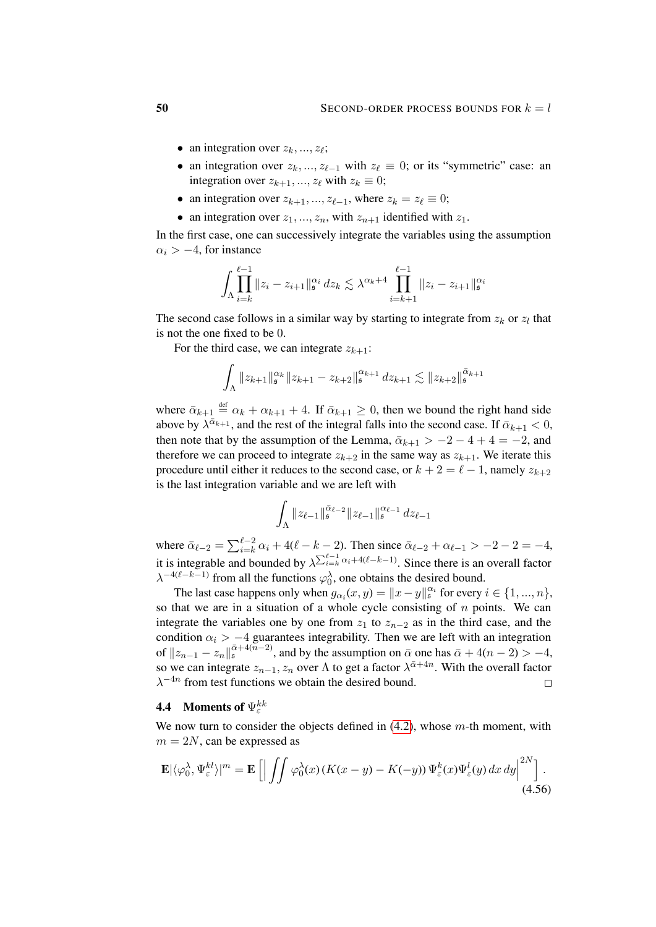- an integration over  $z_k, ..., z_\ell$ ;
- an integration over  $z_k, ..., z_{\ell-1}$  with  $z_\ell \equiv 0$ ; or its "symmetric" case: an integration over  $z_{k+1}, ..., z_{\ell}$  with  $z_k \equiv 0$ ;
- an integration over  $z_{k+1}, ..., z_{\ell-1}$ , where  $z_k = z_\ell \equiv 0;$
- an integration over  $z_1, ..., z_n$ , with  $z_{n+1}$  identified with  $z_1$ .

In the first case, one can successively integrate the variables using the assumption  $\alpha_i > -4$ , for instance

$$
\int_{\Lambda} \prod_{i=k}^{\ell-1} \|z_i - z_{i+1}\|_{\mathfrak{s}}^{\alpha_i} dz_k \lesssim \lambda^{\alpha_k+4} \prod_{i=k+1}^{\ell-1} \|z_i - z_{i+1}\|_{\mathfrak{s}}^{\alpha_i}
$$

The second case follows in a similar way by starting to integrate from  $z_k$  or  $z_l$  that is not the one fixed to be 0.

For the third case, we can integrate  $z_{k+1}$ :

$$
\int_{\Lambda} \|z_{k+1}\|_{\mathfrak{s}}^{\alpha_k} \|z_{k+1} - z_{k+2}\|_{\mathfrak{s}}^{\alpha_{k+1}} \, dz_{k+1} \lesssim \|z_{k+2}\|_{\mathfrak{s}}^{\bar{\alpha}_{k+1}}
$$

where  $\bar{\alpha}_{k+1} \stackrel{\text{def}}{=} \alpha_k + \alpha_{k+1} + 4$ . If  $\bar{\alpha}_{k+1} \geq 0$ , then we bound the right hand side above by  $\lambda^{\bar{\alpha}_{k+1}}$ , and the rest of the integral falls into the second case. If  $\bar{\alpha}_{k+1} < 0$ , then note that by the assumption of the Lemma,  $\bar{\alpha}_{k+1} > -2 - 4 + 4 = -2$ , and therefore we can proceed to integrate  $z_{k+2}$  in the same way as  $z_{k+1}$ . We iterate this procedure until either it reduces to the second case, or  $k + 2 = \ell - 1$ , namely  $z_{k+2}$ is the last integration variable and we are left with

$$
\int_{\Lambda} \|z_{\ell-1}\|_{\mathfrak{s}}^{\bar{\alpha}_{\ell-2}} \|z_{\ell-1}\|_{\mathfrak{s}}^{\alpha_{\ell-1}} \, dz_{\ell-1}
$$

where  $\bar{\alpha}_{\ell-2} = \sum_{i=k}^{\ell-2} \alpha_i + 4(\ell - k - 2)$ . Then since  $\bar{\alpha}_{\ell-2} + \alpha_{\ell-1} > -2 - 2 = -4$ , it is integrable and bounded by  $\lambda^{\sum_{i=k}^{\ell-1} \alpha_i + 4(\ell-k-1)}$ . Since there is an overall factor  $\lambda^{-4(\ell-k-1)}$  from all the functions  $\varphi_0^{\lambda}$ , one obtains the desired bound.

The last case happens only when  $g_{\alpha_i}(x, y) = ||x - y||_s^{\alpha_i}$  for every  $i \in \{1, ..., n\}$ , so that we are in a situation of a whole cycle consisting of  $n$  points. We can integrate the variables one by one from  $z_1$  to  $z_{n-2}$  as in the third case, and the condition  $\alpha_i > -4$  guarantees integrability. Then we are left with an integration of  $||z_{n-1} - z_n||_s^{\bar{\alpha}+4(\bar{n}-2)}$ , and by the assumption on  $\bar{\alpha}$  one has  $\bar{\alpha}+4(n-2) > -4$ , so we can integrate  $z_{n-1}, z_n$  over  $\Lambda$  to get a factor  $\lambda^{\bar{\alpha}+4n}$ . With the overall factor  $\lambda^{-4n}$  from test functions we obtain the desired bound.  $\Box$ 

# <span id="page-49-0"></span>**4.4** Moments of  $\Psi_{\varepsilon}^{kk}$

We now turn to consider the objects defined in  $(4.2)$ , whose m-th moment, with  $m = 2N$ , can be expressed as

<span id="page-49-1"></span>
$$
\mathbf{E}|\langle \varphi_0^{\lambda}, \Psi_{\varepsilon}^{kl} \rangle|^m = \mathbf{E} \left[ \left| \int \int \varphi_0^{\lambda}(x) \left( K(x - y) - K(-y) \right) \Psi_{\varepsilon}^k(x) \Psi_{\varepsilon}^l(y) \, dx \, dy \right|^{2N} \right].
$$
\n(4.56)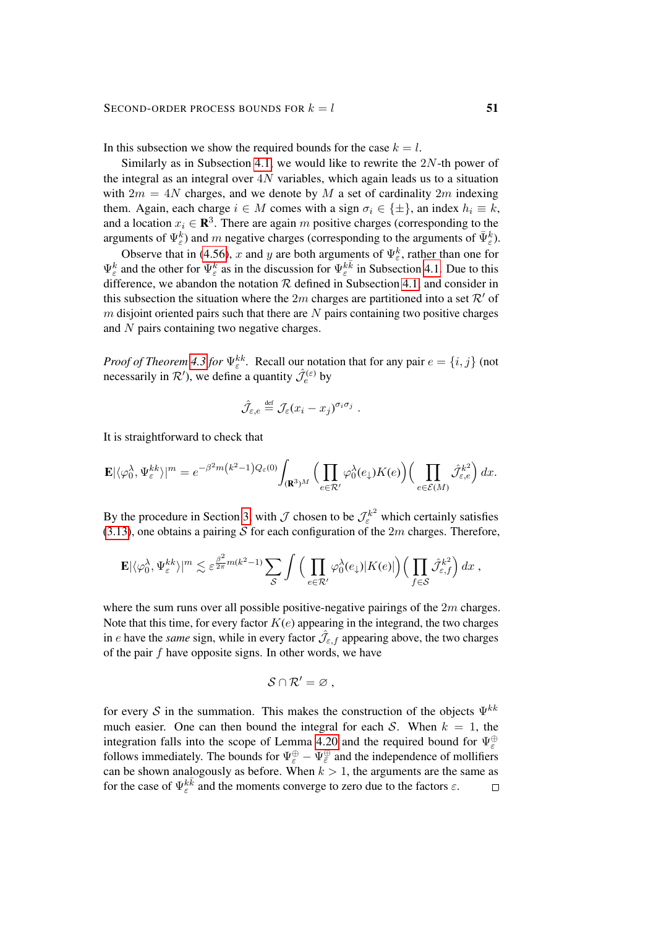In this subsection we show the required bounds for the case  $k = l$ .

Similarly as in Subsection [4.1,](#page-25-2) we would like to rewrite the  $2N$ -th power of the integral as an integral over  $4N$  variables, which again leads us to a situation with  $2m = 4N$  charges, and we denote by M a set of cardinality  $2m$  indexing them. Again, each charge  $i \in M$  comes with a sign  $\sigma_i \in \{\pm\}$ , an index  $h_i \equiv k$ , and a location  $x_i \in \mathbf{R}^3$ . There are again m positive charges (corresponding to the arguments of  $\Psi_{\varepsilon}^k$ ) and m negative charges (corresponding to the arguments of  $\bar{\Psi}_{\varepsilon}^k$ ).

Observe that in [\(4.56\)](#page-49-1), x and y are both arguments of  $\Psi_{\varepsilon}^{k}$ , rather than one for  $\Psi_{\varepsilon}^k$  and the other for  $\bar{\Psi}_{\varepsilon}^k$  as in the discussion for  $\Psi_{\varepsilon}^{k\bar{k}}$  in Subsection [4.1.](#page-25-2) Due to this difference, we abandon the notation  $R$  defined in Subsection [4.1,](#page-25-2) and consider in this subsection the situation where the 2m charges are partitioned into a set  $\mathcal{R}'$  of  $m$  disjoint oriented pairs such that there are  $N$  pairs containing two positive charges and N pairs containing two negative charges.

*Proof of Theorem [4.3](#page-24-1) for*  $\Psi_{\varepsilon}^{kk}$ . Recall our notation that for any pair  $e = \{i, j\}$  (not necessarily in  $\mathcal{R}'$ ), we define a quantity  $\hat{\mathcal{J}}_e^{(\varepsilon)}$  by

$$
\hat{\mathcal{J}}_{\varepsilon,e} \stackrel{\text{def}}{=} \mathcal{J}_{\varepsilon}(x_i - x_j)^{\sigma_i \sigma_j} .
$$

It is straightforward to check that

$$
\mathbf{E}|\langle \varphi_0^{\lambda}, \Psi_{\varepsilon}^{kk} \rangle|^m = e^{-\beta^2 m \left(k^2 - 1\right) Q_{\varepsilon}(0)} \int_{(\mathbf{R}^3)^M} \Big( \prod_{e \in \mathcal{R}'} \varphi_0^{\lambda}(e_\downarrow) K(e) \Big) \Big( \prod_{e \in \mathcal{E}(M)} \hat{\mathcal{J}}_{\varepsilon,e}^{k^2} \Big) \, dx.
$$

By the procedure in Section [3,](#page-10-0) with  $\mathcal J$  chosen to be  $\mathcal J_{\varepsilon}^{k^2}$  which certainly satisfies [\(3.13\)](#page-14-0), one obtains a pairing S for each configuration of the 2m charges. Therefore,

$$
\mathbf{E}|\langle \varphi_0^{\lambda}, \Psi_{\varepsilon}^{kk}\rangle|^{m} \lesssim \varepsilon^{\frac{\beta^2}{2\pi}m(k^2-1)} \sum_{\mathcal{S}} \int \Big( \prod_{e \in \mathcal{R}'} \varphi_0^{\lambda}(e_{\downarrow})|K(e)| \Big) \Big( \prod_{f \in \mathcal{S}} \hat{\mathcal{J}}_{\varepsilon,f}^{k^2} \Big) dx ,
$$

where the sum runs over all possible positive-negative pairings of the  $2m$  charges. Note that this time, for every factor  $K(e)$  appearing in the integrand, the two charges in e have the *same* sign, while in every factor  $\hat{\mathcal{J}}_{\varepsilon,f}$  appearing above, the two charges of the pair  $f$  have opposite signs. In other words, we have

$$
\mathcal{S}\cap\mathcal{R}'=\varnothing\ ,
$$

for every S in the summation. This makes the construction of the objects  $\Psi^{kk}$ much easier. One can then bound the integral for each S. When  $k = 1$ , the integration falls into the scope of Lemma [4.20](#page-46-0) and the required bound for  $\Psi_{\varepsilon}^{\oplus}$ follows immediately. The bounds for  $\Psi_{\varepsilon}^{\oplus} - \Psi_{\overline{\varepsilon}}^{\oplus}$  and the independence of mollifiers can be shown analogously as before. When  $k > 1$ , the arguments are the same as for the case of  $\Psi_{\varepsilon}^{k\bar{k}}$  and the moments converge to zero due to the factors  $\varepsilon$ .  $\Box$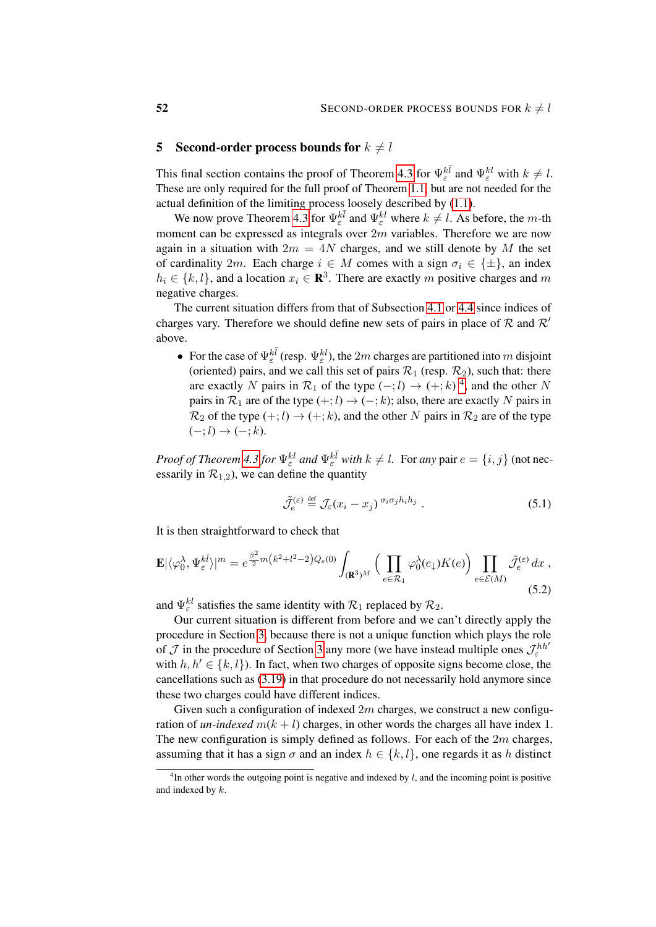# <span id="page-51-0"></span>5 Second-order process bounds for  $k \neq l$

This final section contains the proof of Theorem [4.3](#page-24-1) for  $\Psi_{\varepsilon}^{k\bar{l}}$  and  $\Psi_{\varepsilon}^{kl}$  with  $k \neq l$ . These are only required for the full proof of Theorem [1.1,](#page-2-0) but are not needed for the actual definition of the limiting process loosely described by [\(1.1\)](#page-0-1).

We now prove Theorem [4.3](#page-24-1) for  $\Psi_{\varepsilon}^{k\bar{l}}$  and  $\Psi_{\varepsilon}^{kl}$  where  $k \neq l$ . As before, the m-th moment can be expressed as integrals over  $2m$  variables. Therefore we are now again in a situation with  $2m = 4N$  charges, and we still denote by M the set of cardinality 2m. Each charge  $i \in M$  comes with a sign  $\sigma_i \in {\{\pm\}}$ , an index  $h_i \in \{k, l\}$ , and a location  $x_i \in \mathbb{R}^3$ . There are exactly m positive charges and m negative charges.

The current situation differs from that of Subsection [4.1](#page-25-2) or [4.4](#page-49-0) since indices of charges vary. Therefore we should define new sets of pairs in place of  $\mathcal R$  and  $\mathcal R'$ above.

• For the case of  $\Psi_{\varepsilon}^{k\bar{l}}$  (resp.  $\Psi_{\varepsilon}^{kl}$ ), the 2m charges are partitioned into m disjoint (oriented) pairs, and we call this set of pairs  $\mathcal{R}_1$  (resp.  $\mathcal{R}_2$ ), such that: there are exactly N pairs in  $\mathcal{R}_1$  of the type  $(-,l) \rightarrow (+;k)$ <sup>[4](#page-51-1)</sup>, and the other N pairs in  $\mathcal{R}_1$  are of the type  $(+; l) \rightarrow (-; k)$ ; also, there are exactly N pairs in  $\mathcal{R}_2$  of the type  $(+; l) \rightarrow (+; k)$ , and the other N pairs in  $\mathcal{R}_2$  are of the type  $(-: l) \rightarrow (-: k).$ 

*Proof of Theorem [4.3](#page-24-1) for*  $\Psi_{\varepsilon}^{kl}$  *and*  $\Psi_{\varepsilon}^{k\bar{l}}$  *with*  $k \neq l$ . For *any* pair  $e = \{i, j\}$  (not necessarily in  $\mathcal{R}_{1,2}$ ), we can define the quantity

<span id="page-51-2"></span>
$$
\tilde{\mathcal{J}}_e^{(\varepsilon)} \stackrel{\text{def}}{=} \mathcal{J}_\varepsilon(x_i - x_j)^{\sigma_i \sigma_j h_i h_j} . \tag{5.1}
$$

It is then straightforward to check that

$$
\mathbf{E}|\langle\varphi_0^{\lambda},\Psi_{\varepsilon}^{k\bar{l}}\rangle|^m = e^{\frac{\beta^2}{2}m\left(k^2+l^2-2\right)Q_{\varepsilon}(0)} \int_{(\mathbf{R}^3)^M} \Big(\prod_{e \in \mathcal{R}_1} \varphi_0^{\lambda}(e_\downarrow)K(e)\Big) \prod_{e \in \mathcal{E}(M)} \tilde{\mathcal{J}}_{e}^{(\varepsilon)} dx,
$$
\n(5.2)

and  $\Psi_{\varepsilon}^{kl}$  satisfies the same identity with  $\mathcal{R}_1$  replaced by  $\mathcal{R}_2$ .

Our current situation is different from before and we can't directly apply the procedure in Section [3,](#page-10-0) because there is not a unique function which plays the role of  $\mathcal J$  in the procedure of Section [3](#page-10-0) any more (we have instead multiple ones  $\mathcal J_{\varepsilon}^{hh'}$ with  $h, h' \in \{k, l\}$ ). In fact, when two charges of opposite signs become close, the cancellations such as [\(3.19\)](#page-17-1) in that procedure do not necessarily hold anymore since these two charges could have different indices.

Given such a configuration of indexed  $2m$  charges, we construct a new configuration of *un-indexed*  $m(k + l)$  charges, in other words the charges all have index 1. The new configuration is simply defined as follows. For each of the  $2m$  charges, assuming that it has a sign  $\sigma$  and an index  $h \in \{k, l\}$ , one regards it as h distinct

<span id="page-51-1"></span> $<sup>4</sup>$ In other words the outgoing point is negative and indexed by l, and the incoming point is positive</sup> and indexed by k.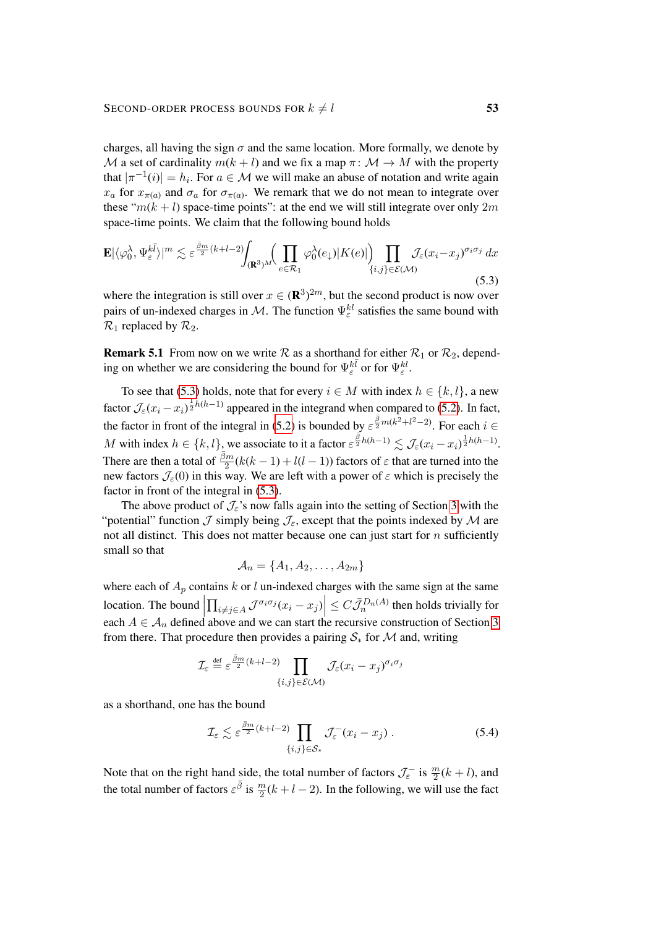charges, all having the sign  $\sigma$  and the same location. More formally, we denote by M a set of cardinality  $m(k+l)$  and we fix a map  $\pi: \mathcal{M} \to M$  with the property that  $|\pi^{-1}(i)| = h_i$ . For  $a \in \mathcal{M}$  we will make an abuse of notation and write again  $x_a$  for  $x_{\pi(a)}$  and  $\sigma_a$  for  $\sigma_{\pi(a)}$ . We remark that we do not mean to integrate over these " $m(k + l)$  space-time points": at the end we will still integrate over only  $2m$ space-time points. We claim that the following bound holds

$$
\mathbf{E}|\langle\varphi_0^{\lambda},\Psi_{\varepsilon}^{k\bar{l}}\rangle|^m \lesssim \varepsilon^{\frac{\bar{\beta}m}{2}(k+l-2)} \int_{(\mathbf{R}^3)^M} \bigg(\prod_{e \in \mathcal{R}_1} \varphi_0^{\lambda}(e_\downarrow) |K(e)|\bigg) \prod_{\{i,j\} \in \mathcal{E}(\mathcal{M})} \mathcal{J}_{\varepsilon}(x_i - x_j)^{\sigma_i \sigma_j} dx
$$
\n(5.3)

<span id="page-52-0"></span>where the integration is still over  $x \in (\mathbb{R}^3)^{2m}$ , but the second product is now over pairs of un-indexed charges in M. The function  $\Psi_{\varepsilon}^{kl}$  satisfies the same bound with  $\mathcal{R}_1$  replaced by  $\mathcal{R}_2$ .

**Remark 5.1** From now on we write  $\mathcal{R}$  as a shorthand for either  $\mathcal{R}_1$  or  $\mathcal{R}_2$ , depending on whether we are considering the bound for  $\Psi_{\varepsilon}^{k\bar{l}}$  or for  $\Psi_{\varepsilon}^{kl}$ .

To see that [\(5.3\)](#page-52-0) holds, note that for every  $i \in M$  with index  $h \in \{k, l\}$ , a new factor  $\mathcal{J}_{\varepsilon}(x_i - x_i)^{\frac{1}{2}h(h-1)}$  appeared in the integrand when compared to [\(5.2\)](#page-51-2). In fact, the factor in front of the integral in [\(5.2\)](#page-51-2) is bounded by  $\varepsilon^{\frac{\bar{\beta}}{2}m(k^2+l^2-2)}$ . For each  $i \in$ M with index  $h \in \{k, l\}$ , we associate to it a factor  $\varepsilon^{\frac{\bar{\beta}}{2}h(h-1)} \lesssim \mathcal{J}_{\varepsilon}(x_i - x_i)^{\frac{1}{2}h(h-1)}$ . There are then a total of  $\frac{\bar{\beta}m}{2}(k(k-1)+l(l-1))$  factors of  $\varepsilon$  that are turned into the new factors  $\mathcal{J}_{\varepsilon}(0)$  in this way. We are left with a power of  $\varepsilon$  which is precisely the factor in front of the integral in [\(5.3\)](#page-52-0).

The above product of  $\mathcal{J}_{\varepsilon}$ 's now falls again into the setting of Section [3](#page-10-0) with the "potential" function  $\mathcal J$  simply being  $\mathcal J_\varepsilon$ , except that the points indexed by  $\mathcal M$  are not all distinct. This does not matter because one can just start for  $n$  sufficiently small so that

$$
\mathcal{A}_n = \{A_1, A_2, \ldots, A_{2m}\}
$$

where each of  $A_p$  contains k or l un-indexed charges with the same sign at the same location. The bound  $\left| \prod_{i \neq j \in A} \mathcal{J}^{\sigma_i \sigma_j} (x_i - x_j) \right| \leq C \bar{\mathcal{J}}_n^{D_n(A)}$  then holds trivially for each  $A \in \mathcal{A}_n$  defined above and we can start the recursive construction of Section [3](#page-10-0) from there. That procedure then provides a pairing  $S_*$  for M and, writing

$$
\mathcal{I}_{\varepsilon} \stackrel{\text{def}}{=} \varepsilon^{\frac{\bar{\beta}m}{2}(k+l-2)} \prod_{\{i,j\} \in \mathcal{E}(\mathcal{M})} \mathcal{J}_{\varepsilon}(x_i - x_j)^{\sigma_i \sigma_j}
$$

as a shorthand, one has the bound

<span id="page-52-1"></span>
$$
\mathcal{I}_{\varepsilon} \lesssim \varepsilon^{\frac{\bar{\beta}m}{2}(k+l-2)} \prod_{\{i,j\} \in \mathcal{S}_{*}} \mathcal{J}_{\varepsilon}^{-}(x_i - x_j) . \tag{5.4}
$$

Note that on the right hand side, the total number of factors  $\mathcal{J}_{\varepsilon}^-$  is  $\frac{m}{2}(k+l)$ , and the total number of factors  $\varepsilon^{\bar{\beta}}$  is  $\frac{m}{2}(k+l-2)$ . In the following, we will use the fact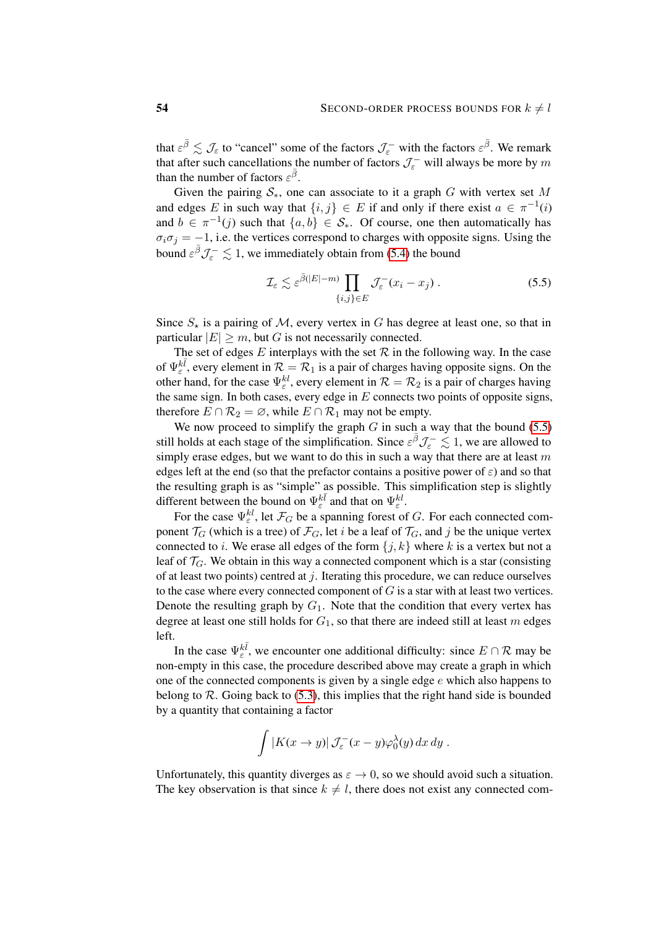that  $\varepsilon^{\bar{\beta}} \lesssim \mathcal{J}_{\varepsilon}$  to "cancel" some of the factors  $\mathcal{J}_{\varepsilon}^-$  with the factors  $\varepsilon^{\bar{\beta}}$ . We remark that after such cancellations the number of factors  $\mathcal{J}_{\varepsilon}^-$  will always be more by m than the number of factors  $\varepsilon^{\bar{\beta}}$ .

Given the pairing  $S_{*}$ , one can associate to it a graph G with vertex set M and edges E in such way that  $\{i, j\} \in E$  if and only if there exist  $a \in \pi^{-1}(i)$ and  $b \in \pi^{-1}(j)$  such that  $\{a, b\} \in S_*$ . Of course, one then automatically has  $\sigma_i \sigma_j = -1$ , i.e. the vertices correspond to charges with opposite signs. Using the bound  $\varepsilon^{\bar{\beta}} \mathcal{J}_{\varepsilon}^- \lesssim 1$ , we immediately obtain from [\(5.4\)](#page-52-1) the bound

<span id="page-53-0"></span>
$$
\mathcal{I}_{\varepsilon} \lesssim \varepsilon^{\bar{\beta}(|E|-m)} \prod_{\{i,j\} \in E} \mathcal{J}_{\varepsilon}^-(x_i - x_j) \,. \tag{5.5}
$$

Since  $S_{\star}$  is a pairing of M, every vertex in G has degree at least one, so that in particular  $|E| \ge m$ , but G is not necessarily connected.

The set of edges E interplays with the set  $R$  in the following way. In the case of  $\Psi_{\varepsilon}^{k\bar{l}}$ , every element in  $\mathcal{R} = \mathcal{R}_1$  is a pair of charges having opposite signs. On the other hand, for the case  $\Psi_{\varepsilon}^{kl}$ , every element in  $\mathcal{R} = \mathcal{R}_2$  is a pair of charges having the same sign. In both cases, every edge in  $E$  connects two points of opposite signs, therefore  $E \cap \mathcal{R}_2 = \emptyset$ , while  $E \cap \mathcal{R}_1$  may not be empty.

We now proceed to simplify the graph  $G$  in such a way that the bound [\(5.5\)](#page-53-0) still holds at each stage of the simplification. Since  $\varepsilon^{\bar{\beta}} \mathcal{J}_\varepsilon^- \lesssim 1$ , we are allowed to simply erase edges, but we want to do this in such a way that there are at least  $m$ edges left at the end (so that the prefactor contains a positive power of  $\varepsilon$ ) and so that the resulting graph is as "simple" as possible. This simplification step is slightly different between the bound on  $\Psi_{\varepsilon}^{k\bar{l}}$  and that on  $\Psi_{\varepsilon}^{k\bar{l}}$ .

For the case  $\Psi_{\varepsilon}^{kl}$ , let  $\mathcal{F}_G$  be a spanning forest of G. For each connected component  $\mathcal{T}_G$  (which is a tree) of  $\mathcal{F}_G$ , let i be a leaf of  $\mathcal{T}_G$ , and j be the unique vertex connected to *i*. We erase all edges of the form  $\{j, k\}$  where *k* is a vertex but not a leaf of  $\mathcal{T}_G$ . We obtain in this way a connected component which is a star (consisting of at least two points) centred at  $j$ . Iterating this procedure, we can reduce ourselves to the case where every connected component of  $G$  is a star with at least two vertices. Denote the resulting graph by  $G_1$ . Note that the condition that every vertex has degree at least one still holds for  $G_1$ , so that there are indeed still at least m edges left.

In the case  $\Psi_{\varepsilon}^{k\bar{l}}$ , we encounter one additional difficulty: since  $E \cap \mathcal{R}$  may be non-empty in this case, the procedure described above may create a graph in which one of the connected components is given by a single edge  $e$  which also happens to belong to  $\mathcal R$ . Going back to [\(5.3\)](#page-52-0), this implies that the right hand side is bounded by a quantity that containing a factor

$$
\int |K(x \to y)| \mathcal{J}_{\varepsilon}^-(x-y) \varphi_0^{\lambda}(y) dx dy.
$$

Unfortunately, this quantity diverges as  $\varepsilon \to 0$ , so we should avoid such a situation. The key observation is that since  $k \neq l$ , there does not exist any connected com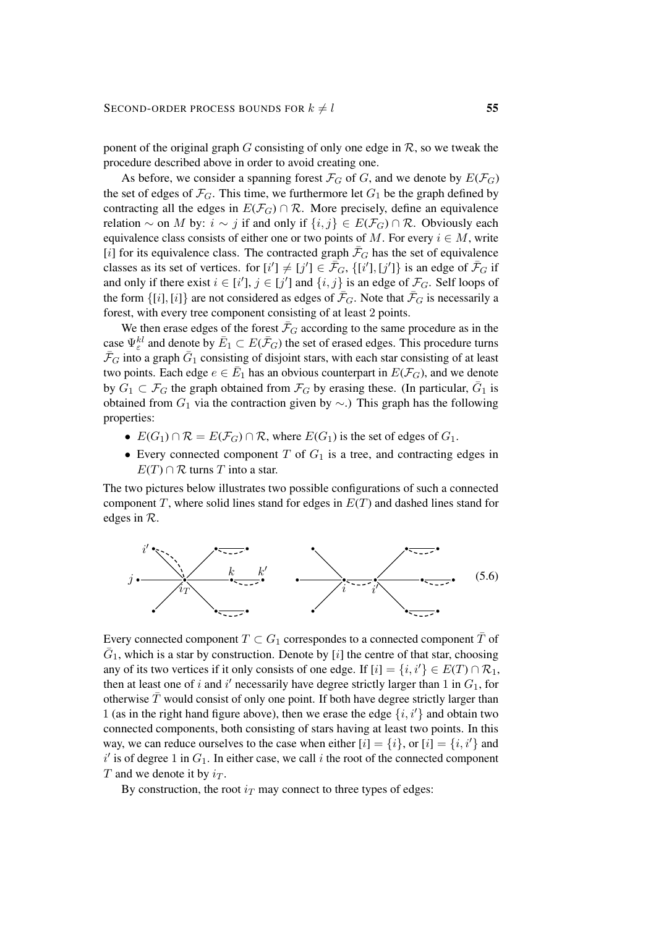ponent of the original graph G consisting of only one edge in  $\mathcal{R}$ , so we tweak the procedure described above in order to avoid creating one.

As before, we consider a spanning forest  $\mathcal{F}_G$  of G, and we denote by  $E(\mathcal{F}_G)$ the set of edges of  $\mathcal{F}_G$ . This time, we furthermore let  $G_1$  be the graph defined by contracting all the edges in  $E(\mathcal{F}_G) \cap \mathcal{R}$ . More precisely, define an equivalence relation ∼ on M by:  $i \sim j$  if and only if  $\{i, j\} \in E(\mathcal{F}_G) \cap \mathcal{R}$ . Obviously each equivalence class consists of either one or two points of M. For every  $i \in M$ , write [i] for its equivalence class. The contracted graph  $\bar{\mathcal{F}}_G$  has the set of equivalence classes as its set of vertices. for  $[i'] \neq [j'] \in \overline{\mathcal{F}}_G$ ,  $\{[i'], [j']\}$  is an edge of  $\overline{\mathcal{F}}_G$  if and only if there exist  $i \in [i'], j \in [j']$  and  $\{i, j\}$  is an edge of  $\mathcal{F}_G$ . Self loops of the form  $\{[i], [i]\}$  are not considered as edges of  $\bar{\mathcal{F}}_G$ . Note that  $\bar{\mathcal{F}}_G$  is necessarily a forest, with every tree component consisting of at least 2 points.

We then erase edges of the forest  $\bar{\mathcal{F}}_G$  according to the same procedure as in the case  $\Psi_{\varepsilon}^{kl}$  and denote by  $\bar{E}_1 \subset E(\bar{\mathcal{F}}_G)$  the set of erased edges. This procedure turns  $\bar{\mathcal{F}}_G$  into a graph  $\bar{G}_1$  consisting of disjoint stars, with each star consisting of at least two points. Each edge  $e \in \overline{E}_1$  has an obvious counterpart in  $E(\mathcal{F}_G)$ , and we denote by  $\tilde{G}_1 \subset \mathcal{F}_G$  the graph obtained from  $\mathcal{F}_G$  by erasing these. (In particular,  $\bar{G}_1$  is obtained from  $G_1$  via the contraction given by  $\sim$ .) This graph has the following properties:

- $E(G_1) \cap \mathcal{R} = E(\mathcal{F}_G) \cap \mathcal{R}$ , where  $E(G_1)$  is the set of edges of  $G_1$ .
- Every connected component  $T$  of  $G_1$  is a tree, and contracting edges in  $E(T) \cap \mathcal{R}$  turns T into a star.

The two pictures below illustrates two possible configurations of such a connected component T, where solid lines stand for edges in  $E(T)$  and dashed lines stand for edges in R.

<span id="page-54-0"></span>

Every connected component  $T \subset G_1$  correspondes to a connected component  $\overline{T}$  of  $\overline{G}_1$ , which is a star by construction. Denote by [i] the centre of that star, choosing any of its two vertices if it only consists of one edge. If  $[i] = \{i, i'\} \in E(T) \cap \mathcal{R}_1$ , then at least one of i and i' necessarily have degree strictly larger than 1 in  $G_1$ , for otherwise  $\overline{T}$  would consist of only one point. If both have degree strictly larger than 1 (as in the right hand figure above), then we erase the edge  $\{i, i'\}$  and obtain two connected components, both consisting of stars having at least two points. In this way, we can reduce ourselves to the case when either  $[i] = \{i\}$ , or  $[i] = \{i, i'\}$  and  $i'$  is of degree 1 in  $G_1$ . In either case, we call i the root of the connected component T and we denote it by  $i_T$ .

By construction, the root  $i<sub>T</sub>$  may connect to three types of edges: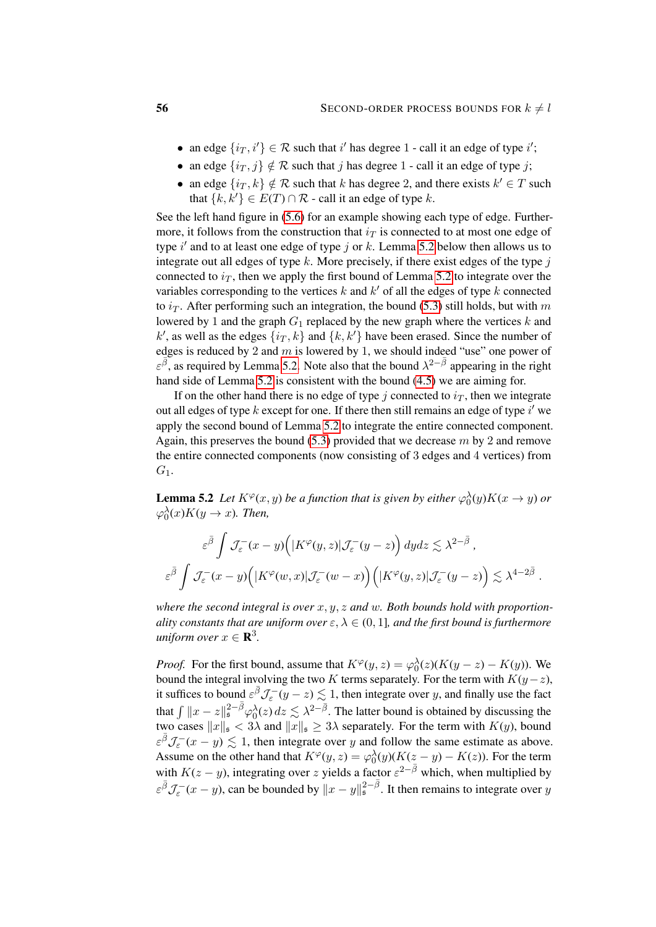- an edge  $\{i_T, i'\} \in \mathcal{R}$  such that i' has degree 1 call it an edge of type i';
- an edge  $\{i_T, j\} \notin \mathcal{R}$  such that j has degree 1 call it an edge of type j;
- an edge  $\{i_T, k\} \notin \mathcal{R}$  such that k has degree 2, and there exists  $k' \in T$  such that  $\{k, k'\} \in E(T) \cap \mathcal{R}$  - call it an edge of type k.

See the left hand figure in [\(5.6\)](#page-54-0) for an example showing each type of edge. Furthermore, it follows from the construction that  $i<sub>T</sub>$  is connected to at most one edge of type  $i'$  and to at least one edge of type j or k. Lemma [5.2](#page-55-0) below then allows us to integrate out all edges of type  $k$ . More precisely, if there exist edges of the type  $j$ connected to  $i_T$ , then we apply the first bound of Lemma [5.2](#page-55-0) to integrate over the variables corresponding to the vertices  $k$  and  $k'$  of all the edges of type  $k$  connected to  $i<sub>T</sub>$ . After performing such an integration, the bound [\(5.3\)](#page-52-0) still holds, but with m lowered by 1 and the graph  $G_1$  replaced by the new graph where the vertices k and  $k'$ , as well as the edges  $\{i, k'\}$  and  $\{k, k'\}$  have been erased. Since the number of edges is reduced by 2 and  $m$  is lowered by 1, we should indeed "use" one power of  $\varepsilon^{\overline{\beta}}$ , as required by Lemma [5.2.](#page-55-0) Note also that the bound  $\lambda^{2-\overline{\beta}}$  appearing in the right hand side of Lemma [5.2](#page-55-0) is consistent with the bound [\(4.5\)](#page-24-2) we are aiming for.

If on the other hand there is no edge of type j connected to  $i<sub>T</sub>$ , then we integrate out all edges of type  $k$  except for one. If there then still remains an edge of type  $i'$  we apply the second bound of Lemma [5.2](#page-55-0) to integrate the entire connected component. Again, this preserves the bound  $(5.3)$  provided that we decrease m by 2 and remove the entire connected components (now consisting of 3 edges and 4 vertices) from  $G_1$ .

<span id="page-55-0"></span>**Lemma 5.2** Let  $K^{\varphi}(x, y)$  be a function that is given by either  $\varphi_0^{\lambda}(y)K(x \to y)$  or  $\varphi_0^{\lambda}(x)K(y \to x)$ *. Then,* 

$$
\varepsilon^{\bar{\beta}} \int \mathcal{J}_{\varepsilon}^{-}(x-y)\Big(|K^{\varphi}(y,z)|\mathcal{J}_{\varepsilon}^{-}(y-z)\Big) dydz \lesssim \lambda^{2-\bar{\beta}} ,
$$
  

$$
\varepsilon^{\bar{\beta}} \int \mathcal{J}_{\varepsilon}^{-}(x-y)\Big(|K^{\varphi}(w,x)|\mathcal{J}_{\varepsilon}^{-}(w-x)\Big)\Big(|K^{\varphi}(y,z)|\mathcal{J}_{\varepsilon}^{-}(y-z)\Big) \lesssim \lambda^{4-2\bar{\beta}} .
$$

*where the second integral is over* x, y, z *and* w*. Both bounds hold with proportionality constants that are uniform over*  $\varepsilon$ ,  $\lambda \in (0, 1]$ *, and the first bound is furthermore*  $uniform\ over\ x \in \mathbf{R}^3$ .

*Proof.* For the first bound, assume that  $K^{\varphi}(y, z) = \varphi_0^{\lambda}(z) (K(y - z) - K(y))$ . We bound the integral involving the two K terms separately. For the term with  $K(y-z)$ , it suffices to bound  $\varepsilon^{\bar{\beta}}\mathcal{J}_{\varepsilon}^{-}(y-z) \lesssim 1$ , then integrate over y, and finally use the fact that  $\int \|x - z\|_{\mathfrak{s}}^{2-\bar{\beta}} \varphi_0^{\lambda}(z) dz \lesssim \lambda^{2-\bar{\beta}}$ . The latter bound is obtained by discussing the two cases  $||x||_{\mathfrak{s}} < 3\lambda$  and  $||x||_{\mathfrak{s}} \geq 3\lambda$  separately. For the term with  $K(y)$ , bound  $\epsilon^{\bar{\beta}}\mathcal{J}_{\epsilon}^{-}(x-y) \lesssim 1$ , then integrate over y and follow the same estimate as above. Assume on the other hand that  $K^{\varphi}(y, z) = \varphi_0^{\lambda}(y) (K(z - y) - K(z))$ . For the term with  $K(z - y)$ , integrating over z yields a factor  $\varepsilon^{2-\bar{\beta}}$  which, when multiplied by  $\varepsilon^{\bar{\beta}} \mathcal{J}_{\varepsilon}^{-}(x-y)$ , can be bounded by  $||x-y||_{\mathfrak{s}}^{2-\bar{\beta}}$ . It then remains to integrate over y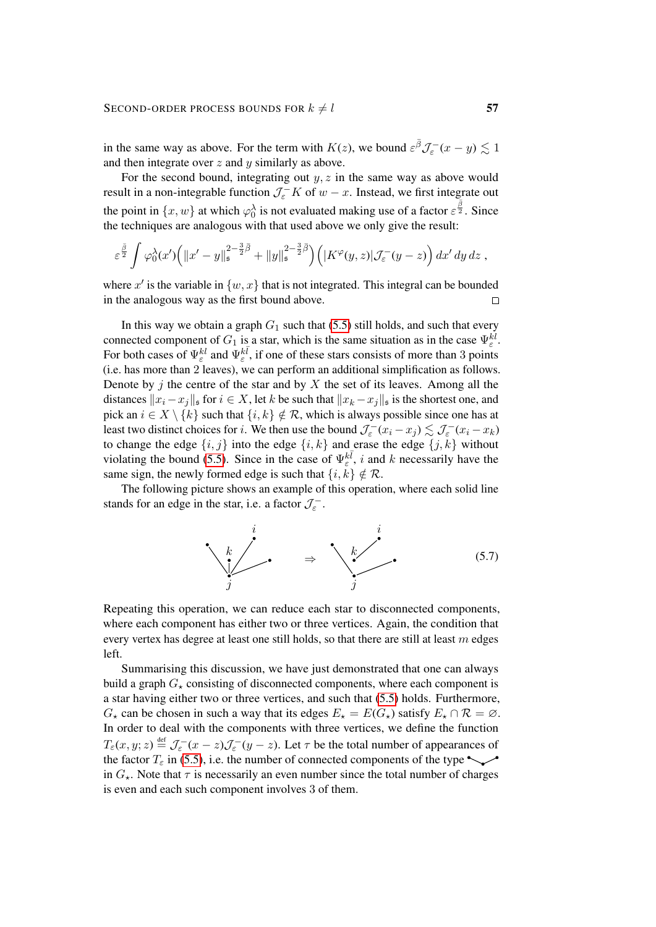### SECOND-ORDER PROCESS BOUNDS FOR  $k \neq l$  57

in the same way as above. For the term with  $K(z)$ , we bound  $\varepsilon^{\bar{\beta}}\mathcal{J}_{\varepsilon}^{-}(x-y)\lesssim 1$ and then integrate over  $z$  and  $y$  similarly as above.

For the second bound, integrating out  $y, z$  in the same way as above would result in a non-integrable function  $\mathcal{J}_{\varepsilon}^{-} K$  of  $w - x$ . Instead, we first integrate out the point in  $\{x, w\}$  at which  $\varphi_0^{\lambda}$  is not evaluated making use of a factor  $\varepsilon^{\frac{\beta}{2}}$ . Since the techniques are analogous with that used above we only give the result:

$$
\varepsilon^{\frac{\bar{\beta}}{2}}\int \varphi_0^{\lambda}(x')\Big(\|x'-y\|_{\mathfrak{s}}^{2-\frac{3}{2}\bar{\beta}}+\|y\|_{\mathfrak{s}}^{2-\frac{3}{2}\bar{\beta}}\Big)\Big(|K^{\varphi}(y,z)|\mathcal{J}_{\varepsilon}^-(y-z)\Big)\,dx'\,dy\,dz\;,
$$

where x' is the variable in  $\{w, x\}$  that is not integrated. This integral can be bounded in the analogous way as the first bound above.  $\Box$ 

In this way we obtain a graph  $G_1$  such that [\(5.5\)](#page-53-0) still holds, and such that every connected component of  $G_1$  is a star, which is the same situation as in the case  $\Psi_{\varepsilon}^{kl}$ . For both cases of  $\Psi_{\varepsilon}^{kl}$  and  $\Psi_{\varepsilon}^{k\bar{l}}$ , if one of these stars consists of more than 3 points (i.e. has more than 2 leaves), we can perform an additional simplification as follows. Denote by  $j$  the centre of the star and by  $X$  the set of its leaves. Among all the distances  $||x_i - x_j||_s$  for  $i \in X$ , let k be such that  $||x_k - x_j||_s$  is the shortest one, and pick an  $i \in X \setminus \{k\}$  such that  $\{i, k\} \notin \mathcal{R}$ , which is always possible since one has at least two distinct choices for *i*. We then use the bound  $\mathcal{J}_\varepsilon^-(x_i - x_j) \lesssim \mathcal{J}_\varepsilon^-(x_i - x_k)$ to change the edge  $\{i, j\}$  into the edge  $\{i, k\}$  and erase the edge  $\{j, k\}$  without violating the bound [\(5.5\)](#page-53-0). Since in the case of  $\Psi_{\varepsilon}^{k\bar{l}}$ , i and k necessarily have the same sign, the newly formed edge is such that  $\{i, k\} \notin \mathcal{R}$ .

The following picture shows an example of this operation, where each solid line stands for an edge in the star, i.e. a factor  $\mathcal{J}_{\varepsilon}^{-}$ .

<span id="page-56-0"></span>

Repeating this operation, we can reduce each star to disconnected components, where each component has either two or three vertices. Again, the condition that every vertex has degree at least one still holds, so that there are still at least  $m$  edges left.

Summarising this discussion, we have just demonstrated that one can always build a graph  $G<sub>\star</sub>$  consisting of disconnected components, where each component is a star having either two or three vertices, and such that [\(5.5\)](#page-53-0) holds. Furthermore,  $G_{\star}$  can be chosen in such a way that its edges  $E_{\star} = E(G_{\star})$  satisfy  $E_{\star} \cap \mathcal{R} = \emptyset$ . In order to deal with the components with three vertices, we define the function  $T_{\varepsilon}(x, y; z) \stackrel{\text{def}}{=} \mathcal{J}_{\varepsilon}^-(x-z)\mathcal{J}_{\varepsilon}^-(y-z)$ . Let  $\tau$  be the total number of appearances of the factor  $T_{\epsilon}$  in [\(5.5\)](#page-53-0), i.e. the number of connected components of the type in  $G_{\star}$ . Note that  $\tau$  is necessarily an even number since the total number of charges is even and each such component involves 3 of them.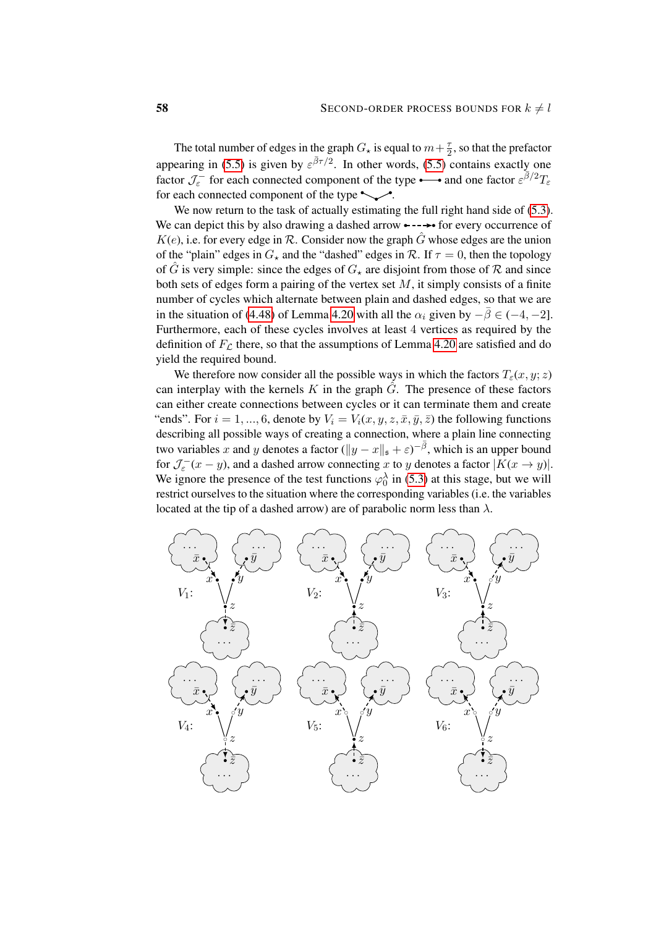The total number of edges in the graph  $G_{\star}$  is equal to  $m+\frac{7}{2}$  $\frac{\tau}{2}$ , so that the prefactor appearing in [\(5.5\)](#page-53-0) is given by  $\varepsilon^{\bar{\beta}\tau/2}$ . In other words, (5.5) contains exactly one factor  $\mathcal{J}_{\varepsilon}^-$  for each connected component of the type  $\longrightarrow$  and one factor  $\varepsilon^{\bar{\beta}/2}T_{\varepsilon}$ for each connected component of the type  $\sim$ .

We now return to the task of actually estimating the full right hand side of  $(5.3)$ . We can depict this by also drawing a dashed arrow  $\leftarrow \rightarrow \bullet$  for every occurrence of  $K(e)$ , i.e. for every edge in R. Consider now the graph  $\hat{G}$  whose edges are the union of the "plain" edges in  $G_{\star}$  and the "dashed" edges in R. If  $\tau = 0$ , then the topology of  $\hat{G}$  is very simple: since the edges of  $G_{\star}$  are disjoint from those of  $\mathcal R$  and since both sets of edges form a pairing of the vertex set  $M$ , it simply consists of a finite number of cycles which alternate between plain and dashed edges, so that we are in the situation of [\(4.48\)](#page-46-2) of Lemma [4.20](#page-46-0) with all the  $\alpha_i$  given by  $-\bar{\beta} \in (-4, -2]$ . Furthermore, each of these cycles involves at least 4 vertices as required by the definition of  $F<sub>C</sub>$  there, so that the assumptions of Lemma [4.20](#page-46-0) are satisfied and do yield the required bound.

We therefore now consider all the possible ways in which the factors  $T_{\varepsilon}(x, y; z)$ can interplay with the kernels  $K$  in the graph  $G$ . The presence of these factors can either create connections between cycles or it can terminate them and create "ends". For  $i = 1, ..., 6$ , denote by  $V_i = V_i(x, y, z, \bar{x}, \bar{y}, \bar{z})$  the following functions describing all possible ways of creating a connection, where a plain line connecting two variables x and y denotes a factor  $(||y - x||_{\mathfrak{s}} + \varepsilon)^{-\overline{\beta}}$ , which is an upper bound for  $\mathcal{J}_{\varepsilon}^-(x-y)$ , and a dashed arrow connecting x to y denotes a factor  $|K(x \to y)|$ . We ignore the presence of the test functions  $\varphi_0^{\lambda}$  in [\(5.3\)](#page-52-0) at this stage, but we will restrict ourselves to the situation where the corresponding variables (i.e. the variables located at the tip of a dashed arrow) are of parabolic norm less than  $\lambda$ .

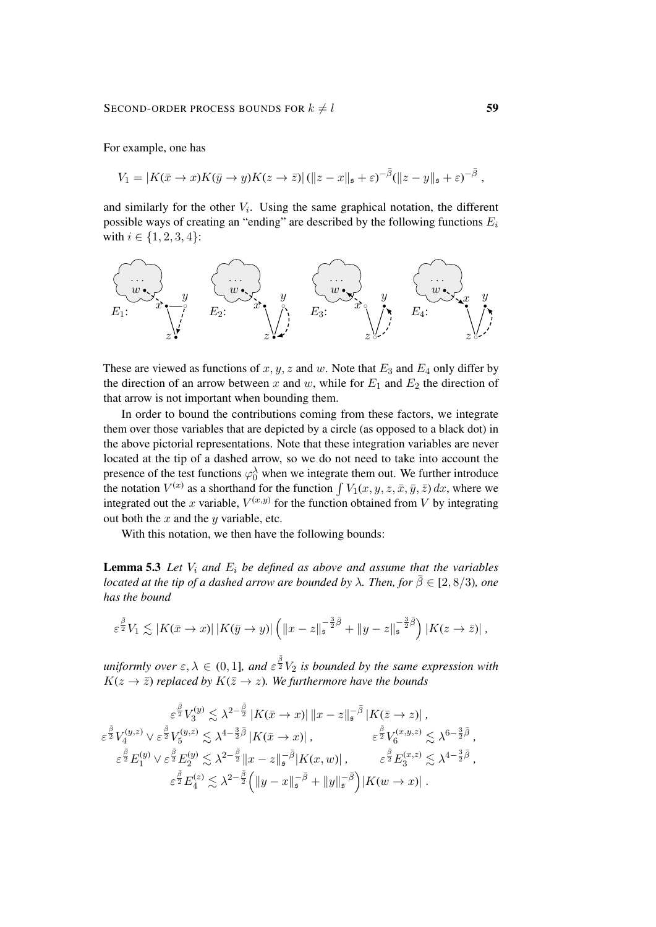For example, one has

$$
V_1 = |K(\bar{x} \to x)K(\bar{y} \to y)K(z \to \bar{z})| (||z - x||_{\mathfrak{s}} + \varepsilon)^{-\bar{\beta}} (||z - y||_{\mathfrak{s}} + \varepsilon)^{-\bar{\beta}},
$$

and similarly for the other  $V_i$ . Using the same graphical notation, the different possible ways of creating an "ending" are described by the following functions  $E_i$ with  $i \in \{1, 2, 3, 4\}$ :



These are viewed as functions of  $x, y, z$  and  $w$ . Note that  $E_3$  and  $E_4$  only differ by the direction of an arrow between x and w, while for  $E_1$  and  $E_2$  the direction of that arrow is not important when bounding them.

In order to bound the contributions coming from these factors, we integrate them over those variables that are depicted by a circle (as opposed to a black dot) in the above pictorial representations. Note that these integration variables are never located at the tip of a dashed arrow, so we do not need to take into account the presence of the test functions  $\varphi_0^{\lambda}$  when we integrate them out. We further introduce the notation  $V^{(x)}$  as a shorthand for the function  $\int V_1(x, y, z, \bar{x}, \bar{y}, \bar{z}) dx$ , where we integrated out the x variable,  $V^{(x,y)}$  for the function obtained from V by integrating out both the  $x$  and the  $y$  variable, etc.

<span id="page-58-0"></span>With this notation, we then have the following bounds:

**Lemma 5.3** Let  $V_i$  and  $E_i$  be defined as above and assume that the variables *located at the tip of a dashed arrow are bounded by*  $\lambda$ *. Then, for*  $\overline{\beta} \in [2, 8/3)$ *, one has the bound*

$$
\varepsilon^{\frac{\overline{\beta}}{2}}V_1 \lesssim |K(\bar{x} \to x)| \, |K(\bar{y} \to y)| \left( \|x - z\|_{\mathfrak{s}}^{-\frac{3}{2}\overline{\beta}} + \|y - z\|_{\mathfrak{s}}^{-\frac{3}{2}\overline{\beta}} \right) |K(z \to \bar{z})| \, ,
$$

 $uniformly$  over  $\varepsilon, \lambda \in (0,1]$ , and  $\varepsilon^{\frac{\bar{\beta}}{2}} V_2$  is bounded by the same expression with  $K(z \to \overline{z})$  *replaced by*  $K(\overline{z} \to z)$ *. We furthermore have the bounds* 

$$
\varepsilon^{\frac{\bar{\beta}}{2}} V_3^{(y)} \lesssim \lambda^{2-\frac{\bar{\beta}}{2}} |K(\bar{x} \to x)| \|x - z\|_{\mathfrak{s}}^{-\bar{\beta}} |K(\bar{z} \to z)|,
$$
\n
$$
\varepsilon^{\frac{\bar{\beta}}{2}} V_4^{(y,z)} \vee \varepsilon^{\frac{\bar{\beta}}{2}} V_5^{(y,z)} \lesssim \lambda^{4-\frac{3}{2}\bar{\beta}} |K(\bar{x} \to x)|, \qquad \varepsilon^{\frac{\bar{\beta}}{2}} V_6^{(x,y,z)} \lesssim \lambda^{6-\frac{3}{2}\bar{\beta}},
$$
\n
$$
\varepsilon^{\frac{\bar{\beta}}{2}} E_1^{(y)} \vee \varepsilon^{\frac{\bar{\beta}}{2}} E_2^{(y)} \lesssim \lambda^{2-\frac{\bar{\beta}}{2}} \|x - z\|_{\mathfrak{s}}^{-\bar{\beta}} |K(x, w)|, \qquad \varepsilon^{\frac{\bar{\beta}}{2}} E_3^{(x,z)} \lesssim \lambda^{4-\frac{3}{2}\bar{\beta}},
$$
\n
$$
\varepsilon^{\frac{\bar{\beta}}{2}} E_4^{(z)} \lesssim \lambda^{2-\frac{\bar{\beta}}{2}} \Big( \|y - x\|_{\mathfrak{s}}^{-\bar{\beta}} + \|y\|_{\mathfrak{s}}^{-\bar{\beta}} \Big) |K(w \to x)|.
$$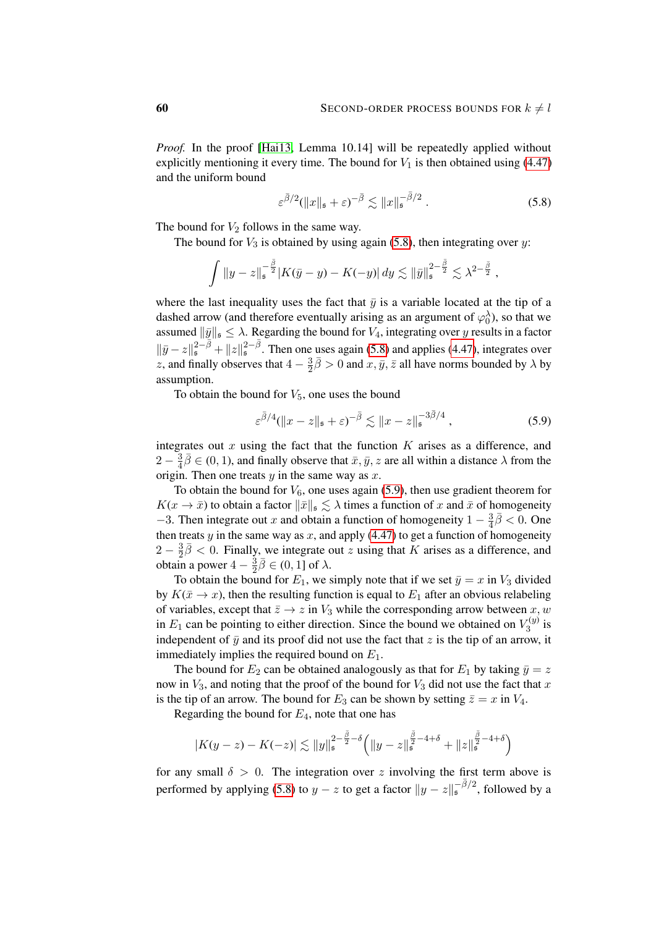*Proof.* In the proof [\[Hai13,](#page-62-2) Lemma 10.14] will be repeatedly applied without explicitly mentioning it every time. The bound for  $V_1$  is then obtained using [\(4.47\)](#page-44-1) and the uniform bound

<span id="page-59-0"></span>
$$
\varepsilon^{\bar{\beta}/2}(\|x\|_{\mathfrak{s}} + \varepsilon)^{-\bar{\beta}} \lesssim \|x\|_{\mathfrak{s}}^{-\bar{\beta}/2} . \tag{5.8}
$$

The bound for  $V_2$  follows in the same way.

The bound for  $V_3$  is obtained by using again [\(5.8\)](#page-59-0), then integrating over y:

$$
\int \|y-z\|_{\mathfrak{s}}^{-\frac{\bar{\beta}}{2}} |K(\bar{y}-y)-K(-y)|\,dy \lesssim \|\bar{y}\|_{\mathfrak{s}}^{2-\frac{\bar{\beta}}{2}} \lesssim \lambda^{2-\frac{\bar{\beta}}{2}}\,,
$$

where the last inequality uses the fact that  $\bar{y}$  is a variable located at the tip of a dashed arrow (and therefore eventually arising as an argument of  $\varphi_0^{\lambda}$ ), so that we assumed  $\|\bar{y}\|_{\mathfrak{s}} \leq \lambda$ . Regarding the bound for  $V_4$ , integrating over y results in a factor  $\|\bar{y}-z\|_{\mathfrak{s}}^{2-\bar{\beta}}+\|z\|_{\mathfrak{s}}^{2-\bar{\beta}}$ . Then one uses again [\(5.8\)](#page-59-0) and applies [\(4.47\)](#page-44-1), integrates over z, and finally observes that  $4-\frac{3}{2}$  $\frac{3}{2}\bar{\beta} > 0$  and  $x, \bar{y}, \bar{z}$  all have norms bounded by  $\lambda$  by assumption.

To obtain the bound for  $V_5$ , one uses the bound

<span id="page-59-1"></span>
$$
\varepsilon^{\bar{\beta}/4} (\|x-z\|_{\mathfrak{s}} + \varepsilon)^{-\bar{\beta}} \lesssim \|x-z\|_{\mathfrak{s}}^{-3\bar{\beta}/4}, \qquad (5.9)
$$

integrates out  $x$  using the fact that the function  $K$  arises as a difference, and  $2-\frac{3}{4}$  $\frac{3}{4}\overline{\beta} \in (0,1)$ , and finally observe that  $\overline{x}, \overline{y}, z$  are all within a distance  $\lambda$  from the origin. Then one treats  $y$  in the same way as  $x$ .

To obtain the bound for  $V_6$ , one uses again [\(5.9\)](#page-59-1), then use gradient theorem for  $K(x \to \bar{x})$  to obtain a factor  $\|\bar{x}\|_{\mathfrak{s}} \lesssim \lambda$  times a function of x and  $\bar{x}$  of homogeneity  $-3$ . Then integrate out x and obtain a function of homogeneity  $1 - \frac{3}{4}$  $\frac{3}{4}\overline{\beta}$  < 0. One then treats  $y$  in the same way as  $x$ , and apply [\(4.47\)](#page-44-1) to get a function of homogeneity  $2-\frac{3}{2}$  $\frac{3}{2}\bar{\beta}$  < 0. Finally, we integrate out z using that K arises as a difference, and obtain a power  $4-\frac{3}{2}$  $\frac{3}{2}\overline{\beta} \in (0,1]$  of  $\lambda$ .

To obtain the bound for  $E_1$ , we simply note that if we set  $\bar{y} = x$  in  $V_3$  divided by  $K(\bar{x} \to x)$ , then the resulting function is equal to  $E_1$  after an obvious relabeling of variables, except that  $\bar{z} \to z$  in  $V_3$  while the corresponding arrow between x, w in  $E_1$  can be pointing to either direction. Since the bound we obtained on  $V_3^{(y)}$  $\frac{z(y)}{3}$  is independent of  $\bar{y}$  and its proof did not use the fact that z is the tip of an arrow, it immediately implies the required bound on  $E_1$ .

The bound for  $E_2$  can be obtained analogously as that for  $E_1$  by taking  $\bar{y} = z$ now in  $V_3$ , and noting that the proof of the bound for  $V_3$  did not use the fact that x is the tip of an arrow. The bound for  $E_3$  can be shown by setting  $\bar{z} = x$  in  $V_4$ .

Regarding the bound for  $E_4$ , note that one has

$$
|K(y-z) - K(-z)| \lesssim \|y\|_{\mathfrak{s}}^{2 - \frac{\bar{\beta}}{2} - \delta} \Big( \|y-z\|_{\mathfrak{s}}^{\frac{\bar{\beta}}{2} - 4 + \delta} + \|z\|_{\mathfrak{s}}^{\frac{\bar{\beta}}{2} - 4 + \delta} \Big)
$$

for any small  $\delta > 0$ . The integration over z involving the first term above is performed by applying [\(5.8\)](#page-59-0) to  $y - z$  to get a factor  $||y - z||_s^{-\overline{\beta}/2}$ , followed by a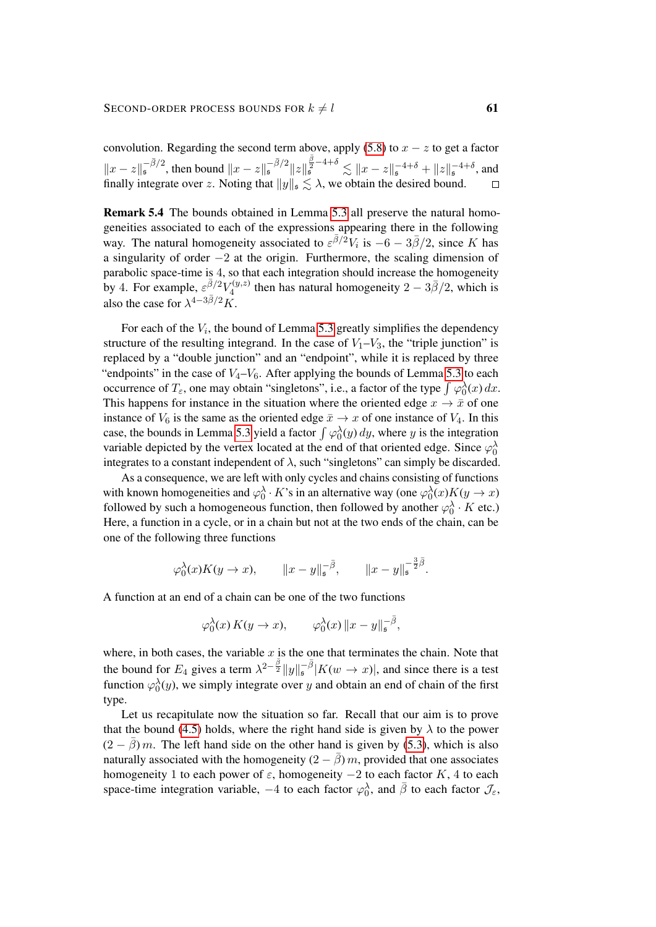convolution. Regarding the second term above, apply [\(5.8\)](#page-59-0) to  $x - z$  to get a factor  $||x - z||_{{\mathfrak{s}}}^{-\bar{\beta}/2}$ , then bound  $||x - z||_{{\mathfrak{s}}}^{-\bar{\beta}/2} ||z||$  $\int_{\frac{5}{5}}^{\frac{3}{2}-4+\delta} \lesssim ||x-z||_{\mathfrak{s}}^{-4+\delta} + ||z||_{\mathfrak{s}}^{-4+\delta},$  and finally integrate over z. Noting that  $||y||_{\mathfrak{s}} \lesssim \lambda$ , we obtain the desired bound.

Remark 5.4 The bounds obtained in Lemma [5.3](#page-58-0) all preserve the natural homogeneities associated to each of the expressions appearing there in the following way. The natural homogeneity associated to  $\varepsilon^{\bar{\beta}/2}V_i$  is  $-6 - 3\bar{\beta}/2$ , since K has a singularity of order −2 at the origin. Furthermore, the scaling dimension of parabolic space-time is 4, so that each integration should increase the homogeneity by 4. For example,  $\varepsilon^{\bar{\beta}/2} V_4^{(y,z)}$  $t_4^{(y,z)}$  then has natural homogeneity  $2 - 3\overline{\beta}/2$ , which is also the case for  $\lambda^{4-3\bar{\beta}/2}K$ .

For each of the  $V_i$ , the bound of Lemma [5.3](#page-58-0) greatly simplifies the dependency structure of the resulting integrand. In the case of  $V_1-V_3$ , the "triple junction" is replaced by a "double junction" and an "endpoint", while it is replaced by three "endpoints" in the case of  $V_4-V_6$ . After applying the bounds of Lemma [5.3](#page-58-0) to each occurrence of  $T_{\varepsilon}$ , one may obtain "singletons", i.e., a factor of the type  $\int \varphi_0^{\lambda}(x) dx$ . This happens for instance in the situation where the oriented edge  $x \to \bar{x}$  of one instance of  $V_6$  is the same as the oriented edge  $\bar{x} \to x$  of one instance of  $V_4$ . In this case, the bounds in Lemma [5.3](#page-58-0) yield a factor  $\int \varphi_0^{\lambda}(y) dy$ , where y is the integration variable depicted by the vertex located at the end of that oriented edge. Since  $\varphi_0^{\lambda}$ integrates to a constant independent of  $\lambda$ , such "singletons" can simply be discarded.

As a consequence, we are left with only cycles and chains consisting of functions with known homogeneities and  $\varphi_0^{\lambda} \cdot K$ 's in an alternative way (one  $\varphi_0^{\lambda}(x)K(y \to x)$ followed by such a homogeneous function, then followed by another  $\varphi_0^{\lambda} \cdot K$  etc.) Here, a function in a cycle, or in a chain but not at the two ends of the chain, can be one of the following three functions

$$
\varphi_0^{\lambda}(x)K(y \to x), \qquad \|x - y\|_{\mathfrak{s}}^{-\overline{\beta}}, \qquad \|x - y\|_{\mathfrak{s}}^{-\frac{3}{2}\overline{\beta}}.
$$

A function at an end of a chain can be one of the two functions

$$
\varphi_0^{\lambda}(x) K(y \to x), \qquad \varphi_0^{\lambda}(x) \|x - y\|_{\mathfrak{s}}^{-\overline{\beta}},
$$

where, in both cases, the variable  $x$  is the one that terminates the chain. Note that the bound for  $E_4$  gives a term  $\lambda^{2-\frac{\bar{\beta}}{2}}||y||_s^{-\bar{\beta}}|K(w \to x)|$ , and since there is a test function  $\varphi_0^{\lambda}(y)$ , we simply integrate over y and obtain an end of chain of the first type.

Let us recapitulate now the situation so far. Recall that our aim is to prove that the bound [\(4.5\)](#page-24-2) holds, where the right hand side is given by  $\lambda$  to the power  $(2 - \bar{\beta}) m$ . The left hand side on the other hand is given by [\(5.3\)](#page-52-0), which is also naturally associated with the homogeneity  $(2 - \beta)m$ , provided that one associates homogeneity 1 to each power of  $\varepsilon$ , homogeneity  $-2$  to each factor K, 4 to each space-time integration variable,  $-4$  to each factor  $\varphi_0^{\lambda}$ , and  $\bar{\beta}$  to each factor  $\mathcal{J}_{\varepsilon}$ ,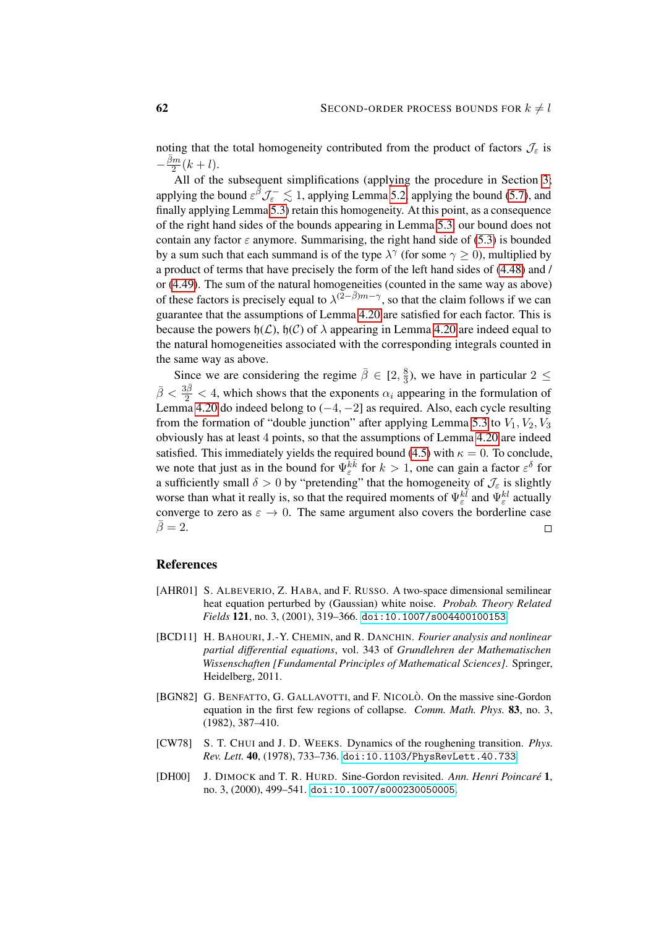noting that the total homogeneity contributed from the product of factors  $\mathcal{J}_{\varepsilon}$  is  $-\frac{\bar{\beta}m}{2}$  $\frac{2m}{2}(k+l).$ 

All of the subsequent simplifications (applying the procedure in Section [3;](#page-10-0) applying the bound  $\varepsilon^{\hat{\beta}} \mathcal{J}_{\varepsilon}^- \lesssim 1$ , applying Lemma [5.2,](#page-55-0) applying the bound [\(5.7\)](#page-56-0), and finally applying Lemma [5.3\)](#page-58-0) retain this homogeneity. At this point, as a consequence of the right hand sides of the bounds appearing in Lemma [5.3,](#page-58-0) our bound does not contain any factor  $\varepsilon$  anymore. Summarising, the right hand side of [\(5.3\)](#page-52-0) is bounded by a sum such that each summand is of the type  $\lambda^{\gamma}$  (for some  $\gamma \ge 0$ ), multiplied by a product of terms that have precisely the form of the left hand sides of [\(4.48\)](#page-46-2) and / or [\(4.49\)](#page-46-3). The sum of the natural homogeneities (counted in the same way as above) of these factors is precisely equal to  $\lambda^{(2-\bar{\beta})m-\gamma}$ , so that the claim follows if we can guarantee that the assumptions of Lemma [4.20](#page-46-0) are satisfied for each factor. This is because the powers  $h(\mathcal{L})$ ,  $h(\mathcal{C})$  of  $\lambda$  appearing in Lemma [4.20](#page-46-0) are indeed equal to the natural homogeneities associated with the corresponding integrals counted in the same way as above.

Since we are considering the regime  $\bar{\beta} \in [2, \frac{8}{3}]$  $\frac{8}{3}$ ), we have in particular 2  $\leq$  $\bar{\beta} < \frac{3\bar{\beta}}{2} < 4$ , which shows that the exponents  $\alpha_i$  appearing in the formulation of Lemma [4.20](#page-46-0) do indeed belong to  $(-4, -2]$  as required. Also, each cycle resulting from the formation of "double junction" after applying Lemma [5.3](#page-58-0) to  $V_1$ ,  $V_2$ ,  $V_3$ obviously has at least 4 points, so that the assumptions of Lemma [4.20](#page-46-0) are indeed satisfied. This immediately yields the required bound [\(4.5\)](#page-24-2) with  $\kappa = 0$ . To conclude, we note that just as in the bound for  $\Psi_{\varepsilon}^{k\bar{k}}$  for  $k>1$ , one can gain a factor  $\varepsilon^{\delta}$  for a sufficiently small  $\delta > 0$  by "pretending" that the homogeneity of  $\mathcal{J}_{\varepsilon}$  is slightly worse than what it really is, so that the required moments of  $\Psi_{\varepsilon}^{k\bar{l}}$  and  $\Psi_{\varepsilon}^{kl}$  actually converge to zero as  $\varepsilon \to 0$ . The same argument also covers the borderline case  $\bar{\beta}=2.$  $\Box$ 

### References

- <span id="page-61-3"></span>[AHR01] S. ALBEVERIO, Z. HABA, and F. RUSSO. A two-space dimensional semilinear heat equation perturbed by (Gaussian) white noise. *Probab. Theory Related Fields* 121, no. 3, (2001), 319–366. [doi:10.1007/s004400100153](http://dx.doi.org/10.1007/s004400100153).
- <span id="page-61-4"></span>[BCD11] H. BAHOURI, J.-Y. CHEMIN, and R. DANCHIN. *Fourier analysis and nonlinear partial differential equations*, vol. 343 of *Grundlehren der Mathematischen Wissenschaften [Fundamental Principles of Mathematical Sciences]*. Springer, Heidelberg, 2011.
- <span id="page-61-1"></span>[BGN82] G. BENFATTO, G. GALLAVOTTI, and F. NICOLÒ. On the massive sine-Gordon equation in the first few regions of collapse. *Comm. Math. Phys.* 83, no. 3, (1982), 387–410.
- <span id="page-61-2"></span>[CW78] S. T. CHUI and J. D. WEEKS. Dynamics of the roughening transition. *Phys. Rev. Lett.* 40, (1978), 733–736. [doi:10.1103/PhysRevLett.40.733](http://dx.doi.org/10.1103/PhysRevLett.40.733).
- <span id="page-61-0"></span>[DH00] J. DIMOCK and T. R. HURD. Sine-Gordon revisited. *Ann. Henri Poincare´* 1, no. 3, (2000), 499–541. [doi:10.1007/s000230050005](http://dx.doi.org/10.1007/s000230050005).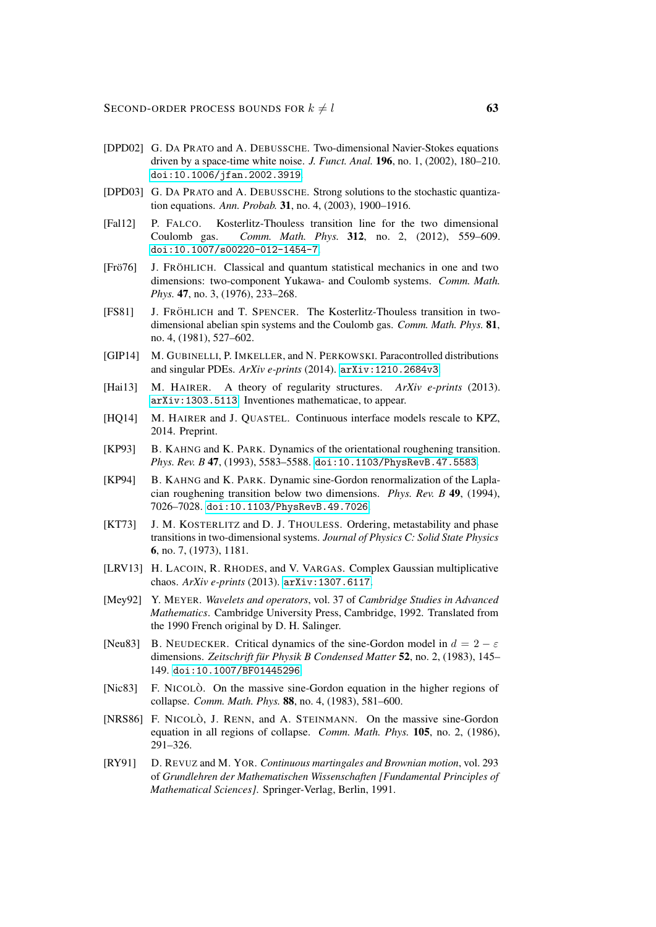- <span id="page-62-0"></span>[DPD02] G. DA PRATO and A. DEBUSSCHE. Two-dimensional Navier-Stokes equations driven by a space-time white noise. *J. Funct. Anal.* 196, no. 1, (2002), 180–210. [doi:10.1006/jfan.2002.3919](http://dx.doi.org/10.1006/jfan.2002.3919).
- <span id="page-62-1"></span>[DPD03] G. DA PRATO and A. DEBUSSCHE. Strong solutions to the stochastic quantization equations. *Ann. Probab.* 31, no. 4, (2003), 1900–1916.
- <span id="page-62-4"></span>[Fal12] P. FALCO. Kosterlitz-Thouless transition line for the two dimensional Coulomb gas. *Comm. Math. Phys.* 312, no. 2, (2012), 559–609. [doi:10.1007/s00220-012-1454-7](http://dx.doi.org/10.1007/s00220-012-1454-7).
- <span id="page-62-5"></span>[Fro76] J. FRÖHLICH. Classical and quantum statistical mechanics in one and two dimensions: two-component Yukawa- and Coulomb systems. *Comm. Math. Phys.* 47, no. 3, (1976), 233–268.
- <span id="page-62-9"></span>[FS81] J. FRÖHLICH and T. SPENCER. The Kosterlitz-Thouless transition in twodimensional abelian spin systems and the Coulomb gas. *Comm. Math. Phys.* 81, no. 4, (1981), 527–602.
- <span id="page-62-13"></span>[GIP14] M. GUBINELLI, P. IMKELLER, and N. PERKOWSKI. Paracontrolled distributions and singular PDEs. *ArXiv e-prints* (2014). [arXiv:1210.2684v3](http://arxiv.org/abs/1210.2684v3).
- <span id="page-62-2"></span>[Hai13] M. HAIRER. A theory of regularity structures. *ArXiv e-prints* (2013). [arXiv:1303.5113](http://arxiv.org/abs/1303.5113). Inventiones mathematicae, to appear.
- <span id="page-62-14"></span>[HQ14] M. HAIRER and J. QUASTEL. Continuous interface models rescale to KPZ, 2014. Preprint.
- <span id="page-62-11"></span>[KP93] B. KAHNG and K. PARK. Dynamics of the orientational roughening transition. *Phys. Rev. B* 47, (1993), 5583–5588. [doi:10.1103/PhysRevB.47.5583](http://dx.doi.org/10.1103/PhysRevB.47.5583).
- <span id="page-62-12"></span>[KP94] B. KAHNG and K. PARK. Dynamic sine-Gordon renormalization of the Laplacian roughening transition below two dimensions. *Phys. Rev. B* 49, (1994), 7026–7028. [doi:10.1103/PhysRevB.49.7026](http://dx.doi.org/10.1103/PhysRevB.49.7026).
- <span id="page-62-8"></span>[KT73] J. M. KOSTERLITZ and D. J. THOULESS. Ordering, metastability and phase transitions in two-dimensional systems. *Journal of Physics C: Solid State Physics* 6, no. 7, (1973), 1181.
- <span id="page-62-3"></span>[LRV13] H. LACOIN, R. RHODES, and V. VARGAS. Complex Gaussian multiplicative chaos. *ArXiv e-prints* (2013). [arXiv:1307.6117](http://arxiv.org/abs/1307.6117).
- <span id="page-62-15"></span>[Mey92] Y. MEYER. *Wavelets and operators*, vol. 37 of *Cambridge Studies in Advanced Mathematics*. Cambridge University Press, Cambridge, 1992. Translated from the 1990 French original by D. H. Salinger.
- <span id="page-62-10"></span>[Neu83] B. NEUDECKER. Critical dynamics of the sine-Gordon model in  $d = 2 - \varepsilon$ dimensions. *Zeitschrift für Physik B Condensed Matter* **52**, no. 2, (1983), 145– 149. [doi:10.1007/BF01445296](http://dx.doi.org/10.1007/BF01445296).
- <span id="page-62-6"></span>[Nic83] F. NICOLÒ. On the massive sine-Gordon equation in the higher regions of collapse. *Comm. Math. Phys.* 88, no. 4, (1983), 581–600.
- <span id="page-62-7"></span>[NRS86] F. NICOLÒ, J. RENN, and A. STEINMANN. On the massive sine-Gordon equation in all regions of collapse. *Comm. Math. Phys.* 105, no. 2, (1986), 291–326.
- <span id="page-62-16"></span>[RY91] D. REVUZ and M. YOR. *Continuous martingales and Brownian motion*, vol. 293 of *Grundlehren der Mathematischen Wissenschaften [Fundamental Principles of Mathematical Sciences]*. Springer-Verlag, Berlin, 1991.